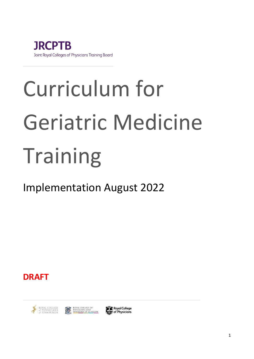

# Curriculum for Geriatric Medicine Training

# Implementation August 2022

**DRAFT**





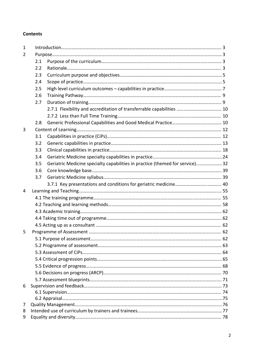#### **Contents**

| $\mathbf{1}$ |     |                                                                               |  |  |
|--------------|-----|-------------------------------------------------------------------------------|--|--|
| 2            |     |                                                                               |  |  |
|              | 2.1 |                                                                               |  |  |
|              | 2.2 |                                                                               |  |  |
|              | 2.3 |                                                                               |  |  |
|              | 2.4 |                                                                               |  |  |
|              | 2.5 |                                                                               |  |  |
|              | 2.6 |                                                                               |  |  |
|              | 2.7 |                                                                               |  |  |
|              |     | 2.7.1 Flexibility and accreditation of transferrable capabilities  10         |  |  |
|              |     |                                                                               |  |  |
|              | 2.8 |                                                                               |  |  |
| 3            |     |                                                                               |  |  |
|              | 3.1 |                                                                               |  |  |
|              | 3.2 |                                                                               |  |  |
|              | 3.3 |                                                                               |  |  |
|              | 3.4 |                                                                               |  |  |
|              | 3.5 | Geriatric Medicine specialty capabilities in practice (themed for service) 32 |  |  |
|              | 3.6 |                                                                               |  |  |
|              | 3.7 |                                                                               |  |  |
|              |     |                                                                               |  |  |
| 4            |     |                                                                               |  |  |
|              |     |                                                                               |  |  |
|              |     |                                                                               |  |  |
|              |     |                                                                               |  |  |
|              |     |                                                                               |  |  |
|              |     |                                                                               |  |  |
| 5            |     |                                                                               |  |  |
|              |     |                                                                               |  |  |
|              |     |                                                                               |  |  |
|              |     |                                                                               |  |  |
|              |     |                                                                               |  |  |
|              |     |                                                                               |  |  |
|              |     |                                                                               |  |  |
|              |     |                                                                               |  |  |
| 6            |     |                                                                               |  |  |
|              |     |                                                                               |  |  |
|              |     |                                                                               |  |  |
| 7            |     |                                                                               |  |  |
| 8            |     |                                                                               |  |  |
| 9            |     |                                                                               |  |  |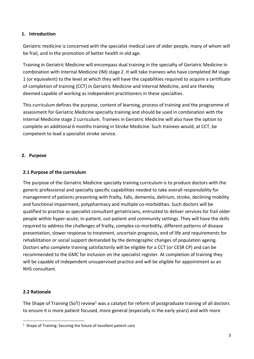#### **1. Introduction**

Geriatric medicine is concerned with the specialist medical care of older people, many of whom will be frail, and in the promotion of better health in old age.

Training in Geriatric Medicine will encompass dual training in the specialty of Geriatric Medicine in combination with Internal Medicine (IM) stage 2. It will take trainees who have completed IM stage 1 (or equivalent) to the level at which they will have the capabilities required to acquire a certificate of completion of training (CCT) in Geriatric Medicine and Internal Medicine, and are thereby deemed capable of working as independent practitioners in these specialties.

This curriculum defines the purpose, content of learning, process of training and the programme of assessment for Geriatric Medicine specialty training and should be used in combination with the Internal Medicine stage 2 curriculum. Trainees in Geriatric Medicine will also have the option to complete an additional 6 months training in Stroke Medicine. Such trainees would, at CCT, be competent to lead a specialist stroke service.

### **2. Purpose**

### **2.1 Purpose of the curriculum**

The purpose of the Geriatric Medicine specialty training curriculum is to produce doctors with the generic professional and specialty specific capabilities needed to take overall responsibility for management of patients presenting with frailty, falls, dementia, delirium, stroke, declining mobility and functional impairment, polypharmacy and multiple co-morbidities. Such doctors will be qualified to practise as specialist consultant geriatricians, entrusted to deliver services for frail older people within hyper-acute, in-patient, out-patient and community settings. They will have the skills required to address the challenges of frailty, complex co-morbidity, different patterns of disease presentation, slower response to treatment, uncertain prognosis, end of life and requirements for rehabilitation or social support demanded by the demographic changes of population ageing. Doctors who complete training satisfactorily will be eligible for a CCT (or CESR CP) and can be recommended to the GMC for inclusion on the specialist register. At completion of training they will be capable of independent unsupervised practice and will be eligible for appointment as an NHS consultant.

# **2.2 Rationale**

The Shape of Training (SoT) review<sup>1</sup> was a catalyst for reform of postgraduate training of all doctors to ensure it is more patient focused, more general (especially in the early years) and with more

<sup>&</sup>lt;sup>1</sup> Shape of Training: Securing the future of excellent patient care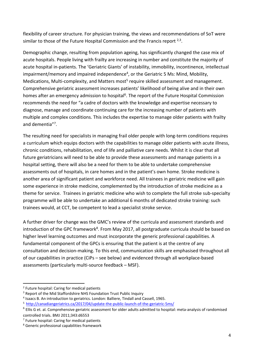flexibility of career structure. For physician training, the views and recommendations of SoT were similar to those of the Future Hospital Commission and the Francis report  $2,3$ .

Demographic change, resulting from population ageing, has significantly changed the case mix of acute hospitals. People living with frailty are increasing in number and constitute the majority of acute hospital in-patients. The 'Geriatric Giants' of instability, immobility, incontinence, intellectual impairment/memory and impaired independence<sup>4</sup>, or the Geriatric 5 Ms: Mind, Mobility, Medications, Multi-complexity, and Matters most<sup>5</sup> require skilled assessment and management. Comprehensive geriatric assessment increases patients' likelihood of being alive and in their own homes after an emergency admission to hospital<sup>6</sup>. The report of the Future Hospital Commission recommends the need for "a cadre of doctors with the knowledge and expertise necessary to diagnose, manage and coordinate continuing care for the increasing number of patients with multiple and complex conditions. This includes the expertise to manage older patients with frailty and dementia"<sup>7</sup> .

The resulting need for specialists in managing frail older people with long-term conditions requires a curriculum which equips doctors with the capabilities to manage older patients with acute illness, chronic conditions, rehabilitation, end of life and palliative care needs. Whilst it is clear that all future geriatricians will need to be able to provide these assessments and manage patients in a hospital setting, there will also be a need for them to be able to undertake comprehensive assessments out of hospitals, in care homes and in the patient's own home. Stroke medicine is another area of significant patient and workforce need. All trainees in geriatric medicine will gain some experience in stroke medicine, complemented by the introduction of stroke medicine as a theme for service. Trainees in geriatric medicine who wish to complete the full stroke sub-specialty programme will be able to undertake an additional 6 months of dedicated stroke training: such trainees would, at CCT, be competent to lead a specialist stroke service.

A further driver for change was the GMC's review of the curricula and assessment standards and introduction of the GPC framework<sup>8</sup>. From May 2017, all postgraduate curricula should be based on higher level learning outcomes and must incorporate the generic professional capabilities. A fundamental component of the GPCs is ensuring that the patient is at the centre of any consultation and decision-making. To this end, communication skills are emphasised throughout all of our capabilities in practice (CiPs – see below) and evidenced through all workplace-based assessments (particularly multi-source feedback – MSF).

<sup>2</sup> Future hospital: Caring for medical patients

<sup>&</sup>lt;sup>3</sup> Report of the Mid Staffordshire NHS Foundation Trust Public Inquiry

<sup>4</sup> Isaacs B. An introduction to geriatrics. London: Balliere, Tindall and Cassell, 1965.

<sup>5</sup> <http://canadiangeriatrics.ca/2017/04/update-the-public-launch-of-the-geriatric-5ms/>

<sup>&</sup>lt;sup>6</sup> Ellis G et. al. Comprehensive geriatric assessment for older adults admitted to hospital: meta-analysis of randomised controlled trials. BMJ 2011;343:d6553

<sup>7</sup> Future hospital: Caring for medical patients

<sup>8</sup> Generic professional capabilities framework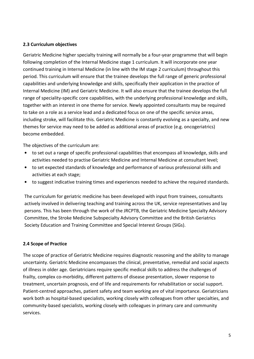#### **2.3 Curriculum objectives**

Geriatric Medicine higher specialty training will normally be a four-year programme that will begin following completion of the Internal Medicine stage 1 curriculum. It will incorporate one year continued training in Internal Medicine (in line with the IM stage 2 curriculum) throughout this period. This curriculum will ensure that the trainee develops the full range of generic professional capabilities and underlying knowledge and skills, specifically their application in the practice of Internal Medicine (IM) and Geriatric Medicine. It will also ensure that the trainee develops the full range of speciality-specific core capabilities, with the underlying professional knowledge and skills, together with an interest in one theme for service. Newly appointed consultants may be required to take on a role as a service lead and a dedicated focus on one of the specific service areas, including stroke, will facilitate this. Geriatric Medicine is constantly evolving as a specialty, and new themes for service may need to be added as additional areas of practice (e.g. oncogeriatrics) become embedded.

The objectives of the curriculum are:

- to set out a range of specific professional capabilities that encompass all knowledge, skills and activities needed to practise Geriatric Medicine and Internal Medicine at consultant level;
- to set expected standards of knowledge and performance of various professional skills and activities at each stage;
- to suggest indicative training times and experiences needed to achieve the required standards.

The curriculum for geriatric medicine has been developed with input from trainees, consultants actively involved in delivering teaching and training across the UK, service representatives and lay persons. This has been through the work of the JRCPTB, the Geriatric Medicine Specialty Advisory Committee, the Stroke Medicine Subspecialty Advisory Committee and the British Geriatrics Society Education and Training Committee and Special Interest Groups (SIGs).

#### **2.4 Scope of Practice**

The scope of practice of Geriatric Medicine requires diagnostic reasoning and the ability to manage uncertainty. Geriatric Medicine encompasses the clinical, preventative, remedial and social aspects of illness in older age. Geriatricians require specific medical skills to address the challenges of frailty, complex co-morbidity, different patterns of disease presentation, slower response to treatment, uncertain prognosis, end of life and requirements for rehabilitation or social support. Patient-centred approaches, patient safety and team working are of vital importance. Geriatricians work both as hospital-based specialists, working closely with colleagues from other specialties, and community-based specialists, working closely with colleagues in primary care and community services.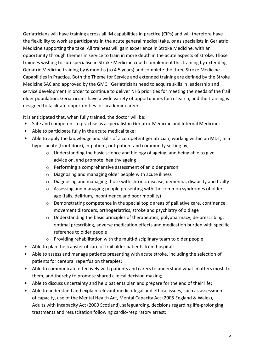Geriatricians will have training across all IM capabilities in practice (CiPs) and will therefore have the flexibility to work as participants in the acute general medical take, or as specialists in Geriatric Medicine supporting the take. All trainees will gain experience in Stroke Medicine, with an opportunity through themes in service to train in more depth in the acute aspects of stroke. Those trainees wishing to sub-specialise in Stroke Medicine could complement this training by extending Geriatric Medicine training by 6 months (to 4.5 years) and complete the three Stroke Medicine Capabilities in Practice. Both the Theme for Service and extended training are defined by the Stroke Medicine SAC and approved by the GMC. Geriatricians need to acquire skills in leadership and service development in order to continue to deliver NHS priorities for meeting the needs of the frail older population. Geriatricians have a wide variety of opportunities for research, and the training is designed to facilitate opportunities for academic careers.

It is anticipated that, when fully trained, the doctor will be:

- Safe and competent to practise as a specialist in Geriatric Medicine and Internal Medicine;
- Able to participate fully in the acute medical take;
- Able to apply the knowledge and skills of a competent geriatrician, working within an MDT, in a hyper-acute (front door), in-patient, out-patient and community setting by;
	- $\circ$  Understanding the basic science and biology of ageing, and being able to give advice on, and promote, healthy ageing
	- o Performing a comprehensive assessment of an older person
	- o Diagnosing and managing older people with acute illness
	- $\circ$  Diagnosing and managing those with chronic disease, dementia, disability and frailty
	- o Assessing and managing people presenting with the common syndromes of older age (falls, delirium, incontinence and poor mobility)
	- $\circ$  Demonstrating competence in the special topic areas of palliative care, continence, movement disorders, orthogeriatrics, stroke and psychiatry of old age
	- $\circ$  Understanding the basic principles of therapeutics, polypharmacy, de-prescribing, optimal prescribing, adverse medication effects and medication burden with specific reference to older people
	- o Providing rehabilitation with the multi-disciplinary team to older people
- Able to plan the transfer of care of frail older patients from hospital;
- Able to assess and manage patients presenting with acute stroke, including the selection of patients for cerebral reperfusion therapies;
- Able to communicate effectively with patients and carers to understand what 'matters most' to them, and thereby to promote shared clinical decision making;
- Able to discuss uncertainty and help patients plan and prepare for the end of their life;
- Able to understand and explain relevant medico-legal and ethical issues, such as assessment of capacity, use of the Mental Health Act, Mental Capacity Act (2005 England & Wales), Adults with Incapacity Act (2000 Scotland), safeguarding, decisions regarding life-prolonging treatments and resuscitation following cardio-respiratory arrest;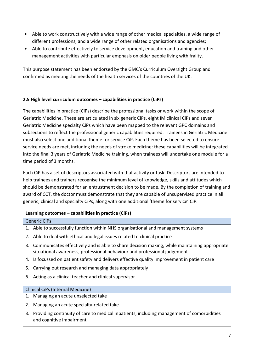- Able to work constructively with a wide range of other medical specialties, a wide range of different professions, and a wide range of other related organisations and agencies;
- Able to contribute effectively to service development, education and training and other management activities with particular emphasis on older people living with frailty.

This purpose statement has been endorsed by the GMC's Curriculum Oversight Group and confirmed as meeting the needs of the health services of the countries of the UK.

# **2.5 High level curriculum outcomes – capabilities in practice (CiPs)**

and cognitive impairment

The capabilities in practice (CiPs) describe the professional tasks or work within the scope of Geriatric Medicine. These are articulated in six generic CiPs, eight IM clinical CiPs and seven Geriatric Medicine specialty CiPs which have been mapped to the relevant GPC domains and subsections to reflect the professional generic capabilities required. Trainees in Geriatric Medicine must also select one additional theme for service CiP. Each theme has been selected to ensure service needs are met, including the needs of stroke medicine: these capabilities will be integrated into the final 3 years of Geriatric Medicine training, when trainees will undertake one module for a time period of 3 months.

Each CiP has a set of descriptors associated with that activity or task. Descriptors are intended to help trainees and trainers recognise the minimum level of knowledge, skills and attitudes which should be demonstrated for an entrustment decision to be made. By the completion of training and award of CCT, the doctor must demonstrate that they are capable of unsupervised practice in all generic, clinical and specialty CiPs, along with one additional 'theme for service' CiP.

| Learning outcomes – capabilities in practice (CiPs) |                                                                                                                                                                             |  |
|-----------------------------------------------------|-----------------------------------------------------------------------------------------------------------------------------------------------------------------------------|--|
|                                                     | <b>Generic CiPs</b>                                                                                                                                                         |  |
|                                                     | 1. Able to successfully function within NHS organisational and management systems                                                                                           |  |
|                                                     | 2. Able to deal with ethical and legal issues related to clinical practice                                                                                                  |  |
|                                                     | 3. Communicates effectively and is able to share decision making, while maintaining appropriate<br>situational awareness, professional behaviour and professional judgement |  |
|                                                     | 4. Is focussed on patient safety and delivers effective quality improvement in patient care                                                                                 |  |
|                                                     | 5. Carrying out research and managing data appropriately                                                                                                                    |  |
|                                                     | 6. Acting as a clinical teacher and clinical supervisor                                                                                                                     |  |
|                                                     |                                                                                                                                                                             |  |
| Clinical CiPs (Internal Medicine)                   |                                                                                                                                                                             |  |
|                                                     | 1. Managing an acute unselected take                                                                                                                                        |  |
| 2.                                                  | Managing an acute specialty-related take                                                                                                                                    |  |
|                                                     | 3. Providing continuity of care to medical inpatients, including management of comorbidities                                                                                |  |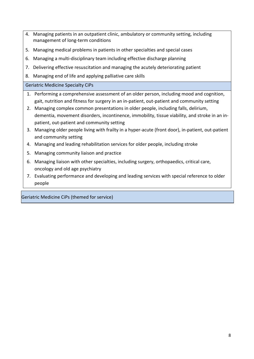- 4. Managing patients in an outpatient clinic, ambulatory or community setting, including management of long-term conditions
- 5. Managing medical problems in patients in other specialties and special cases
- 6. Managing a multi-disciplinary team including effective discharge planning
- 7. Delivering effective resuscitation and managing the acutely deteriorating patient
- 8. Managing end of life and applying palliative care skills

Geriatric Medicine Specialty CiPs

- 1. Performing a comprehensive assessment of an older person, including mood and cognition, gait, nutrition and fitness for surgery in an in-patient, out-patient and community setting
- 2. Managing complex common presentations in older people, including falls, delirium, dementia, movement disorders, incontinence, immobility, tissue viability, and stroke in an inpatient, out-patient and community setting
- 3. Managing older people living with frailty in a hyper-acute (front door), in-patient, out-patient and community setting
- 4. Managing and leading rehabilitation services for older people, including stroke
- 5. Managing community liaison and practice
- 6. Managing liaison with other specialties, including surgery, orthopaedics, critical care, oncology and old age psychiatry
- 7. Evaluating performance and developing and leading services with special reference to older people

Geriatric Medicine CiPs (themed for service)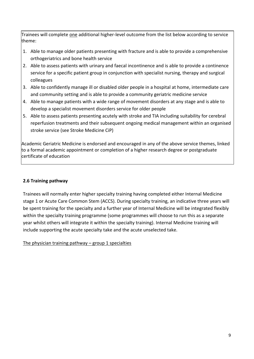Trainees will complete one additional higher-level outcome from the list below according to service theme:

- 1. Able to manage older patients presenting with fracture and is able to provide a comprehensive orthogeriatrics and bone health service
- 2. Able to assess patients with urinary and faecal incontinence and is able to provide a continence service for a specific patient group in conjunction with specialist nursing, therapy and surgical colleagues
- 3. Able to confidently manage ill or disabled older people in a hospital at home, intermediate care and community setting and is able to provide a community geriatric medicine service
- 4. Able to manage patients with a wide range of movement disorders at any stage and is able to develop a specialist movement disorders service for older people
- 5. Able to assess patients presenting acutely with stroke and TIA including suitability for cerebral reperfusion treatments and their subsequent ongoing medical management within an organised stroke service (see Stroke Medicine CiP)

Academic Geriatric Medicine is endorsed and encouraged in any of the above service themes, linked to a formal academic appointment or completion of a higher research degree or postgraduate certificate of education

# **2.6 Training pathway**

Trainees will normally enter higher specialty training having completed either Internal Medicine stage 1 or Acute Care Common Stem (ACCS). During specialty training, an indicative three years will be spent training for the specialty and a further year of Internal Medicine will be integrated flexibly within the specialty training programme (some programmes will choose to run this as a separate year whilst others will integrate it within the specialty training). Internal Medicine training will include supporting the acute specialty take and the acute unselected take.

The physician training pathway  $-$  group 1 specialties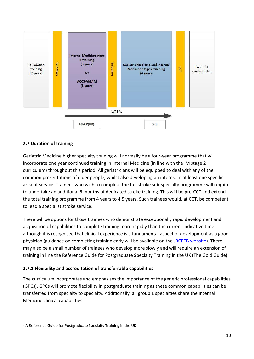

### **2.7 Duration of training**

Geriatric Medicine higher specialty training will normally be a four-year programme that will incorporate one year continued training in Internal Medicine (in line with the IM stage 2 curriculum) throughout this period. All geriatricians will be equipped to deal with any of the common presentations of older people, whilst also developing an interest in at least one specific area of service. Trainees who wish to complete the full stroke sub-specialty programme will require to undertake an additional 6 months of dedicated stroke training. This will be pre-CCT and extend the total training programme from 4 years to 4.5 years. Such trainees would, at CCT, be competent to lead a specialist stroke service.

There will be options for those trainees who demonstrate exceptionally rapid development and acquisition of capabilities to complete training more rapidly than the current indicative time although it is recognised that clinical experience is a fundamental aspect of development as a good physician (guidance on completing training early will be available on the [JRCPTB website\)](http://www.jrcptb.org.uk/). There may also be a small number of trainees who develop more slowly and will require an extension of training in line the Reference Guide for Postgraduate Specialty Training in the UK (The Gold Guide).<sup>9</sup>

#### **2.7.1 Flexibility and accreditation of transferrable capabilities**

The curriculum incorporates and emphasises the importance of the generic professional capabilities (GPCs). GPCs will promote flexibility in postgraduate training as these common capabilities can be transferred from specialty to specialty. Additionally, all group 1 specialties share the Internal Medicine clinical capabilities.

 $9$  A Reference Guide for Postgraduate Specialty Training in the UK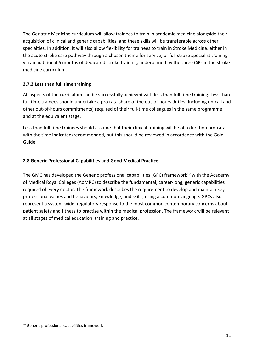The Geriatric Medicine curriculum will allow trainees to train in academic medicine alongside their acquisition of clinical and generic capabilities, and these skills will be transferable across other specialties. In addition, it will also allow flexibility for trainees to train in Stroke Medicine, either in the acute stroke care pathway through a chosen theme for service, or full stroke specialist training via an additional 6 months of dedicated stroke training, underpinned by the three CiPs in the stroke medicine curriculum.

# **2.7.2 Less than full time training**

All aspects of the curriculum can be successfully achieved with less than full time training. Less than full time trainees should undertake a pro rata share of the out-of-hours duties (including on-call and other out-of-hours commitments) required of their full-time colleagues in the same programme and at the equivalent stage.

Less than full time trainees should assume that their clinical training will be of a duration pro-rata with the time indicated/recommended, but this should be reviewed in accordance with the Gold Guide.

# **2.8 Generic Professional Capabilities and Good Medical Practice**

The GMC has developed the Generic professional capabilities (GPC) framework<sup>10</sup> with the Academy of Medical Royal Colleges (AoMRC) to describe the fundamental, career-long, generic capabilities required of every doctor. The framework describes the requirement to develop and maintain key professional values and behaviours, knowledge, and skills, using a common language. GPCs also represent a system-wide, regulatory response to the most common contemporary concerns about patient safety and fitness to practise within the medical profession. The framework will be relevant at all stages of medical education, training and practice.

<sup>&</sup>lt;sup>10</sup> Generic professional capabilities framework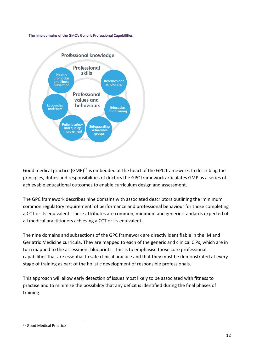#### The nine domains of the GMC's Generic Professional Capabilities



Good medical practice (GMP)<sup>11</sup> is embedded at the heart of the GPC framework. In describing the principles, duties and responsibilities of doctors the GPC framework articulates GMP as a series of achievable educational outcomes to enable curriculum design and assessment.

The GPC framework describes nine domains with associated descriptors outlining the 'minimum common regulatory requirement' of performance and professional behaviour for those completing a CCT or its equivalent. These attributes are common, minimum and generic standards expected of all medical practitioners achieving a CCT or its equivalent.

The nine domains and subsections of the GPC framework are directly identifiable in the IM and Geriatric Medicine curricula. They are mapped to each of the generic and clinical CiPs, which are in turn mapped to the assessment blueprints. This is to emphasise those core professional capabilities that are essential to safe clinical practice and that they must be demonstrated at every stage of training as part of the holistic development of responsible professionals.

This approach will allow early detection of issues most likely to be associated with fitness to practise and to minimise the possibility that any deficit is identified during the final phases of training.

<sup>11</sup> Good Medical Practice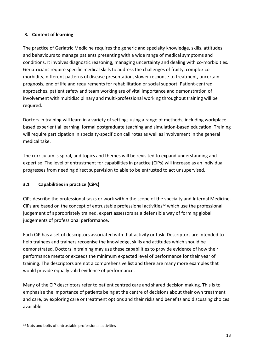# **3. Content of learning**

The practice of Geriatric Medicine requires the generic and specialty knowledge, skills, attitudes and behaviours to manage patients presenting with a wide range of medical symptoms and conditions. It involves diagnostic reasoning, managing uncertainty and dealing with co-morbidities. Geriatricians require specific medical skills to address the challenges of frailty, complex comorbidity, different patterns of disease presentation, slower response to treatment, uncertain prognosis, end of life and requirements for rehabilitation or social support. Patient-centred approaches, patient safety and team working are of vital importance and demonstration of involvement with multidisciplinary and multi-professional working throughout training will be required.

Doctors in training will learn in a variety of settings using a range of methods, including workplacebased experiential learning, formal postgraduate teaching and simulation-based education. Training will require participation in specialty-specific on call rotas as well as involvement in the general medical take.

The curriculum is spiral, and topics and themes will be revisited to expand understanding and expertise. The level of entrustment for capabilities in practice (CiPs) will increase as an individual progresses from needing direct supervision to able to be entrusted to act unsupervised.

# **3.1 Capabilities in practice (CiPs)**

CiPs describe the professional tasks or work within the scope of the specialty and Internal Medicine. CiPs are based on the concept of entrustable professional activities<sup>12</sup> which use the professional judgement of appropriately trained, expert assessors as a defensible way of forming global judgements of professional performance.

Each CiP has a set of descriptors associated with that activity or task. Descriptors are intended to help trainees and trainers recognise the knowledge, skills and attitudes which should be demonstrated. Doctors in training may use these capabilities to provide evidence of how their performance meets or exceeds the minimum expected level of performance for their year of training. The descriptors are not a comprehensive list and there are many more examples that would provide equally valid evidence of performance.

Many of the CiP descriptors refer to patient centred care and shared decision making. This is to emphasise the importance of patients being at the centre of decisions about their own treatment and care, by exploring care or treatment options and their risks and benefits and discussing choices available.

<sup>12</sup> Nuts and bolts of entrustable professional activities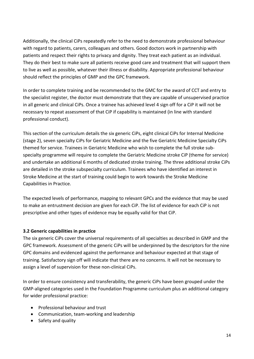Additionally, the clinical CiPs repeatedly refer to the need to demonstrate professional behaviour with regard to patients, carers, colleagues and others. Good doctors work in partnership with patients and respect their rights to privacy and dignity. They treat each patient as an individual. They do their best to make sure all patients receive good care and treatment that will support them to live as well as possible, whatever their illness or disability. Appropriate professional behaviour should reflect the principles of GMP and the GPC framework.

In order to complete training and be recommended to the GMC for the award of CCT and entry to the specialist register, the doctor must demonstrate that they are capable of unsupervised practice in all generic and clinical CiPs. Once a trainee has achieved level 4 sign off for a CiP it will not be necessary to repeat assessment of that CiP if capability is maintained (in line with standard professional conduct).

This section of the curriculum details the six generic CiPs, eight clinical CiPs for Internal Medicine (stage 2), seven specialty CiPs for Geriatric Medicine and the five Geriatric Medicine Specialty CiPs themed for service. Trainees in Geriatric Medicine who wish to complete the full stroke subspecialty programme will require to complete the Geriatric Medicine stroke CiP (theme for service) and undertake an additional 6 months of dedicated stroke training. The three additional stroke CiPs are detailed in the stroke subspecialty curriculum. Trainees who have identified an interest in Stroke Medicine at the start of training could begin to work towards the Stroke Medicine Capabilities in Practice.

The expected levels of performance, mapping to relevant GPCs and the evidence that may be used to make an entrustment decision are given for each CiP. The list of evidence for each CiP is not prescriptive and other types of evidence may be equally valid for that CiP.

#### **3.2 Generic capabilities in practice**

The six generic CiPs cover the universal requirements of all specialties as described in GMP and the GPC framework. Assessment of the generic CiPs will be underpinned by the descriptors for the nine GPC domains and evidenced against the performance and behaviour expected at that stage of training. Satisfactory sign off will indicate that there are no concerns. It will not be necessary to assign a level of supervision for these non-clinical CiPs.

In order to ensure consistency and transferability, the generic CiPs have been grouped under the GMP-aligned categories used in the Foundation Programme curriculum plus an additional category for wider professional practice:

- Professional behaviour and trust
- Communication, team-working and leadership
- Safety and quality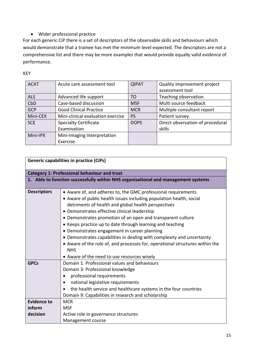# • Wider professional practice

For each generic CiP there is a set of descriptors of the observable skills and behaviours which would demonstrate that a trainee has met the minimum level expected. The descriptors are not a comprehensive list and there may be more examples that would provide equally valid evidence of performance.

| <b>ACAT</b> | Acute care assessment tool        | <b>QIPAT</b> | Quality improvement project      |
|-------------|-----------------------------------|--------------|----------------------------------|
|             |                                   |              | assessment tool                  |
| <b>ALS</b>  | Advanced life support             | TO           | Teaching observation             |
| CbD         | Case-based discussion             | <b>MSF</b>   | Multi source feedback            |
| <b>GCP</b>  | <b>Good Clinical Practice</b>     | <b>MCR</b>   | Multiple consultant report       |
| Mini-CEX    | Mini-clinical evaluation exercise | <b>PS</b>    | Patient survey                   |
| <b>SCE</b>  | <b>Specialty Certificate</b>      | <b>DOPS</b>  | Direct observation of procedural |
|             | Examination                       |              | skills                           |
| Mini-IPX    | Mini-Imaging Interpretation       |              |                                  |
|             | Exercise                          |              |                                  |

KEY

| <b>Generic capabilities in practice (CiPs)</b> |                                                                                                                                                                                                                                                                                                                                                                                                                                                                                                                                                                                                                                                |  |
|------------------------------------------------|------------------------------------------------------------------------------------------------------------------------------------------------------------------------------------------------------------------------------------------------------------------------------------------------------------------------------------------------------------------------------------------------------------------------------------------------------------------------------------------------------------------------------------------------------------------------------------------------------------------------------------------------|--|
|                                                | <b>Category 1: Professional behaviour and trust</b>                                                                                                                                                                                                                                                                                                                                                                                                                                                                                                                                                                                            |  |
|                                                | 1. Able to function successfully within NHS organisational and management systems                                                                                                                                                                                                                                                                                                                                                                                                                                                                                                                                                              |  |
| <b>Descriptors</b>                             | • Aware of, and adheres to, the GMC professional requirements<br>• Aware of public health issues including population health, social<br>detriments of health and global health perspectives<br>• Demonstrates effective clinical leadership<br>• Demonstrates promotion of an open and transparent culture<br>• Keeps practice up to date through learning and teaching<br>• Demonstrates engagement in career planning<br>• Demonstrates capabilities in dealing with complexity and uncertainty<br>• Aware of the role of, and processes for, operational structures within the<br><b>NHS</b><br>• Aware of the need to use resources wisely |  |
| <b>GPCs</b>                                    | Domain 1: Professional values and behaviours<br>Domain 3: Professional knowledge<br>professional requirements<br>national legislative requirements<br>$\bullet$<br>the health service and healthcare systems in the four countries<br>Domain 9: Capabilities in research and scholarship                                                                                                                                                                                                                                                                                                                                                       |  |
| <b>Evidence to</b><br>inform<br>decision       | <b>MCR</b><br><b>MSF</b><br>Active role in governance structures<br>Management course                                                                                                                                                                                                                                                                                                                                                                                                                                                                                                                                                          |  |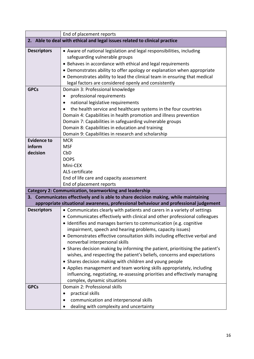|                    | End of placement reports                                                             |  |  |
|--------------------|--------------------------------------------------------------------------------------|--|--|
|                    | 2. Able to deal with ethical and legal issues related to clinical practice           |  |  |
| <b>Descriptors</b> | • Aware of national legislation and legal responsibilities, including                |  |  |
|                    | safeguarding vulnerable groups                                                       |  |  |
|                    | • Behaves in accordance with ethical and legal requirements                          |  |  |
|                    | • Demonstrates ability to offer apology or explanation when appropriate              |  |  |
|                    | • Demonstrates ability to lead the clinical team in ensuring that medical            |  |  |
|                    | legal factors are considered openly and consistently                                 |  |  |
| <b>GPCs</b>        | Domain 3: Professional knowledge                                                     |  |  |
|                    | professional requirements<br>$\bullet$                                               |  |  |
|                    | national legislative requirements<br>$\bullet$                                       |  |  |
|                    | the health service and healthcare systems in the four countries                      |  |  |
|                    | Domain 4: Capabilities in health promotion and illness prevention                    |  |  |
|                    | Domain 7: Capabilities in safeguarding vulnerable groups                             |  |  |
|                    | Domain 8: Capabilities in education and training                                     |  |  |
|                    | Domain 9: Capabilities in research and scholarship                                   |  |  |
| <b>Evidence to</b> | <b>MCR</b>                                                                           |  |  |
| inform             | <b>MSF</b>                                                                           |  |  |
| decision           | CbD                                                                                  |  |  |
|                    | <b>DOPS</b>                                                                          |  |  |
|                    | Mini-CEX                                                                             |  |  |
|                    | ALS certificate                                                                      |  |  |
|                    | End of life care and capacity assessment                                             |  |  |
|                    | End of placement reports                                                             |  |  |
|                    | <b>Category 2: Communication, teamworking and leadership</b>                         |  |  |
|                    | 3. Communicates effectively and is able to share decision making, while maintaining  |  |  |
|                    | appropriate situational awareness, professional behaviour and professional judgement |  |  |
| <b>Descriptors</b> | • Communicates clearly with patients and carers in a variety of settings             |  |  |
|                    | • Communicates effectively with clinical and other professional colleagues           |  |  |
|                    | • Identifies and manages barriers to communication (e.g. cognitive                   |  |  |
|                    | impairment, speech and hearing problems, capacity issues)                            |  |  |
|                    | • Demonstrates effective consultation skills including effective verbal and          |  |  |
|                    | nonverbal interpersonal skills                                                       |  |  |
|                    | • Shares decision making by informing the patient, prioritising the patient's        |  |  |
|                    | wishes, and respecting the patient's beliefs, concerns and expectations              |  |  |
|                    | • Shares decision making with children and young people                              |  |  |
|                    | • Applies management and team working skills appropriately, including                |  |  |
|                    | influencing, negotiating, re-assessing priorities and effectively managing           |  |  |
|                    | complex, dynamic situations                                                          |  |  |
| <b>GPCs</b>        | Domain 2: Professional skills                                                        |  |  |
|                    | practical skills                                                                     |  |  |
|                    | communication and interpersonal skills                                               |  |  |
|                    | dealing with complexity and uncertainty                                              |  |  |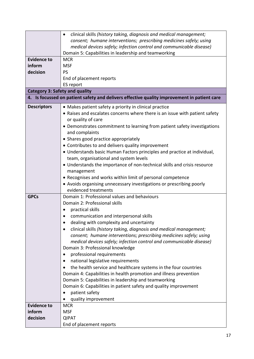|                                       | clinical skills (history taking, diagnosis and medical management;<br>$\bullet$             |  |  |
|---------------------------------------|---------------------------------------------------------------------------------------------|--|--|
|                                       | consent; humane interventions; prescribing medicines safely; using                          |  |  |
|                                       | medical devices safely; infection control and communicable disease)                         |  |  |
|                                       | Domain 5: Capabilities in leadership and teamworking                                        |  |  |
| <b>Evidence to</b>                    | <b>MCR</b>                                                                                  |  |  |
| inform                                | <b>MSF</b>                                                                                  |  |  |
| decision                              | <b>PS</b>                                                                                   |  |  |
|                                       | End of placement reports                                                                    |  |  |
|                                       | ES report                                                                                   |  |  |
| <b>Category 3: Safety and quality</b> |                                                                                             |  |  |
|                                       | 4. Is focussed on patient safety and delivers effective quality improvement in patient care |  |  |
| <b>Descriptors</b>                    | • Makes patient safety a priority in clinical practice                                      |  |  |
|                                       | • Raises and escalates concerns where there is an issue with patient safety                 |  |  |
|                                       | or quality of care                                                                          |  |  |
|                                       | • Demonstrates commitment to learning from patient safety investigations                    |  |  |
|                                       | and complaints                                                                              |  |  |
|                                       | • Shares good practice appropriately                                                        |  |  |
|                                       | • Contributes to and delivers quality improvement                                           |  |  |
|                                       | • Understands basic Human Factors principles and practice at individual,                    |  |  |
|                                       | team, organisational and system levels                                                      |  |  |
|                                       |                                                                                             |  |  |
|                                       | • Understands the importance of non-technical skills and crisis resource                    |  |  |
|                                       | management                                                                                  |  |  |
|                                       | • Recognises and works within limit of personal competence                                  |  |  |
|                                       | • Avoids organising unnecessary investigations or prescribing poorly                        |  |  |
|                                       | evidenced treatments                                                                        |  |  |
| <b>GPCs</b>                           | Domain 1: Professional values and behaviours                                                |  |  |
|                                       | Domain 2: Professional skills                                                               |  |  |
|                                       | practical skills                                                                            |  |  |
|                                       | communication and interpersonal skills                                                      |  |  |
|                                       | dealing with complexity and uncertainty                                                     |  |  |
|                                       | clinical skills (history taking, diagnosis and medical management;                          |  |  |
|                                       | consent; humane interventions; prescribing medicines safely; using                          |  |  |
|                                       | medical devices safely; infection control and communicable disease)                         |  |  |
|                                       | Domain 3: Professional knowledge                                                            |  |  |
|                                       | professional requirements<br>$\bullet$                                                      |  |  |
|                                       | national legislative requirements<br>$\bullet$                                              |  |  |
|                                       | the health service and healthcare systems in the four countries                             |  |  |
|                                       | Domain 4: Capabilities in health promotion and illness prevention                           |  |  |
|                                       | Domain 5: Capabilities in leadership and teamworking                                        |  |  |
|                                       | Domain 6: Capabilities in patient safety and quality improvement                            |  |  |
|                                       | patient safety                                                                              |  |  |
|                                       | quality improvement                                                                         |  |  |
| <b>Evidence to</b>                    | <b>MCR</b>                                                                                  |  |  |
| inform                                | <b>MSF</b>                                                                                  |  |  |
| decision                              | <b>QIPAT</b>                                                                                |  |  |
|                                       | End of placement reports                                                                    |  |  |
|                                       |                                                                                             |  |  |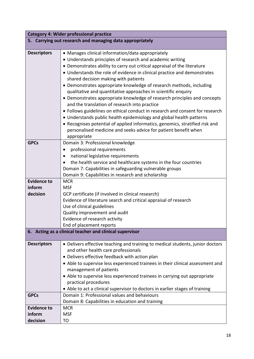| <b>Category 4: Wider professional practice</b>           |                                                                                |  |  |
|----------------------------------------------------------|--------------------------------------------------------------------------------|--|--|
| 5. Carrying out research and managing data appropriately |                                                                                |  |  |
|                                                          |                                                                                |  |  |
| <b>Descriptors</b>                                       | • Manages clinical information/data appropriately                              |  |  |
|                                                          | • Understands principles of research and academic writing                      |  |  |
|                                                          | • Demonstrates ability to carry out critical appraisal of the literature       |  |  |
|                                                          | • Understands the role of evidence in clinical practice and demonstrates       |  |  |
|                                                          | shared decision making with patients                                           |  |  |
|                                                          | • Demonstrates appropriate knowledge of research methods, including            |  |  |
|                                                          | qualitative and quantitative approaches in scientific enquiry                  |  |  |
|                                                          | • Demonstrates appropriate knowledge of research principles and concepts       |  |  |
|                                                          | and the translation of research into practice                                  |  |  |
|                                                          | • Follows guidelines on ethical conduct in research and consent for research   |  |  |
|                                                          | • Understands public health epidemiology and global health patterns            |  |  |
|                                                          | • Recognises potential of applied informatics, genomics, stratified risk and   |  |  |
|                                                          | personalised medicine and seeks advice for patient benefit when                |  |  |
|                                                          | appropriate                                                                    |  |  |
| <b>GPCs</b>                                              | Domain 3: Professional knowledge                                               |  |  |
|                                                          | professional requirements<br>$\bullet$                                         |  |  |
|                                                          | national legislative requirements<br>٠                                         |  |  |
|                                                          | the health service and healthcare systems in the four countries                |  |  |
|                                                          | Domain 7: Capabilities in safeguarding vulnerable groups                       |  |  |
|                                                          | Domain 9: Capabilities in research and scholarship                             |  |  |
| <b>Evidence to</b>                                       | <b>MCR</b>                                                                     |  |  |
| inform                                                   | <b>MSF</b>                                                                     |  |  |
| decision                                                 | GCP certificate (if involved in clinical research)                             |  |  |
|                                                          | Evidence of literature search and critical appraisal of research               |  |  |
|                                                          | Use of clinical guidelines                                                     |  |  |
|                                                          | Quality improvement and audit                                                  |  |  |
|                                                          | Evidence of research activity                                                  |  |  |
|                                                          | End of placement reports                                                       |  |  |
|                                                          | 6. Acting as a clinical teacher and clinical supervisor                        |  |  |
| <b>Descriptors</b>                                       | • Delivers effective teaching and training to medical students, junior doctors |  |  |
|                                                          | and other health care professionals                                            |  |  |
|                                                          | • Delivers effective feedback with action plan                                 |  |  |
|                                                          | • Able to supervise less experienced trainees in their clinical assessment and |  |  |
|                                                          | management of patients                                                         |  |  |
|                                                          | • Able to supervise less experienced trainees in carrying out appropriate      |  |  |
|                                                          | practical procedures                                                           |  |  |
|                                                          | • Able to act a clinical supervisor to doctors in earlier stages of training   |  |  |
| <b>GPCs</b>                                              | Domain 1: Professional values and behaviours                                   |  |  |
|                                                          | Domain 8: Capabilities in education and training                               |  |  |
| <b>Evidence to</b>                                       | <b>MCR</b>                                                                     |  |  |
| inform                                                   | <b>MSF</b>                                                                     |  |  |
| decision                                                 | TO                                                                             |  |  |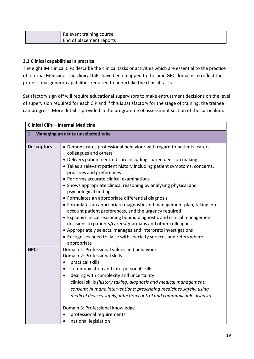| Relevant training course |
|--------------------------|
| End of placement reports |

# **3.3 Clinical capabilities in practice**

The eight IM clinical CiPs describe the clinical tasks or activities which are essential to the practice of Internal Medicine. The clinical CiPs have been mapped to the nine GPC domains to reflect the professional generic capabilities required to undertake the clinical tasks.

Satisfactory sign off will require educational supervisors to make entrustment decisions on the level of supervision required for each CiP and if this is satisfactory for the stage of training, the trainee can progress. More detail is provided in the programme of assessment section of the curriculum.

| Clinical CiPs - Internal Medicine    |                                                                                            |  |
|--------------------------------------|--------------------------------------------------------------------------------------------|--|
| 1. Managing an acute unselected take |                                                                                            |  |
| <b>Descriptors</b>                   | • Demonstrates professional behaviour with regard to patients, carers,                     |  |
|                                      | colleagues and others                                                                      |  |
|                                      | • Delivers patient centred care including shared decision making                           |  |
|                                      | • Takes a relevant patient history including patient symptoms, concerns,                   |  |
|                                      | priorities and preferences                                                                 |  |
|                                      | • Performs accurate clinical examinations                                                  |  |
|                                      | • Shows appropriate clinical reasoning by analysing physical and<br>psychological findings |  |
|                                      | • Formulates an appropriate differential diagnosis                                         |  |
|                                      | • Formulates an appropriate diagnostic and management plan, taking into                    |  |
|                                      | account patient preferences, and the urgency required                                      |  |
|                                      | • Explains clinical reasoning behind diagnostic and clinical management                    |  |
|                                      | decisions to patients/carers/guardians and other colleagues                                |  |
|                                      | • Appropriately selects, manages and interprets investigations                             |  |
|                                      | • Recognises need to liaise with specialty services and refers where                       |  |
| <b>GPCs</b>                          | appropriate<br>Domain 1: Professional values and behaviours                                |  |
|                                      | Domain 2: Professional skills                                                              |  |
|                                      | practical skills                                                                           |  |
|                                      | communication and interpersonal skills                                                     |  |
|                                      | dealing with complexity and uncertainty                                                    |  |
|                                      | clinical skills (history taking, diagnosis and medical management;                         |  |
|                                      | consent; humane interventions; prescribing medicines safely; using                         |  |
|                                      | medical devices safely; infection control and communicable disease)                        |  |
|                                      | Domain 3: Professional knowledge                                                           |  |
|                                      | professional requirements                                                                  |  |
|                                      | national legislation                                                                       |  |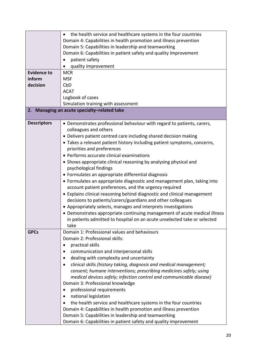|                    | the health service and healthcare systems in the four countries           |
|--------------------|---------------------------------------------------------------------------|
|                    | Domain 4: Capabilities in health promotion and illness prevention         |
|                    | Domain 5: Capabilities in leadership and teamworking                      |
|                    | Domain 6: Capabilities in patient safety and quality improvement          |
|                    | patient safety                                                            |
|                    | quality improvement                                                       |
| <b>Evidence to</b> | <b>MCR</b>                                                                |
| inform             | <b>MSF</b>                                                                |
| decision           | CbD                                                                       |
|                    | <b>ACAT</b>                                                               |
|                    | Logbook of cases                                                          |
|                    | Simulation training with assessment                                       |
|                    |                                                                           |
|                    | 2. Managing an acute specialty-related take                               |
| <b>Descriptors</b> | • Demonstrates professional behaviour with regard to patients, carers,    |
|                    | colleagues and others                                                     |
|                    | • Delivers patient centred care including shared decision making          |
|                    | • Takes a relevant patient history including patient symptoms, concerns,  |
|                    | priorities and preferences                                                |
|                    | • Performs accurate clinical examinations                                 |
|                    |                                                                           |
|                    | • Shows appropriate clinical reasoning by analysing physical and          |
|                    | psychological findings                                                    |
|                    | • Formulates an appropriate differential diagnosis                        |
|                    | • Formulates an appropriate diagnostic and management plan, taking into   |
|                    | account patient preferences, and the urgency required                     |
|                    | • Explains clinical reasoning behind diagnostic and clinical management   |
|                    | decisions to patients/carers/guardians and other colleagues               |
|                    | • Appropriately selects, manages and interprets investigations            |
|                    | • Demonstrates appropriate continuing management of acute medical illness |
|                    | in patients admitted to hospital on an acute unselected take or selected  |
|                    | take                                                                      |
| <b>GPCs</b>        | Domain 1: Professional values and behaviours                              |
|                    | Domain 2: Professional skills:                                            |
|                    | practical skills                                                          |
|                    | communication and interpersonal skills<br>٠                               |
|                    | dealing with complexity and uncertainty<br>$\bullet$                      |
|                    | clinical skills (history taking, diagnosis and medical management;        |
|                    | consent; humane interventions; prescribing medicines safely; using        |
|                    | medical devices safely; infection control and communicable disease)       |
|                    | Domain 3: Professional knowledge                                          |
|                    | professional requirements<br>٠                                            |
|                    |                                                                           |
|                    | national legislation<br>$\bullet$                                         |
|                    | the health service and healthcare systems in the four countries           |
|                    | Domain 4: Capabilities in health promotion and illness prevention         |
|                    | Domain 5: Capabilities in leadership and teamworking                      |
|                    | Domain 6: Capabilities in patient safety and quality improvement          |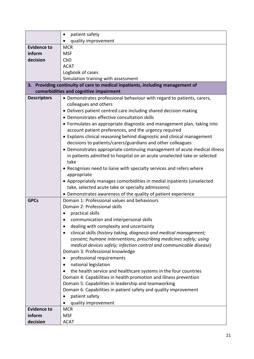|                    | patient safety<br>$\bullet$                                                                                                  |  |  |
|--------------------|------------------------------------------------------------------------------------------------------------------------------|--|--|
|                    | quality improvement                                                                                                          |  |  |
| <b>Evidence to</b> | <b>MCR</b>                                                                                                                   |  |  |
| inform             | <b>MSF</b>                                                                                                                   |  |  |
| decision           | CbD                                                                                                                          |  |  |
|                    | <b>ACAT</b>                                                                                                                  |  |  |
|                    | Logbook of cases                                                                                                             |  |  |
|                    | Simulation training with assessment                                                                                          |  |  |
|                    | 3. Providing continuity of care to medical inpatients, including management of                                               |  |  |
|                    | comorbidities and cognitive impairment                                                                                       |  |  |
| <b>Descriptors</b> | • Demonstrates professional behaviour with regard to patients, carers,                                                       |  |  |
|                    | colleagues and others                                                                                                        |  |  |
|                    | • Delivers patient centred care including shared decision making                                                             |  |  |
|                    | • Demonstrates effective consultation skills                                                                                 |  |  |
|                    | • Formulates an appropriate diagnostic and management plan, taking into                                                      |  |  |
|                    | account patient preferences, and the urgency required                                                                        |  |  |
|                    | • Explains clinical reasoning behind diagnostic and clinical management                                                      |  |  |
|                    | decisions to patients/carers/guardians and other colleagues                                                                  |  |  |
|                    | • Demonstrates appropriate continuing management of acute medical illness                                                    |  |  |
|                    | in patients admitted to hospital on an acute unselected take or selected                                                     |  |  |
|                    | take                                                                                                                         |  |  |
|                    | • Recognises need to liaise with specialty services and refers where                                                         |  |  |
|                    | appropriate                                                                                                                  |  |  |
|                    | • Appropriately manages comorbidities in medial inpatients (unselected<br>take, selected acute take or specialty admissions) |  |  |
|                    | • Demonstrates awareness of the quality of patient experience                                                                |  |  |
| <b>GPCs</b>        | Domain 1: Professional values and behaviours                                                                                 |  |  |
|                    | Domain 2: Professional skills                                                                                                |  |  |
|                    | practical skills                                                                                                             |  |  |
|                    | communication and interpersonal skills                                                                                       |  |  |
|                    | dealing with complexity and uncertainty                                                                                      |  |  |
|                    | clinical skills (history taking, diagnosis and medical management;<br>٠                                                      |  |  |
|                    | consent; humane interventions; prescribing medicines safely; using                                                           |  |  |
|                    | medical devices safely; infection control and communicable disease)                                                          |  |  |
|                    | Domain 3: Professional knowledge                                                                                             |  |  |
|                    | professional requirements                                                                                                    |  |  |
|                    | national legislation                                                                                                         |  |  |
|                    | the health service and healthcare systems in the four countries                                                              |  |  |
|                    | Domain 4: Capabilities in health promotion and illness prevention                                                            |  |  |
|                    | Domain 5: Capabilities in leadership and teamworking                                                                         |  |  |
|                    | Domain 6: Capabilities in patient safety and quality improvement                                                             |  |  |
|                    | patient safety                                                                                                               |  |  |
|                    | quality improvement                                                                                                          |  |  |
| <b>Evidence to</b> | <b>MCR</b>                                                                                                                   |  |  |
| inform             | <b>MSF</b>                                                                                                                   |  |  |
| decision           | <b>ACAT</b>                                                                                                                  |  |  |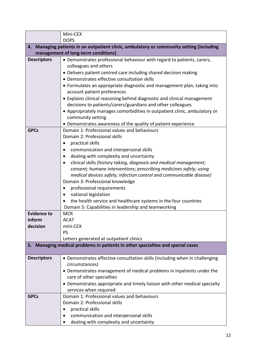|                    | Mini-CEX                                                                                               |  |
|--------------------|--------------------------------------------------------------------------------------------------------|--|
| <b>DOPS</b>        |                                                                                                        |  |
|                    | 4. Managing patients in an outpatient clinic, ambulatory or community setting (including               |  |
|                    | management of long-term conditions)                                                                    |  |
| <b>Descriptors</b> | • Demonstrates professional behaviour with regard to patients, carers,                                 |  |
|                    | colleagues and others                                                                                  |  |
|                    | • Delivers patient centred care including shared decision making                                       |  |
|                    | • Demonstrates effective consultation skills                                                           |  |
|                    | • Formulates an appropriate diagnostic and management plan, taking into                                |  |
|                    | account patient preferences<br>• Explains clinical reasoning behind diagnostic and clinical management |  |
|                    | decisions to patients/carers/guardians and other colleagues                                            |  |
|                    | • Appropriately manages comorbidities in outpatient clinic, ambulatory or                              |  |
|                    | community setting                                                                                      |  |
|                    | • Demonstrates awareness of the quality of patient experience                                          |  |
| <b>GPCs</b>        | Domain 1: Professional values and behaviours                                                           |  |
|                    | Domain 2: Professional skills                                                                          |  |
|                    | practical skills<br>٠                                                                                  |  |
|                    | communication and interpersonal skills                                                                 |  |
|                    | dealing with complexity and uncertainty<br>$\bullet$                                                   |  |
|                    | clinical skills (history taking, diagnosis and medical management;<br>$\bullet$                        |  |
|                    | consent; humane interventions; prescribing medicines safely; using                                     |  |
|                    | medical devices safely; infection control and communicable disease)                                    |  |
|                    | Domain 3: Professional knowledge                                                                       |  |
|                    | professional requirements<br>$\bullet$                                                                 |  |
|                    | national legislation<br>$\bullet$                                                                      |  |
|                    | the health service and healthcare systems in the four countries                                        |  |
|                    | Domain 5: Capabilities in leadership and teamworking                                                   |  |
| <b>Evidence to</b> | <b>MCR</b>                                                                                             |  |
| inform<br>decision | <b>ACAT</b><br>mini-CEX                                                                                |  |
|                    | <b>PS</b>                                                                                              |  |
|                    | Letters generated at outpatient clinics                                                                |  |
|                    | 5. Managing medical problems in patients in other specialties and special cases                        |  |
|                    |                                                                                                        |  |
| <b>Descriptors</b> | • Demonstrates effective consultation skills (including when in challenging                            |  |
|                    | circumstances)                                                                                         |  |
|                    | • Demonstrates management of medical problems in inpatients under the                                  |  |
|                    | care of other specialties                                                                              |  |
|                    | • Demonstrates appropriate and timely liaison with other medical specialty                             |  |
|                    | services when required                                                                                 |  |
| <b>GPCs</b>        | Domain 1: Professional values and behaviours                                                           |  |
|                    | Domain 2: Professional skills                                                                          |  |
|                    | practical skills                                                                                       |  |
|                    | communication and interpersonal skills<br>$\bullet$                                                    |  |
|                    | dealing with complexity and uncertainty                                                                |  |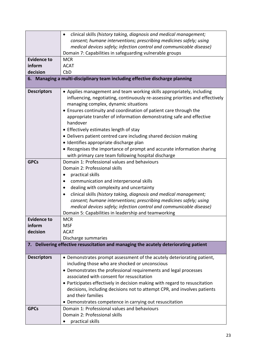|                    | clinical skills (history taking, diagnosis and medical management;<br>$\bullet$                                          |
|--------------------|--------------------------------------------------------------------------------------------------------------------------|
|                    | consent; humane interventions; prescribing medicines safely; using                                                       |
|                    | medical devices safely; infection control and communicable disease)                                                      |
|                    | Domain 7: Capabilities in safeguarding vulnerable groups                                                                 |
| <b>Evidence to</b> | <b>MCR</b>                                                                                                               |
| inform             | <b>ACAT</b>                                                                                                              |
| decision           | CbD                                                                                                                      |
|                    | 6. Managing a multi-disciplinary team including effective discharge planning                                             |
|                    |                                                                                                                          |
| <b>Descriptors</b> | • Applies management and team working skills appropriately, including                                                    |
|                    | influencing, negotiating, continuously re-assessing priorities and effectively                                           |
|                    | managing complex, dynamic situations                                                                                     |
|                    | • Ensures continuity and coordination of patient care through the                                                        |
|                    | appropriate transfer of information demonstrating safe and effective                                                     |
|                    | handover                                                                                                                 |
|                    | • Effectively estimates length of stay                                                                                   |
|                    | • Delivers patient centred care including shared decision making                                                         |
|                    | · Identifies appropriate discharge plan                                                                                  |
|                    | • Recognises the importance of prompt and accurate information sharing                                                   |
|                    | with primary care team following hospital discharge                                                                      |
| <b>GPCs</b>        | Domain 1: Professional values and behaviours                                                                             |
|                    | Domain 2: Professional skills                                                                                            |
|                    |                                                                                                                          |
|                    | practical skills<br>$\bullet$                                                                                            |
|                    | communication and interpersonal skills                                                                                   |
|                    | dealing with complexity and uncertainty                                                                                  |
|                    | clinical skills (history taking, diagnosis and medical management;<br>٠                                                  |
|                    | consent; humane interventions; prescribing medicines safely; using                                                       |
|                    | medical devices safely; infection control and communicable disease)                                                      |
|                    | Domain 5: Capabilities in leadership and teamworking                                                                     |
| <b>Evidence to</b> | <b>MCR</b>                                                                                                               |
| inform             | <b>MSF</b>                                                                                                               |
| decision           | <b>ACAT</b>                                                                                                              |
|                    | Discharge summaries                                                                                                      |
|                    | 7. Delivering effective resuscitation and managing the acutely deteriorating patient                                     |
| <b>Descriptors</b> |                                                                                                                          |
|                    | • Demonstrates prompt assessment of the acutely deteriorating patient,<br>including those who are shocked or unconscious |
|                    | • Demonstrates the professional requirements and legal processes                                                         |
|                    | associated with consent for resuscitation                                                                                |
|                    |                                                                                                                          |
|                    | • Participates effectively in decision making with regard to resuscitation                                               |
|                    | decisions, including decisions not to attempt CPR, and involves patients                                                 |
|                    | and their families                                                                                                       |
|                    | • Demonstrates competence in carrying out resuscitation                                                                  |
| <b>GPCs</b>        | Domain 1: Professional values and behaviours                                                                             |
|                    | Domain 2: Professional skills                                                                                            |
|                    | practical skills                                                                                                         |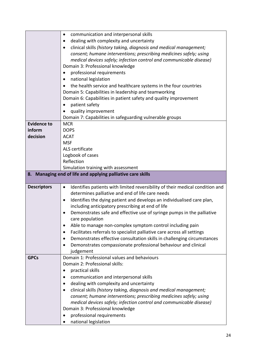| dealing with complexity and uncertainty<br>$\bullet$<br>clinical skills (history taking, diagnosis and medical management;<br>$\bullet$<br>consent; humane interventions; prescribing medicines safely; using<br>medical devices safely; infection control and communicable disease)<br>Domain 3: Professional knowledge<br>professional requirements<br>$\bullet$<br>national legislation<br>٠<br>the health service and healthcare systems in the four countries<br>Domain 5: Capabilities in leadership and teamworking<br>Domain 6: Capabilities in patient safety and quality improvement<br>patient safety<br>٠<br>quality improvement<br>Domain 7: Capabilities in safeguarding vulnerable groups<br><b>Evidence to</b><br><b>MCR</b><br>inform<br><b>DOPS</b><br>decision<br><b>ACAT</b><br><b>MSF</b><br>ALS certificate<br>Logbook of cases<br>Reflection<br>Simulation training with assessment<br>8. Managing end of life and applying palliative care skills<br><b>Descriptors</b><br>Identifies patients with limited reversibility of their medical condition and<br>$\bullet$<br>determines palliative and end of life care needs<br>Identifies the dying patient and develops an individualised care plan,<br>$\bullet$<br>including anticipatory prescribing at end of life<br>Demonstrates safe and effective use of syringe pumps in the palliative<br>care population<br>Able to manage non-complex symptom control including pain<br>$\bullet$<br>Facilitates referrals to specialist palliative care across all settings<br>٠<br>Demonstrates effective consultation skills in challenging circumstances<br>٠<br>Demonstrates compassionate professional behaviour and clinical<br>٠ |
|-------------------------------------------------------------------------------------------------------------------------------------------------------------------------------------------------------------------------------------------------------------------------------------------------------------------------------------------------------------------------------------------------------------------------------------------------------------------------------------------------------------------------------------------------------------------------------------------------------------------------------------------------------------------------------------------------------------------------------------------------------------------------------------------------------------------------------------------------------------------------------------------------------------------------------------------------------------------------------------------------------------------------------------------------------------------------------------------------------------------------------------------------------------------------------------------------------------------------------------------------------------------------------------------------------------------------------------------------------------------------------------------------------------------------------------------------------------------------------------------------------------------------------------------------------------------------------------------------------------------------------------------------------------------------------------------------------------|
|                                                                                                                                                                                                                                                                                                                                                                                                                                                                                                                                                                                                                                                                                                                                                                                                                                                                                                                                                                                                                                                                                                                                                                                                                                                                                                                                                                                                                                                                                                                                                                                                                                                                                                             |
|                                                                                                                                                                                                                                                                                                                                                                                                                                                                                                                                                                                                                                                                                                                                                                                                                                                                                                                                                                                                                                                                                                                                                                                                                                                                                                                                                                                                                                                                                                                                                                                                                                                                                                             |
|                                                                                                                                                                                                                                                                                                                                                                                                                                                                                                                                                                                                                                                                                                                                                                                                                                                                                                                                                                                                                                                                                                                                                                                                                                                                                                                                                                                                                                                                                                                                                                                                                                                                                                             |
|                                                                                                                                                                                                                                                                                                                                                                                                                                                                                                                                                                                                                                                                                                                                                                                                                                                                                                                                                                                                                                                                                                                                                                                                                                                                                                                                                                                                                                                                                                                                                                                                                                                                                                             |
|                                                                                                                                                                                                                                                                                                                                                                                                                                                                                                                                                                                                                                                                                                                                                                                                                                                                                                                                                                                                                                                                                                                                                                                                                                                                                                                                                                                                                                                                                                                                                                                                                                                                                                             |
|                                                                                                                                                                                                                                                                                                                                                                                                                                                                                                                                                                                                                                                                                                                                                                                                                                                                                                                                                                                                                                                                                                                                                                                                                                                                                                                                                                                                                                                                                                                                                                                                                                                                                                             |
|                                                                                                                                                                                                                                                                                                                                                                                                                                                                                                                                                                                                                                                                                                                                                                                                                                                                                                                                                                                                                                                                                                                                                                                                                                                                                                                                                                                                                                                                                                                                                                                                                                                                                                             |
|                                                                                                                                                                                                                                                                                                                                                                                                                                                                                                                                                                                                                                                                                                                                                                                                                                                                                                                                                                                                                                                                                                                                                                                                                                                                                                                                                                                                                                                                                                                                                                                                                                                                                                             |
|                                                                                                                                                                                                                                                                                                                                                                                                                                                                                                                                                                                                                                                                                                                                                                                                                                                                                                                                                                                                                                                                                                                                                                                                                                                                                                                                                                                                                                                                                                                                                                                                                                                                                                             |
|                                                                                                                                                                                                                                                                                                                                                                                                                                                                                                                                                                                                                                                                                                                                                                                                                                                                                                                                                                                                                                                                                                                                                                                                                                                                                                                                                                                                                                                                                                                                                                                                                                                                                                             |
|                                                                                                                                                                                                                                                                                                                                                                                                                                                                                                                                                                                                                                                                                                                                                                                                                                                                                                                                                                                                                                                                                                                                                                                                                                                                                                                                                                                                                                                                                                                                                                                                                                                                                                             |
|                                                                                                                                                                                                                                                                                                                                                                                                                                                                                                                                                                                                                                                                                                                                                                                                                                                                                                                                                                                                                                                                                                                                                                                                                                                                                                                                                                                                                                                                                                                                                                                                                                                                                                             |
|                                                                                                                                                                                                                                                                                                                                                                                                                                                                                                                                                                                                                                                                                                                                                                                                                                                                                                                                                                                                                                                                                                                                                                                                                                                                                                                                                                                                                                                                                                                                                                                                                                                                                                             |
|                                                                                                                                                                                                                                                                                                                                                                                                                                                                                                                                                                                                                                                                                                                                                                                                                                                                                                                                                                                                                                                                                                                                                                                                                                                                                                                                                                                                                                                                                                                                                                                                                                                                                                             |
|                                                                                                                                                                                                                                                                                                                                                                                                                                                                                                                                                                                                                                                                                                                                                                                                                                                                                                                                                                                                                                                                                                                                                                                                                                                                                                                                                                                                                                                                                                                                                                                                                                                                                                             |
|                                                                                                                                                                                                                                                                                                                                                                                                                                                                                                                                                                                                                                                                                                                                                                                                                                                                                                                                                                                                                                                                                                                                                                                                                                                                                                                                                                                                                                                                                                                                                                                                                                                                                                             |
|                                                                                                                                                                                                                                                                                                                                                                                                                                                                                                                                                                                                                                                                                                                                                                                                                                                                                                                                                                                                                                                                                                                                                                                                                                                                                                                                                                                                                                                                                                                                                                                                                                                                                                             |
|                                                                                                                                                                                                                                                                                                                                                                                                                                                                                                                                                                                                                                                                                                                                                                                                                                                                                                                                                                                                                                                                                                                                                                                                                                                                                                                                                                                                                                                                                                                                                                                                                                                                                                             |
|                                                                                                                                                                                                                                                                                                                                                                                                                                                                                                                                                                                                                                                                                                                                                                                                                                                                                                                                                                                                                                                                                                                                                                                                                                                                                                                                                                                                                                                                                                                                                                                                                                                                                                             |
|                                                                                                                                                                                                                                                                                                                                                                                                                                                                                                                                                                                                                                                                                                                                                                                                                                                                                                                                                                                                                                                                                                                                                                                                                                                                                                                                                                                                                                                                                                                                                                                                                                                                                                             |
|                                                                                                                                                                                                                                                                                                                                                                                                                                                                                                                                                                                                                                                                                                                                                                                                                                                                                                                                                                                                                                                                                                                                                                                                                                                                                                                                                                                                                                                                                                                                                                                                                                                                                                             |
|                                                                                                                                                                                                                                                                                                                                                                                                                                                                                                                                                                                                                                                                                                                                                                                                                                                                                                                                                                                                                                                                                                                                                                                                                                                                                                                                                                                                                                                                                                                                                                                                                                                                                                             |
|                                                                                                                                                                                                                                                                                                                                                                                                                                                                                                                                                                                                                                                                                                                                                                                                                                                                                                                                                                                                                                                                                                                                                                                                                                                                                                                                                                                                                                                                                                                                                                                                                                                                                                             |
|                                                                                                                                                                                                                                                                                                                                                                                                                                                                                                                                                                                                                                                                                                                                                                                                                                                                                                                                                                                                                                                                                                                                                                                                                                                                                                                                                                                                                                                                                                                                                                                                                                                                                                             |
|                                                                                                                                                                                                                                                                                                                                                                                                                                                                                                                                                                                                                                                                                                                                                                                                                                                                                                                                                                                                                                                                                                                                                                                                                                                                                                                                                                                                                                                                                                                                                                                                                                                                                                             |
|                                                                                                                                                                                                                                                                                                                                                                                                                                                                                                                                                                                                                                                                                                                                                                                                                                                                                                                                                                                                                                                                                                                                                                                                                                                                                                                                                                                                                                                                                                                                                                                                                                                                                                             |
|                                                                                                                                                                                                                                                                                                                                                                                                                                                                                                                                                                                                                                                                                                                                                                                                                                                                                                                                                                                                                                                                                                                                                                                                                                                                                                                                                                                                                                                                                                                                                                                                                                                                                                             |
|                                                                                                                                                                                                                                                                                                                                                                                                                                                                                                                                                                                                                                                                                                                                                                                                                                                                                                                                                                                                                                                                                                                                                                                                                                                                                                                                                                                                                                                                                                                                                                                                                                                                                                             |
|                                                                                                                                                                                                                                                                                                                                                                                                                                                                                                                                                                                                                                                                                                                                                                                                                                                                                                                                                                                                                                                                                                                                                                                                                                                                                                                                                                                                                                                                                                                                                                                                                                                                                                             |
|                                                                                                                                                                                                                                                                                                                                                                                                                                                                                                                                                                                                                                                                                                                                                                                                                                                                                                                                                                                                                                                                                                                                                                                                                                                                                                                                                                                                                                                                                                                                                                                                                                                                                                             |
|                                                                                                                                                                                                                                                                                                                                                                                                                                                                                                                                                                                                                                                                                                                                                                                                                                                                                                                                                                                                                                                                                                                                                                                                                                                                                                                                                                                                                                                                                                                                                                                                                                                                                                             |
|                                                                                                                                                                                                                                                                                                                                                                                                                                                                                                                                                                                                                                                                                                                                                                                                                                                                                                                                                                                                                                                                                                                                                                                                                                                                                                                                                                                                                                                                                                                                                                                                                                                                                                             |
|                                                                                                                                                                                                                                                                                                                                                                                                                                                                                                                                                                                                                                                                                                                                                                                                                                                                                                                                                                                                                                                                                                                                                                                                                                                                                                                                                                                                                                                                                                                                                                                                                                                                                                             |
| judgement                                                                                                                                                                                                                                                                                                                                                                                                                                                                                                                                                                                                                                                                                                                                                                                                                                                                                                                                                                                                                                                                                                                                                                                                                                                                                                                                                                                                                                                                                                                                                                                                                                                                                                   |
| Domain 1: Professional values and behaviours<br><b>GPCs</b>                                                                                                                                                                                                                                                                                                                                                                                                                                                                                                                                                                                                                                                                                                                                                                                                                                                                                                                                                                                                                                                                                                                                                                                                                                                                                                                                                                                                                                                                                                                                                                                                                                                 |
| Domain 2: Professional skills:                                                                                                                                                                                                                                                                                                                                                                                                                                                                                                                                                                                                                                                                                                                                                                                                                                                                                                                                                                                                                                                                                                                                                                                                                                                                                                                                                                                                                                                                                                                                                                                                                                                                              |
| practical skills<br>٠                                                                                                                                                                                                                                                                                                                                                                                                                                                                                                                                                                                                                                                                                                                                                                                                                                                                                                                                                                                                                                                                                                                                                                                                                                                                                                                                                                                                                                                                                                                                                                                                                                                                                       |
| communication and interpersonal skills<br>٠                                                                                                                                                                                                                                                                                                                                                                                                                                                                                                                                                                                                                                                                                                                                                                                                                                                                                                                                                                                                                                                                                                                                                                                                                                                                                                                                                                                                                                                                                                                                                                                                                                                                 |
| dealing with complexity and uncertainty<br>$\bullet$                                                                                                                                                                                                                                                                                                                                                                                                                                                                                                                                                                                                                                                                                                                                                                                                                                                                                                                                                                                                                                                                                                                                                                                                                                                                                                                                                                                                                                                                                                                                                                                                                                                        |
| clinical skills (history taking, diagnosis and medical management;<br>$\bullet$                                                                                                                                                                                                                                                                                                                                                                                                                                                                                                                                                                                                                                                                                                                                                                                                                                                                                                                                                                                                                                                                                                                                                                                                                                                                                                                                                                                                                                                                                                                                                                                                                             |
| consent; humane interventions; prescribing medicines safely; using                                                                                                                                                                                                                                                                                                                                                                                                                                                                                                                                                                                                                                                                                                                                                                                                                                                                                                                                                                                                                                                                                                                                                                                                                                                                                                                                                                                                                                                                                                                                                                                                                                          |
| medical devices safely; infection control and communicable disease)                                                                                                                                                                                                                                                                                                                                                                                                                                                                                                                                                                                                                                                                                                                                                                                                                                                                                                                                                                                                                                                                                                                                                                                                                                                                                                                                                                                                                                                                                                                                                                                                                                         |
| Domain 3: Professional knowledge                                                                                                                                                                                                                                                                                                                                                                                                                                                                                                                                                                                                                                                                                                                                                                                                                                                                                                                                                                                                                                                                                                                                                                                                                                                                                                                                                                                                                                                                                                                                                                                                                                                                            |
| professional requirements<br>$\bullet$                                                                                                                                                                                                                                                                                                                                                                                                                                                                                                                                                                                                                                                                                                                                                                                                                                                                                                                                                                                                                                                                                                                                                                                                                                                                                                                                                                                                                                                                                                                                                                                                                                                                      |
| national legislation                                                                                                                                                                                                                                                                                                                                                                                                                                                                                                                                                                                                                                                                                                                                                                                                                                                                                                                                                                                                                                                                                                                                                                                                                                                                                                                                                                                                                                                                                                                                                                                                                                                                                        |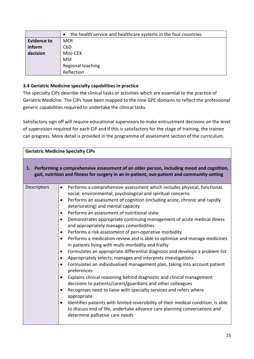|                    | the health service and healthcare systems in the four countries<br>$\bullet$ |
|--------------------|------------------------------------------------------------------------------|
| <b>Evidence to</b> | <b>MCR</b>                                                                   |
| inform             | CbD                                                                          |
| decision           | Mini-CEX                                                                     |
|                    | <b>MSF</b>                                                                   |
|                    | Regional teaching                                                            |
|                    | Reflection                                                                   |

# **3.4 Geriatric Medicine specialty capabilities in practice**

The specialty CiPs describe the clinical tasks or activities which are essential to the practice of Geriatric Medicine. The CiPs have been mapped to the nine GPC domains to reflect the professional generic capabilities required to undertake the clinical tasks.

Satisfactory sign off will require educational supervisors to make entrustment decisions on the level of supervision required for each CiP and if this is satisfactory for the stage of training, the trainee can progress. More detail is provided in the programme of assessment section of the curriculum.

| <b>Geriatric Medicine Specialty CiPs</b> |                                                                                                                                                                                                                                                                                                                                                                                                                                                                                                                                                                                                                                                                                                                                                                                                                                                                                                                                                                                                                                                                                                                                                                                                                                                                                                                                                                                                                                                                          |  |
|------------------------------------------|--------------------------------------------------------------------------------------------------------------------------------------------------------------------------------------------------------------------------------------------------------------------------------------------------------------------------------------------------------------------------------------------------------------------------------------------------------------------------------------------------------------------------------------------------------------------------------------------------------------------------------------------------------------------------------------------------------------------------------------------------------------------------------------------------------------------------------------------------------------------------------------------------------------------------------------------------------------------------------------------------------------------------------------------------------------------------------------------------------------------------------------------------------------------------------------------------------------------------------------------------------------------------------------------------------------------------------------------------------------------------------------------------------------------------------------------------------------------------|--|
|                                          | 1. Performing a comprehensive assessment of an older person, including mood and cognition,<br>gait, nutrition and fitness for surgery in an in-patient, out-patient and community setting                                                                                                                                                                                                                                                                                                                                                                                                                                                                                                                                                                                                                                                                                                                                                                                                                                                                                                                                                                                                                                                                                                                                                                                                                                                                                |  |
| Descriptors                              | Performs a comprehensive assessment which includes physical, functional,<br>$\bullet$<br>social, environmental, psychological and spiritual concerns<br>Performs an assessment of cognition (including acute, chronic and rapidly<br>$\bullet$<br>deteriorating) and mental capacity<br>Performs an assessment of nutritional state<br>$\bullet$<br>Demonstrates appropriate continuing management of acute medical illness<br>$\bullet$<br>and appropriately manages comorbidities<br>Performs a risk assessment of peri-operative morbidity<br>$\bullet$<br>Performs a medication review and is able to optimise and manage medicines<br>$\bullet$<br>in patients living with multi-morbidity and frailty<br>Formulates an appropriate differential diagnosis and develops a problem list<br>$\bullet$<br>Appropriately selects, manages and interprets investigations<br>$\bullet$<br>Formulates an individualised management plan, taking into account patient<br>$\bullet$<br>preferences<br>Explains clinical reasoning behind diagnostic and clinical management<br>$\bullet$<br>decisions to patients/carers/guardians and other colleagues<br>Recognises need to liaise with specialty services and refers where<br>$\bullet$<br>appropriate<br>Identifies patients with limited reversibility of their medical condition, is able<br>$\bullet$<br>to discuss end of life, undertake advance care planning conversations and<br>determine palliative care needs |  |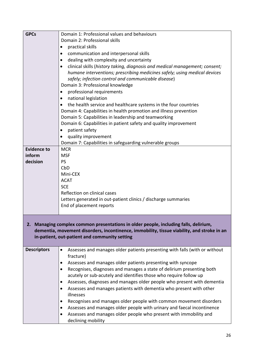| <b>GPCs</b>        | Domain 1: Professional values and behaviours                                                                                                                                                                                        |
|--------------------|-------------------------------------------------------------------------------------------------------------------------------------------------------------------------------------------------------------------------------------|
|                    | Domain 2: Professional skills                                                                                                                                                                                                       |
|                    | practical skills<br>$\bullet$                                                                                                                                                                                                       |
|                    | communication and interpersonal skills<br>$\bullet$                                                                                                                                                                                 |
|                    | dealing with complexity and uncertainty<br>$\bullet$                                                                                                                                                                                |
|                    | clinical skills (history taking, diagnosis and medical management; consent;<br>$\bullet$                                                                                                                                            |
|                    | humane interventions; prescribing medicines safely; using medical devices                                                                                                                                                           |
|                    | safely; infection control and communicable disease)                                                                                                                                                                                 |
|                    | Domain 3: Professional knowledge                                                                                                                                                                                                    |
|                    | professional requirements<br>$\bullet$                                                                                                                                                                                              |
|                    | national legislation<br>$\bullet$                                                                                                                                                                                                   |
|                    | the health service and healthcare systems in the four countries<br>$\bullet$                                                                                                                                                        |
|                    | Domain 4: Capabilities in health promotion and illness prevention                                                                                                                                                                   |
|                    | Domain 5: Capabilities in leadership and teamworking                                                                                                                                                                                |
|                    | Domain 6: Capabilities in patient safety and quality improvement                                                                                                                                                                    |
|                    | patient safety<br>٠                                                                                                                                                                                                                 |
|                    | quality improvement<br>$\bullet$                                                                                                                                                                                                    |
|                    | Domain 7: Capabilities in safeguarding vulnerable groups                                                                                                                                                                            |
| <b>Evidence to</b> | <b>MCR</b>                                                                                                                                                                                                                          |
| inform             | <b>MSF</b>                                                                                                                                                                                                                          |
| decision           | <b>PS</b>                                                                                                                                                                                                                           |
|                    | CbD                                                                                                                                                                                                                                 |
|                    | Mini-CEX                                                                                                                                                                                                                            |
|                    | <b>ACAT</b>                                                                                                                                                                                                                         |
|                    | <b>SCE</b>                                                                                                                                                                                                                          |
|                    | Reflection on clinical cases                                                                                                                                                                                                        |
|                    | Letters generated in out-patient clinics / discharge summaries                                                                                                                                                                      |
|                    | End of placement reports                                                                                                                                                                                                            |
|                    |                                                                                                                                                                                                                                     |
|                    | 2. Managing complex common presentations in older people, including falls, delirium,<br>dementia, movement disorders, incontinence, immobility, tissue viability, and stroke in an<br>in-patient, out-patient and community setting |
| <b>Descriptors</b> | Assesses and manages older patients presenting with falls (with or without                                                                                                                                                          |
|                    | fracture)                                                                                                                                                                                                                           |
|                    | Assesses and manages older patients presenting with syncope<br>$\bullet$                                                                                                                                                            |
|                    | Recognises, diagnoses and manages a state of delirium presenting both<br>$\bullet$                                                                                                                                                  |
|                    | acutely or sub-acutely and identifies those who require follow up                                                                                                                                                                   |
|                    | Assesses, diagnoses and manages older people who present with dementia<br>$\bullet$                                                                                                                                                 |
|                    | Assesses and manages patients with dementia who present with other<br>$\bullet$<br>illnesses                                                                                                                                        |
|                    | Recognises and manages older people with common movement disorders<br>$\bullet$                                                                                                                                                     |
|                    | Assesses and manages older people with urinary and faecal incontinence<br>٠                                                                                                                                                         |
|                    | Assesses and manages older people who present with immobility and                                                                                                                                                                   |
|                    | declining mobility                                                                                                                                                                                                                  |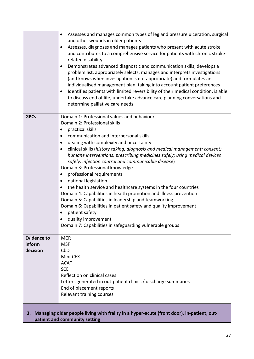|                                                                                                                                  | Assesses and manages common types of leg and pressure ulceration, surgical<br>$\bullet$<br>and other wounds in older patients<br>Assesses, diagnoses and manages patients who present with acute stroke<br>and contributes to a comprehensive service for patients with chronic stroke-<br>related disability<br>Demonstrates advanced diagnostic and communication skills, develops a<br>problem list, appropriately selects, manages and interprets investigations<br>(and knows when investigation is not appropriate) and formulates an<br>individualised management plan, taking into account patient preferences<br>Identifies patients with limited reversibility of their medical condition, is able<br>to discuss end of life, undertake advance care planning conversations and<br>determine palliative care needs                                                                                                                                                |
|----------------------------------------------------------------------------------------------------------------------------------|-----------------------------------------------------------------------------------------------------------------------------------------------------------------------------------------------------------------------------------------------------------------------------------------------------------------------------------------------------------------------------------------------------------------------------------------------------------------------------------------------------------------------------------------------------------------------------------------------------------------------------------------------------------------------------------------------------------------------------------------------------------------------------------------------------------------------------------------------------------------------------------------------------------------------------------------------------------------------------|
| <b>GPCs</b>                                                                                                                      | Domain 1: Professional values and behaviours<br>Domain 2: Professional skills<br>practical skills<br>$\bullet$<br>communication and interpersonal skills<br>$\bullet$<br>dealing with complexity and uncertainty<br>$\bullet$<br>clinical skills (history taking, diagnosis and medical management; consent;<br>$\bullet$<br>humane interventions; prescribing medicines safely; using medical devices<br>safely; infection control and communicable disease)<br>Domain 3: Professional knowledge<br>professional requirements<br>$\bullet$<br>national legislation<br>$\bullet$<br>the health service and healthcare systems in the four countries<br>$\bullet$<br>Domain 4: Capabilities in health promotion and illness prevention<br>Domain 5: Capabilities in leadership and teamworking<br>Domain 6: Capabilities in patient safety and quality improvement<br>patient safety<br>٠<br>quality improvement<br>Domain 7: Capabilities in safeguarding vulnerable groups |
| <b>Evidence to</b><br>inform<br>decision                                                                                         | <b>MCR</b><br><b>MSF</b><br>CbD<br>Mini-CEX<br><b>ACAT</b><br><b>SCE</b><br>Reflection on clinical cases<br>Letters generated in out-patient clinics / discharge summaries<br>End of placement reports<br>Relevant training courses                                                                                                                                                                                                                                                                                                                                                                                                                                                                                                                                                                                                                                                                                                                                         |
| Managing older people living with frailty in a hyper-acute (front door), in-patient, out-<br>З.<br>patient and community setting |                                                                                                                                                                                                                                                                                                                                                                                                                                                                                                                                                                                                                                                                                                                                                                                                                                                                                                                                                                             |

**patient and community setting**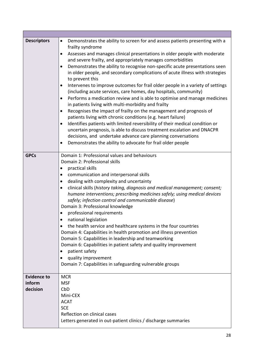| <b>Descriptors</b> | Demonstrates the ability to screen for and assess patients presenting with a<br>$\bullet$                                                                  |
|--------------------|------------------------------------------------------------------------------------------------------------------------------------------------------------|
|                    | frailty syndrome                                                                                                                                           |
|                    | Assesses and manages clinical presentations in older people with moderate                                                                                  |
|                    | and severe frailty, and appropriately manages comorbidities                                                                                                |
|                    | Demonstrates the ability to recognise non-specific acute presentations seen                                                                                |
|                    | in older people, and secondary complications of acute illness with strategies<br>to prevent this                                                           |
|                    | Intervenes to improve outcomes for frail older people in a variety of settings<br>$\bullet$                                                                |
|                    | (including acute services, care homes, day hospitals, community)<br>Performs a medication review and is able to optimise and manage medicines<br>$\bullet$ |
|                    | in patients living with multi-morbidity and frailty                                                                                                        |
|                    | Recognises the impact of frailty on the management and prognosis of<br>$\bullet$                                                                           |
|                    | patients living with chronic conditions (e.g. heart failure)                                                                                               |
|                    | Identifies patients with limited reversibility of their medical condition or<br>$\bullet$                                                                  |
|                    | uncertain prognosis, is able to discuss treatment escalation and DNACPR                                                                                    |
|                    | decisions, and undertake advance care planning conversations                                                                                               |
|                    | Demonstrates the ability to advocate for frail older people                                                                                                |
| <b>GPCs</b>        | Domain 1: Professional values and behaviours                                                                                                               |
|                    | Domain 2: Professional skills                                                                                                                              |
|                    | practical skills<br>$\bullet$                                                                                                                              |
|                    | communication and interpersonal skills<br>$\bullet$                                                                                                        |
|                    | dealing with complexity and uncertainty<br>٠                                                                                                               |
|                    | clinical skills (history taking, diagnosis and medical management; consent;<br>$\bullet$                                                                   |
|                    | humane interventions; prescribing medicines safely; using medical devices                                                                                  |
|                    | safely; infection control and communicable disease)                                                                                                        |
|                    | Domain 3: Professional knowledge                                                                                                                           |
|                    | professional requirements                                                                                                                                  |
|                    | national legislation                                                                                                                                       |
|                    | the health service and healthcare systems in the four countries<br>$\bullet$                                                                               |
|                    | Domain 4: Capabilities in health promotion and illness prevention                                                                                          |
|                    | Domain 5: Capabilities in leadership and teamworking                                                                                                       |
|                    | Domain 6: Capabilities in patient safety and quality improvement                                                                                           |
|                    | patient safety                                                                                                                                             |
|                    | quality improvement                                                                                                                                        |
|                    | Domain 7: Capabilities in safeguarding vulnerable groups                                                                                                   |
| <b>Evidence to</b> | <b>MCR</b>                                                                                                                                                 |
| inform             | <b>MSF</b>                                                                                                                                                 |
| decision           | CbD                                                                                                                                                        |
|                    | Mini-CEX                                                                                                                                                   |
|                    | <b>ACAT</b>                                                                                                                                                |
|                    | <b>SCE</b>                                                                                                                                                 |
|                    | Reflection on clinical cases                                                                                                                               |
|                    | Letters generated in out-patient clinics / discharge summaries                                                                                             |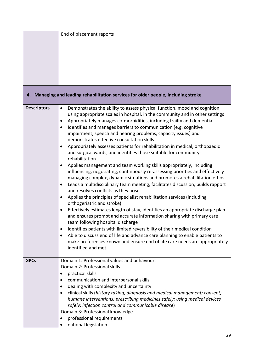|                    | End of placement reports                                                                              |
|--------------------|-------------------------------------------------------------------------------------------------------|
|                    |                                                                                                       |
|                    |                                                                                                       |
|                    |                                                                                                       |
|                    |                                                                                                       |
|                    |                                                                                                       |
|                    |                                                                                                       |
|                    |                                                                                                       |
|                    | 4. Managing and leading rehabilitation services for older people, including stroke                    |
| <b>Descriptors</b> | Demonstrates the ability to assess physical function, mood and cognition<br>$\bullet$                 |
|                    | using appropriate scales in hospital, in the community and in other settings                          |
|                    | Appropriately manages co-morbidities, including frailty and dementia<br>$\bullet$                     |
|                    | Identifies and manages barriers to communication (e.g. cognitive<br>$\bullet$                         |
|                    | impairment, speech and hearing problems, capacity issues) and                                         |
|                    | demonstrates effective consultation skills                                                            |
|                    | Appropriately assesses patients for rehabilitation in medical, orthopaedic<br>$\bullet$               |
|                    | and surgical wards, and identifies those suitable for community                                       |
|                    | rehabilitation                                                                                        |
|                    | Applies management and team working skills appropriately, including<br>$\bullet$                      |
|                    | influencing, negotiating, continuously re-assessing priorities and effectively                        |
|                    | managing complex, dynamic situations and promotes a rehabilitation ethos                              |
|                    | Leads a multidisciplinary team meeting, facilitates discussion, builds rapport<br>$\bullet$           |
|                    | and resolves conflicts as they arise                                                                  |
|                    | Applies the principles of specialist rehabilitation services (including<br>orthogeriatric and stroke) |
|                    | Effectively estimates length of stay, identifies an appropriate discharge plan                        |
|                    | and ensures prompt and accurate information sharing with primary care                                 |
|                    | team following hospital discharge                                                                     |
|                    | Identifies patients with limited reversibility of their medical condition<br>$\bullet$                |
|                    | Able to discuss end of life and advance care planning to enable patients to                           |
|                    | make preferences known and ensure end of life care needs are appropriately                            |
|                    | identified and met.                                                                                   |
|                    |                                                                                                       |
| <b>GPCs</b>        | Domain 1: Professional values and behaviours                                                          |
|                    | Domain 2: Professional skills                                                                         |
|                    | practical skills<br>٠                                                                                 |
|                    | communication and interpersonal skills<br>٠                                                           |
|                    | dealing with complexity and uncertainty<br>$\bullet$                                                  |
|                    | clinical skills (history taking, diagnosis and medical management; consent;<br>$\bullet$              |
|                    | humane interventions; prescribing medicines safely; using medical devices                             |
|                    | safely; infection control and communicable disease)                                                   |
|                    | Domain 3: Professional knowledge                                                                      |
|                    | professional requirements                                                                             |
|                    | national legislation                                                                                  |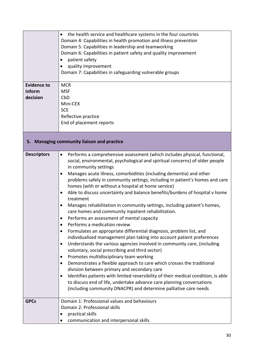| <b>Evidence to</b><br>inform<br>decision | the health service and healthcare systems in the four countries<br>$\bullet$<br>Domain 4: Capabilities in health promotion and illness prevention<br>Domain 5: Capabilities in leadership and teamworking<br>Domain 6: Capabilities in patient safety and quality improvement<br>patient safety<br>quality improvement<br>$\bullet$<br>Domain 7: Capabilities in safeguarding vulnerable groups<br><b>MCR</b><br><b>MSF</b><br>CbD<br>Mini-CEX                                                                                                                                                                                                                                                                                                                                                                                                                                                                                                                                                                                                                                                                                                                                                                                                                                                                                                                                                                                                                                                                |  |  |
|------------------------------------------|---------------------------------------------------------------------------------------------------------------------------------------------------------------------------------------------------------------------------------------------------------------------------------------------------------------------------------------------------------------------------------------------------------------------------------------------------------------------------------------------------------------------------------------------------------------------------------------------------------------------------------------------------------------------------------------------------------------------------------------------------------------------------------------------------------------------------------------------------------------------------------------------------------------------------------------------------------------------------------------------------------------------------------------------------------------------------------------------------------------------------------------------------------------------------------------------------------------------------------------------------------------------------------------------------------------------------------------------------------------------------------------------------------------------------------------------------------------------------------------------------------------|--|--|
|                                          | <b>SCE</b><br>Reflective practice<br>End of placement reports                                                                                                                                                                                                                                                                                                                                                                                                                                                                                                                                                                                                                                                                                                                                                                                                                                                                                                                                                                                                                                                                                                                                                                                                                                                                                                                                                                                                                                                 |  |  |
|                                          | 5. Managing community liaison and practice                                                                                                                                                                                                                                                                                                                                                                                                                                                                                                                                                                                                                                                                                                                                                                                                                                                                                                                                                                                                                                                                                                                                                                                                                                                                                                                                                                                                                                                                    |  |  |
| <b>Descriptors</b>                       | Performs a comprehensive assessment (which includes physical, functional,<br>$\bullet$<br>social, environmental, psychological and spiritual concerns) of older people<br>in community settings<br>Manages acute illness, comorbidities (including dementia) and other<br>$\bullet$<br>problems safely in community settings, including in patient's homes and care<br>homes (with or without a hospital at home service)<br>Able to discuss uncertainty and balance benefits/burdens of hospital v home<br>$\bullet$<br>treatment<br>Manages rehabilitation in community settings, including patient's homes,<br>$\bullet$<br>care homes and community inpatient rehabilitation.<br>Performs an assessment of mental capacity<br>Performs a medication review<br>$\bullet$<br>Formulates an appropriate differential diagnosis, problem list, and<br>$\bullet$<br>individualised management plan taking into account patient preferences<br>Understands the various agencies involved in community care, (including<br>$\bullet$<br>voluntary, social prescribing and third sector)<br>Promotes multidisciplinary team working<br>٠<br>Demonstrates a flexible approach to care which crosses the traditional<br>$\bullet$<br>division between primary and secondary care<br>Identifies patients with limited reversibility of their medical condition, is able<br>to discuss end of life, undertake advance care planning conversations<br>(including community DNACPR) and determine palliative care needs |  |  |
| <b>GPCs</b>                              | Domain 1: Professional values and behaviours<br>Domain 2: Professional skills<br>practical skills<br>communication and interpersonal skills                                                                                                                                                                                                                                                                                                                                                                                                                                                                                                                                                                                                                                                                                                                                                                                                                                                                                                                                                                                                                                                                                                                                                                                                                                                                                                                                                                   |  |  |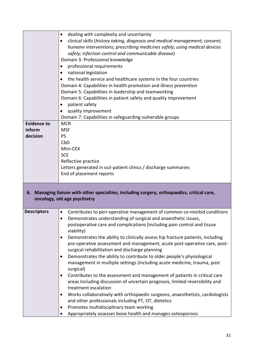|                    | dealing with complexity and uncertainty<br>$\bullet$                                                                        |
|--------------------|-----------------------------------------------------------------------------------------------------------------------------|
|                    | clinical skills (history taking, diagnosis and medical management; consent;<br>$\bullet$                                    |
|                    | humane interventions; prescribing medicines safely; using medical devices                                                   |
|                    | safely; infection control and communicable disease)                                                                         |
|                    | Domain 3: Professional knowledge                                                                                            |
|                    | professional requirements                                                                                                   |
|                    | national legislation<br>$\bullet$                                                                                           |
|                    | the health service and healthcare systems in the four countries                                                             |
|                    | Domain 4: Capabilities in health promotion and illness prevention                                                           |
|                    | Domain 5: Capabilities in leadership and teamworking                                                                        |
|                    | Domain 6: Capabilities in patient safety and quality improvement                                                            |
|                    | patient safety                                                                                                              |
|                    | quality improvement<br>$\bullet$                                                                                            |
|                    | Domain 7: Capabilities in safeguarding vulnerable groups                                                                    |
| <b>Evidence to</b> | <b>MCR</b>                                                                                                                  |
| inform             | <b>MSF</b>                                                                                                                  |
| decision           | <b>PS</b>                                                                                                                   |
|                    | CbD                                                                                                                         |
|                    | Mini-CEX                                                                                                                    |
|                    | <b>SCE</b>                                                                                                                  |
|                    | Reflective practice                                                                                                         |
|                    | Letters generated in out-patient clinics / discharge summaries                                                              |
|                    | End of placement reports                                                                                                    |
|                    |                                                                                                                             |
|                    | 6. Managing liaison with other specialties, including surgery, orthopaedics, critical care,<br>oncology, old age psychiatry |
| <b>Descriptors</b> | Contributes to peri-operative management of common co-morbid conditions<br>$\bullet$                                        |
|                    | Demonstrates understanding of surgical and anaesthetic issues,                                                              |
|                    | postoperative care and complications (including pain control and tissue<br>viability)                                       |
|                    | Demonstrates the ability to clinically assess hip fracture patients, including                                              |
|                    | pre-operative assessment and management, acute post-operative care, post-                                                   |
|                    | surgical rehabilitation and discharge planning                                                                              |
|                    | Demonstrates the ability to contribute to older people's physiological                                                      |
|                    | management in multiple settings (including acute medicine, trauma, post                                                     |
|                    | surgical)                                                                                                                   |
|                    | Contributes to the assessment and management of patients in critical care<br>$\bullet$                                      |
|                    | areas Including discussion of uncertain prognosis, limited reversibility and                                                |
|                    | treatment escalation                                                                                                        |
|                    | Works collaboratively with orthopaedic surgeons, anaesthetists, cardiologists<br>٠                                          |
|                    | and other professionals including PT, OT, dietetics                                                                         |
|                    | Promotes multidisciplinary team working                                                                                     |
|                    | Appropriately assesses bone health and manages osteoporosis                                                                 |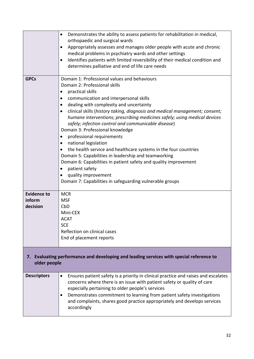|                                                                                                         | Demonstrates the ability to assess patients for rehabilitation in medical,<br>$\bullet$<br>orthopaedic and surgical wards<br>Appropriately assesses and manages older people with acute and chronic<br>$\bullet$<br>medical problems in psychiatry wards and other settings<br>Identifies patients with limited reversibility of their medical condition and<br>$\bullet$<br>determines palliative and end of life care needs                                                                                                                                                                                                                                                                                                                                                                                                                                                        |
|---------------------------------------------------------------------------------------------------------|--------------------------------------------------------------------------------------------------------------------------------------------------------------------------------------------------------------------------------------------------------------------------------------------------------------------------------------------------------------------------------------------------------------------------------------------------------------------------------------------------------------------------------------------------------------------------------------------------------------------------------------------------------------------------------------------------------------------------------------------------------------------------------------------------------------------------------------------------------------------------------------|
| <b>GPCs</b>                                                                                             | Domain 1: Professional values and behaviours<br>Domain 2: Professional skills<br>practical skills<br>$\bullet$<br>communication and interpersonal skills<br>$\bullet$<br>dealing with complexity and uncertainty<br>$\bullet$<br>clinical skills (history taking, diagnosis and medical management; consent;<br>$\bullet$<br>humane interventions; prescribing medicines safely; using medical devices<br>safely; infection control and communicable disease)<br>Domain 3: Professional knowledge<br>professional requirements<br>$\bullet$<br>national legislation<br>$\bullet$<br>the health service and healthcare systems in the four countries<br>Domain 5: Capabilities in leadership and teamworking<br>Domain 6: Capabilities in patient safety and quality improvement<br>patient safety<br>quality improvement<br>Domain 7: Capabilities in safeguarding vulnerable groups |
| <b>Evidence to</b><br>inform<br>decision                                                                | <b>MCR</b><br><b>MSF</b><br>CbD<br>Mini-CEX<br><b>ACAT</b><br><b>SCE</b><br>Reflection on clinical cases<br>End of placement reports                                                                                                                                                                                                                                                                                                                                                                                                                                                                                                                                                                                                                                                                                                                                                 |
| 7. Evaluating performance and developing and leading services with special reference to<br>older people |                                                                                                                                                                                                                                                                                                                                                                                                                                                                                                                                                                                                                                                                                                                                                                                                                                                                                      |
| <b>Descriptors</b>                                                                                      | Ensures patient safety is a priority in clinical practice and raises and escalates<br>$\bullet$<br>concerns where there is an issue with patient safety or quality of care<br>especially pertaining to older people's services<br>Demonstrates commitment to learning from patient safety investigations<br>$\bullet$<br>and complaints, shares good practice appropriately and develops services<br>accordingly                                                                                                                                                                                                                                                                                                                                                                                                                                                                     |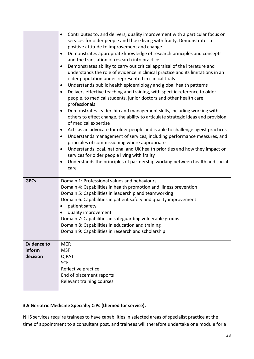|                                          | Contributes to, and delivers, quality improvement with a particular focus on<br>$\bullet$<br>services for older people and those living with frailty. Demonstrates a<br>positive attitude to improvement and change<br>Demonstrates appropriate knowledge of research principles and concepts<br>٠<br>and the translation of research into practice<br>Demonstrates ability to carry out critical appraisal of the literature and<br>$\bullet$<br>understands the role of evidence in clinical practice and its limitations in an<br>older population under-represented in clinical trials<br>Understands public health epidemiology and global health patterns<br>$\bullet$<br>Delivers effective teaching and training, with specific reference to older<br>$\bullet$<br>people, to medical students, junior doctors and other health care<br>professionals<br>Demonstrates leadership and management skills, including working with<br>$\bullet$<br>others to effect change, the ability to articulate strategic ideas and provision<br>of medical expertise<br>Acts as an advocate for older people and is able to challenge ageist practices<br>$\bullet$<br>Understands management of services, including performance measures, and<br>$\bullet$<br>principles of commissioning where appropriate<br>Understands local, national and UK health priorities and how they impact on<br>$\bullet$<br>services for older people living with frailty<br>Understands the principles of partnership working between health and social<br>$\bullet$<br>care |
|------------------------------------------|----------------------------------------------------------------------------------------------------------------------------------------------------------------------------------------------------------------------------------------------------------------------------------------------------------------------------------------------------------------------------------------------------------------------------------------------------------------------------------------------------------------------------------------------------------------------------------------------------------------------------------------------------------------------------------------------------------------------------------------------------------------------------------------------------------------------------------------------------------------------------------------------------------------------------------------------------------------------------------------------------------------------------------------------------------------------------------------------------------------------------------------------------------------------------------------------------------------------------------------------------------------------------------------------------------------------------------------------------------------------------------------------------------------------------------------------------------------------------------------------------------------------------------------------------------|
| <b>GPCs</b>                              | Domain 1: Professional values and behaviours<br>Domain 4: Capabilities in health promotion and illness prevention<br>Domain 5: Capabilities in leadership and teamworking<br>Domain 6: Capabilities in patient safety and quality improvement<br>patient safety<br>٠<br>quality improvement<br>Domain 7: Capabilities in safeguarding vulnerable groups<br>Domain 8: Capabilities in education and training<br>Domain 9: Capabilities in research and scholarship                                                                                                                                                                                                                                                                                                                                                                                                                                                                                                                                                                                                                                                                                                                                                                                                                                                                                                                                                                                                                                                                                        |
| <b>Evidence to</b><br>inform<br>decision | <b>MCR</b><br><b>MSF</b><br><b>QIPAT</b><br><b>SCE</b><br>Reflective practice<br>End of placement reports<br>Relevant training courses                                                                                                                                                                                                                                                                                                                                                                                                                                                                                                                                                                                                                                                                                                                                                                                                                                                                                                                                                                                                                                                                                                                                                                                                                                                                                                                                                                                                                   |

# **3.5 Geriatric Medicine Specialty CiPs (themed for service).**

NHS services require trainees to have capabilities in selected areas of specialist practice at the time of appointment to a consultant post, and trainees will therefore undertake one module for a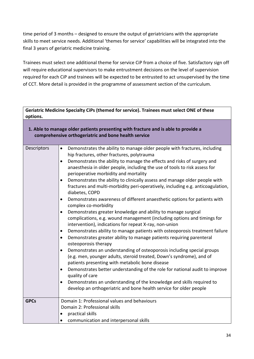time period of 3 months – designed to ensure the output of geriatricians with the appropriate skills to meet service needs. Additional 'themes for service' capabilities will be integrated into the final 3 years of geriatric medicine training.

Trainees must select one additional theme for service CiP from a choice of five. Satisfactory sign off will require educational supervisors to make entrustment decisions on the level of supervision required for each CiP and trainees will be expected to be entrusted to act unsupervised by the time of CCT. More detail is provided in the programme of assessment section of the curriculum.

| Geriatric Medicine Specialty CiPs (themed for service). Trainees must select ONE of these<br>options.                                      |                                                                                                                                                                                                                                                                                                                                                                                                                                                                                                                                                                                                                                                                                                                                                                                                                                                                                                                                                                                                                                                                                                                                                                                                                                                                                                                                                                                                                                                                                                                                                                                                |  |
|--------------------------------------------------------------------------------------------------------------------------------------------|------------------------------------------------------------------------------------------------------------------------------------------------------------------------------------------------------------------------------------------------------------------------------------------------------------------------------------------------------------------------------------------------------------------------------------------------------------------------------------------------------------------------------------------------------------------------------------------------------------------------------------------------------------------------------------------------------------------------------------------------------------------------------------------------------------------------------------------------------------------------------------------------------------------------------------------------------------------------------------------------------------------------------------------------------------------------------------------------------------------------------------------------------------------------------------------------------------------------------------------------------------------------------------------------------------------------------------------------------------------------------------------------------------------------------------------------------------------------------------------------------------------------------------------------------------------------------------------------|--|
| 1. Able to manage older patients presenting with fracture and is able to provide a<br>comprehensive orthogeriatric and bone health service |                                                                                                                                                                                                                                                                                                                                                                                                                                                                                                                                                                                                                                                                                                                                                                                                                                                                                                                                                                                                                                                                                                                                                                                                                                                                                                                                                                                                                                                                                                                                                                                                |  |
| Descriptors                                                                                                                                | Demonstrates the ability to manage older people with fractures, including<br>$\bullet$<br>hip fractures, other fractures, polytrauma<br>Demonstrates the ability to manage the effects and risks of surgery and<br>$\bullet$<br>anaesthesia in older people, including the use of tools to risk assess for<br>perioperative morbidity and mortality<br>Demonstrates the ability to clinically assess and manage older people with<br>$\bullet$<br>fractures and multi-morbidity peri-operatively, including e.g. anticoagulation,<br>diabetes, COPD<br>Demonstrates awareness of different anaesthetic options for patients with<br>$\bullet$<br>complex co-morbidity<br>Demonstrates greater knowledge and ability to manage surgical<br>$\bullet$<br>complications, e.g. wound management (including options and timings for<br>intervention), indications for repeat X-ray, non-union<br>Demonstrates ability to manage patients with osteoporosis treatment failure<br>$\bullet$<br>Demonstrates greater ability to manage patients requiring parenteral<br>$\bullet$<br>osteoporosis therapy<br>Demonstrates an understanding of osteoporosis including special groups<br>$\bullet$<br>(e.g. men, younger adults, steroid treated, Down's syndrome), and of<br>patients presenting with metabolic bone disease<br>Demonstrates better understanding of the role for national audit to improve<br>$\bullet$<br>quality of care<br>Demonstrates an understanding of the knowledge and skills required to<br>$\bullet$<br>develop an orthogeriatric and bone health service for older people |  |
| <b>GPCs</b>                                                                                                                                | Domain 1: Professional values and behaviours<br>Domain 2: Professional skills<br>practical skills<br>$\bullet$<br>communication and interpersonal skills<br>$\bullet$                                                                                                                                                                                                                                                                                                                                                                                                                                                                                                                                                                                                                                                                                                                                                                                                                                                                                                                                                                                                                                                                                                                                                                                                                                                                                                                                                                                                                          |  |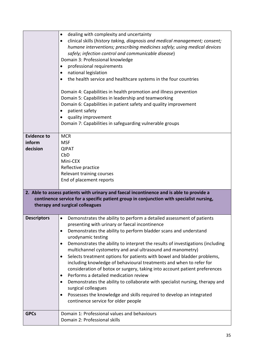|                                                                                                                                                                                                                        | dealing with complexity and uncertainty<br>$\bullet$<br>clinical skills (history taking, diagnosis and medical management; consent;<br>$\bullet$<br>humane interventions; prescribing medicines safely; using medical devices<br>safely; infection control and communicable disease)<br>Domain 3: Professional knowledge<br>professional requirements<br>national legislation<br>$\bullet$<br>the health service and healthcare systems in the four countries<br>Domain 4: Capabilities in health promotion and illness prevention<br>Domain 5: Capabilities in leadership and teamworking<br>Domain 6: Capabilities in patient safety and quality improvement<br>patient safety<br>$\bullet$<br>quality improvement<br>$\bullet$<br>Domain 7: Capabilities in safeguarding vulnerable groups |  |
|------------------------------------------------------------------------------------------------------------------------------------------------------------------------------------------------------------------------|-----------------------------------------------------------------------------------------------------------------------------------------------------------------------------------------------------------------------------------------------------------------------------------------------------------------------------------------------------------------------------------------------------------------------------------------------------------------------------------------------------------------------------------------------------------------------------------------------------------------------------------------------------------------------------------------------------------------------------------------------------------------------------------------------|--|
| <b>Evidence to</b>                                                                                                                                                                                                     | <b>MCR</b>                                                                                                                                                                                                                                                                                                                                                                                                                                                                                                                                                                                                                                                                                                                                                                                    |  |
| inform<br>decision                                                                                                                                                                                                     | <b>MSF</b><br><b>QIPAT</b>                                                                                                                                                                                                                                                                                                                                                                                                                                                                                                                                                                                                                                                                                                                                                                    |  |
|                                                                                                                                                                                                                        | CbD                                                                                                                                                                                                                                                                                                                                                                                                                                                                                                                                                                                                                                                                                                                                                                                           |  |
|                                                                                                                                                                                                                        | Mini-CEX                                                                                                                                                                                                                                                                                                                                                                                                                                                                                                                                                                                                                                                                                                                                                                                      |  |
|                                                                                                                                                                                                                        | Reflective practice                                                                                                                                                                                                                                                                                                                                                                                                                                                                                                                                                                                                                                                                                                                                                                           |  |
|                                                                                                                                                                                                                        | Relevant training courses<br>End of placement reports                                                                                                                                                                                                                                                                                                                                                                                                                                                                                                                                                                                                                                                                                                                                         |  |
|                                                                                                                                                                                                                        |                                                                                                                                                                                                                                                                                                                                                                                                                                                                                                                                                                                                                                                                                                                                                                                               |  |
| 2. Able to assess patients with urinary and faecal incontinence and is able to provide a<br>continence service for a specific patient group in conjunction with specialist nursing,<br>therapy and surgical colleagues |                                                                                                                                                                                                                                                                                                                                                                                                                                                                                                                                                                                                                                                                                                                                                                                               |  |
| <b>Descriptors</b>                                                                                                                                                                                                     | Demonstrates the ability to perform a detailed assessment of patients<br>$\bullet$                                                                                                                                                                                                                                                                                                                                                                                                                                                                                                                                                                                                                                                                                                            |  |
|                                                                                                                                                                                                                        | presenting with urinary or faecal incontinence<br>Demonstrates the ability to perform bladder scans and understand<br>$\bullet$                                                                                                                                                                                                                                                                                                                                                                                                                                                                                                                                                                                                                                                               |  |
|                                                                                                                                                                                                                        | urodynamic testing                                                                                                                                                                                                                                                                                                                                                                                                                                                                                                                                                                                                                                                                                                                                                                            |  |
|                                                                                                                                                                                                                        | Demonstrates the ability to interpret the results of investigations (including<br>$\bullet$                                                                                                                                                                                                                                                                                                                                                                                                                                                                                                                                                                                                                                                                                                   |  |
|                                                                                                                                                                                                                        | multichannel cystometry and anal ultrasound and manometry)<br>Selects treatment options for patients with bowel and bladder problems,<br>$\bullet$                                                                                                                                                                                                                                                                                                                                                                                                                                                                                                                                                                                                                                            |  |
|                                                                                                                                                                                                                        | including knowledge of behavioural treatments and when to refer for                                                                                                                                                                                                                                                                                                                                                                                                                                                                                                                                                                                                                                                                                                                           |  |
|                                                                                                                                                                                                                        | consideration of botox or surgery, taking into account patient preferences                                                                                                                                                                                                                                                                                                                                                                                                                                                                                                                                                                                                                                                                                                                    |  |
|                                                                                                                                                                                                                        | Performs a detailed medication review<br>$\bullet$                                                                                                                                                                                                                                                                                                                                                                                                                                                                                                                                                                                                                                                                                                                                            |  |
|                                                                                                                                                                                                                        | Demonstrates the ability to collaborate with specialist nursing, therapy and<br>$\bullet$<br>surgical colleagues                                                                                                                                                                                                                                                                                                                                                                                                                                                                                                                                                                                                                                                                              |  |
|                                                                                                                                                                                                                        | Possesses the knowledge and skills required to develop an integrated<br>$\bullet$                                                                                                                                                                                                                                                                                                                                                                                                                                                                                                                                                                                                                                                                                                             |  |
|                                                                                                                                                                                                                        | continence service for older people                                                                                                                                                                                                                                                                                                                                                                                                                                                                                                                                                                                                                                                                                                                                                           |  |
| <b>GPCs</b>                                                                                                                                                                                                            | Domain 1: Professional values and behaviours                                                                                                                                                                                                                                                                                                                                                                                                                                                                                                                                                                                                                                                                                                                                                  |  |
|                                                                                                                                                                                                                        | Domain 2: Professional skills                                                                                                                                                                                                                                                                                                                                                                                                                                                                                                                                                                                                                                                                                                                                                                 |  |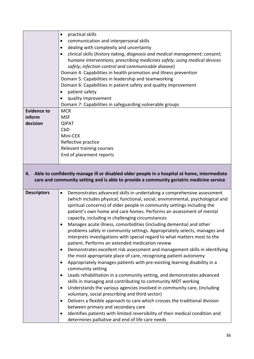|                              | practical skills<br>$\bullet$                                                                                                                                                                                                                                                                                                                                                                                                                                                                                                                                                                                                                                                                                                                               |
|------------------------------|-------------------------------------------------------------------------------------------------------------------------------------------------------------------------------------------------------------------------------------------------------------------------------------------------------------------------------------------------------------------------------------------------------------------------------------------------------------------------------------------------------------------------------------------------------------------------------------------------------------------------------------------------------------------------------------------------------------------------------------------------------------|
|                              | communication and interpersonal skills<br>٠                                                                                                                                                                                                                                                                                                                                                                                                                                                                                                                                                                                                                                                                                                                 |
|                              | dealing with complexity and uncertainty<br>$\bullet$                                                                                                                                                                                                                                                                                                                                                                                                                                                                                                                                                                                                                                                                                                        |
|                              | clinical skills (history taking, diagnosis and medical management; consent;<br>$\bullet$                                                                                                                                                                                                                                                                                                                                                                                                                                                                                                                                                                                                                                                                    |
|                              | humane interventions; prescribing medicines safely; using medical devices                                                                                                                                                                                                                                                                                                                                                                                                                                                                                                                                                                                                                                                                                   |
|                              | safely; infection control and communicable disease)                                                                                                                                                                                                                                                                                                                                                                                                                                                                                                                                                                                                                                                                                                         |
|                              | Domain 4: Capabilities in health promotion and illness prevention                                                                                                                                                                                                                                                                                                                                                                                                                                                                                                                                                                                                                                                                                           |
|                              | Domain 5: Capabilities in leadership and teamworking                                                                                                                                                                                                                                                                                                                                                                                                                                                                                                                                                                                                                                                                                                        |
|                              | Domain 6: Capabilities in patient safety and quality improvement                                                                                                                                                                                                                                                                                                                                                                                                                                                                                                                                                                                                                                                                                            |
|                              | patient safety<br>$\bullet$                                                                                                                                                                                                                                                                                                                                                                                                                                                                                                                                                                                                                                                                                                                                 |
|                              | $\bullet$                                                                                                                                                                                                                                                                                                                                                                                                                                                                                                                                                                                                                                                                                                                                                   |
|                              | quality improvement                                                                                                                                                                                                                                                                                                                                                                                                                                                                                                                                                                                                                                                                                                                                         |
|                              | Domain 7: Capabilities in safeguarding vulnerable groups                                                                                                                                                                                                                                                                                                                                                                                                                                                                                                                                                                                                                                                                                                    |
| <b>Evidence to</b><br>inform | <b>MCR</b>                                                                                                                                                                                                                                                                                                                                                                                                                                                                                                                                                                                                                                                                                                                                                  |
|                              | <b>MSF</b>                                                                                                                                                                                                                                                                                                                                                                                                                                                                                                                                                                                                                                                                                                                                                  |
| decision                     | <b>QIPAT</b>                                                                                                                                                                                                                                                                                                                                                                                                                                                                                                                                                                                                                                                                                                                                                |
|                              | CbD                                                                                                                                                                                                                                                                                                                                                                                                                                                                                                                                                                                                                                                                                                                                                         |
|                              | Mini-CEX                                                                                                                                                                                                                                                                                                                                                                                                                                                                                                                                                                                                                                                                                                                                                    |
|                              | Reflective practice                                                                                                                                                                                                                                                                                                                                                                                                                                                                                                                                                                                                                                                                                                                                         |
|                              | Relevant training courses                                                                                                                                                                                                                                                                                                                                                                                                                                                                                                                                                                                                                                                                                                                                   |
|                              | End of placement reports                                                                                                                                                                                                                                                                                                                                                                                                                                                                                                                                                                                                                                                                                                                                    |
| 4.                           | Able to confidently manage ill or disabled older people in a hospital at home, intermediate<br>care and community setting and is able to provide a community geriatric medicine service                                                                                                                                                                                                                                                                                                                                                                                                                                                                                                                                                                     |
| <b>Descriptors</b>           | Demonstrates advanced skills in undertaking a comprehensive assessment<br>$\bullet$<br>(which includes physical, functional, social, environmental, psychological and<br>spiritual concerns) of older people in community settings including the<br>patient's own home and care homes. Performs an assessment of mental<br>capacity, including in challenging circumstances<br>Manages acute illness, comorbidities (including dementia) and other<br>problems safely in community settings. Appropriately selects, manages and<br>interprets investigations with special regard to what matters most to the<br>patient. Performs an extended medication review<br>Demonstrates excellent risk assessment and management skills in identifying<br>$\bullet$ |
|                              | the most appropriate place of care, recognising patient autonomy                                                                                                                                                                                                                                                                                                                                                                                                                                                                                                                                                                                                                                                                                            |
|                              | Appropriately manages patients with pre-existing learning disability in a<br>$\bullet$<br>community setting<br>Leads rehabilitation in a community setting, and demonstrates advanced<br>$\bullet$                                                                                                                                                                                                                                                                                                                                                                                                                                                                                                                                                          |
|                              | skills in managing and contributing to community MDT working                                                                                                                                                                                                                                                                                                                                                                                                                                                                                                                                                                                                                                                                                                |
|                              | Understands the various agencies involved in community care, (including<br>$\bullet$                                                                                                                                                                                                                                                                                                                                                                                                                                                                                                                                                                                                                                                                        |
|                              | voluntary, social prescribing and third sector)<br>$\bullet$                                                                                                                                                                                                                                                                                                                                                                                                                                                                                                                                                                                                                                                                                                |
|                              | Delivers a flexible approach to care which crosses the traditional division<br>between primary and secondary care                                                                                                                                                                                                                                                                                                                                                                                                                                                                                                                                                                                                                                           |
|                              | Identifies patients with limited reversibility of their medical condition and<br>$\bullet$                                                                                                                                                                                                                                                                                                                                                                                                                                                                                                                                                                                                                                                                  |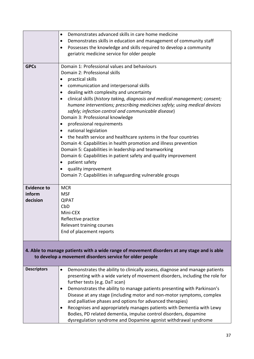|                                                                                                                                                         | Demonstrates advanced skills in care home medicine<br>$\bullet$<br>Demonstrates skills in education and management of community staff<br>$\bullet$<br>Possesses the knowledge and skills required to develop a community<br>geriatric medicine service for older people                                                                                                                                                                                                                                                                                                                                                                                                                                                                                                                                                                                                                                                                                |  |  |
|---------------------------------------------------------------------------------------------------------------------------------------------------------|--------------------------------------------------------------------------------------------------------------------------------------------------------------------------------------------------------------------------------------------------------------------------------------------------------------------------------------------------------------------------------------------------------------------------------------------------------------------------------------------------------------------------------------------------------------------------------------------------------------------------------------------------------------------------------------------------------------------------------------------------------------------------------------------------------------------------------------------------------------------------------------------------------------------------------------------------------|--|--|
| <b>GPCs</b>                                                                                                                                             | Domain 1: Professional values and behaviours<br>Domain 2: Professional skills<br>practical skills<br>٠<br>communication and interpersonal skills<br>$\bullet$<br>dealing with complexity and uncertainty<br>$\bullet$<br>clinical skills (history taking, diagnosis and medical management; consent;<br>$\bullet$<br>humane interventions; prescribing medicines safely; using medical devices<br>safely; infection control and communicable disease)<br>Domain 3: Professional knowledge<br>professional requirements<br>national legislation<br>$\bullet$<br>the health service and healthcare systems in the four countries<br>$\bullet$<br>Domain 4: Capabilities in health promotion and illness prevention<br>Domain 5: Capabilities in leadership and teamworking<br>Domain 6: Capabilities in patient safety and quality improvement<br>patient safety<br>quality improvement<br>٠<br>Domain 7: Capabilities in safeguarding vulnerable groups |  |  |
| <b>Evidence to</b><br>inform<br>decision                                                                                                                | <b>MCR</b><br><b>MSF</b><br><b>QIPAT</b><br>CbD<br>Mini-CEX<br>Reflective practice<br>Relevant training courses<br>End of placement reports                                                                                                                                                                                                                                                                                                                                                                                                                                                                                                                                                                                                                                                                                                                                                                                                            |  |  |
| 4. Able to manage patients with a wide range of movement disorders at any stage and is able<br>to develop a movement disorders service for older people |                                                                                                                                                                                                                                                                                                                                                                                                                                                                                                                                                                                                                                                                                                                                                                                                                                                                                                                                                        |  |  |
| <b>Descriptors</b>                                                                                                                                      | Demonstrates the ability to clinically assess, diagnose and manage patients<br>presenting with a wide variety of movement disorders, including the role for<br>further tests (e.g. DaT scan)<br>Demonstrates the ability to manage patients presenting with Parkinson's<br>Disease at any stage (including motor and non-motor symptoms, complex<br>and palliative phases and options for advanced therapies)<br>Recognises and appropriately manages patients with Dementia with Lewy<br>٠<br>Bodies, PD related dementia, impulse control disorders, dopamine<br>dysregulation syndrome and Dopamine agonist withdrawal syndrome                                                                                                                                                                                                                                                                                                                     |  |  |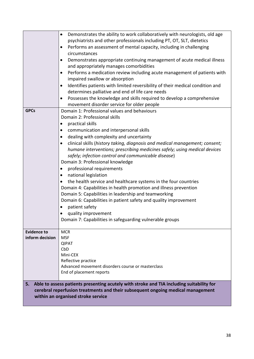|                                       | Demonstrates the ability to work collaboratively with neurologists, old age<br>$\bullet$<br>psychiatrists and other professionals including PT, OT, SLT, dietetics<br>Performs an assessment of mental capacity, including in challenging<br>$\bullet$<br>circumstances<br>Demonstrates appropriate continuing management of acute medical illness<br>$\bullet$<br>and appropriately manages comorbidities<br>Performs a medication review including acute management of patients with<br>$\bullet$<br>impaired swallow or absorption<br>Identifies patients with limited reversibility of their medical condition and<br>$\bullet$                                                                                                                                                                                                                                                                                                       |
|---------------------------------------|-------------------------------------------------------------------------------------------------------------------------------------------------------------------------------------------------------------------------------------------------------------------------------------------------------------------------------------------------------------------------------------------------------------------------------------------------------------------------------------------------------------------------------------------------------------------------------------------------------------------------------------------------------------------------------------------------------------------------------------------------------------------------------------------------------------------------------------------------------------------------------------------------------------------------------------------|
|                                       | determines palliative and end of life care needs<br>Possesses the knowledge and skills required to develop a comprehensive<br>$\bullet$<br>movement disorder service for older people                                                                                                                                                                                                                                                                                                                                                                                                                                                                                                                                                                                                                                                                                                                                                     |
| <b>GPCs</b>                           | Domain 1: Professional values and behaviours<br>Domain 2: Professional skills<br>practical skills<br>٠<br>communication and interpersonal skills<br>$\bullet$<br>dealing with complexity and uncertainty<br>$\bullet$<br>clinical skills (history taking, diagnosis and medical management; consent;<br>٠<br>humane interventions; prescribing medicines safely; using medical devices<br>safely; infection control and communicable disease)<br>Domain 3: Professional knowledge<br>professional requirements<br>$\bullet$<br>national legislation<br>$\bullet$<br>the health service and healthcare systems in the four countries<br>Domain 4: Capabilities in health promotion and illness prevention<br>Domain 5: Capabilities in leadership and teamworking<br>Domain 6: Capabilities in patient safety and quality improvement<br>patient safety<br>quality improvement<br>Domain 7: Capabilities in safeguarding vulnerable groups |
| <b>Evidence to</b><br>inform decision | <b>MCR</b><br><b>MSF</b><br><b>QIPAT</b><br>CbD<br>Mini-CEX<br>Reflective practice<br>Advanced movement disorders course or masterclass<br>End of placement reports                                                                                                                                                                                                                                                                                                                                                                                                                                                                                                                                                                                                                                                                                                                                                                       |
| 5.                                    | Able to assess patients presenting acutely with stroke and TIA including suitability for<br>cerebral reperfusion treatments and their subsequent ongoing medical management<br>within an organised stroke service                                                                                                                                                                                                                                                                                                                                                                                                                                                                                                                                                                                                                                                                                                                         |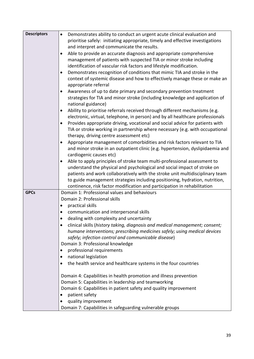| <b>Descriptors</b> | Demonstrates ability to conduct an urgent acute clinical evaluation and                                                  |
|--------------------|--------------------------------------------------------------------------------------------------------------------------|
|                    | prioritise safely: initiating appropriate, timely and effective investigations                                           |
|                    | and interpret and communicate the results.                                                                               |
|                    | Able to provide an accurate diagnosis and appropriate comprehensive                                                      |
|                    | management of patients with suspected TIA or minor stroke including                                                      |
|                    | identification of vascular risk factors and lifestyle modification.                                                      |
|                    | Demonstrates recognition of conditions that mimic TIA and stroke in the<br>$\bullet$                                     |
|                    | context of systemic disease and how to effectively manage these or make an                                               |
|                    | appropriate referral                                                                                                     |
|                    | Awareness of up to date primary and secondary prevention treatment                                                       |
|                    | strategies for TIA and minor stroke (including knowledge and application of                                              |
|                    | national guidance)                                                                                                       |
|                    | Ability to prioritise referrals received through different mechanisms (e.g.                                              |
|                    | electronic, virtual, telephone, in person) and by all healthcare professionals                                           |
|                    | Provides appropriate driving, vocational and social advice for patients with<br>$\bullet$                                |
|                    | TIA or stroke working in partnership where necessary (e.g. with occupational                                             |
|                    | therapy, driving centre assessment etc)                                                                                  |
|                    | Appropriate management of comorbidities and risk factors relevant to TIA<br>٠                                            |
|                    | and minor stroke in an outpatient clinic (e.g. hypertension, dyslipidaemia and                                           |
|                    | cardiogenic causes etc)                                                                                                  |
|                    | Able to apply principles of stroke team multi-professional assessment to                                                 |
|                    | understand the physical and psychological and social impact of stroke on                                                 |
|                    | patients and work collaboratively with the stroke unit multidisciplinary team                                            |
|                    |                                                                                                                          |
|                    | to guide management strategies including positioning, hydration, nutrition,                                              |
| <b>GPCs</b>        | continence, risk factor modification and participation in rehabilitation<br>Domain 1: Professional values and behaviours |
|                    |                                                                                                                          |
|                    | Domain 2: Professional skills                                                                                            |
|                    | practical skills<br>٠                                                                                                    |
|                    | communication and interpersonal skills                                                                                   |
|                    | dealing with complexity and uncertainty<br>٠                                                                             |
|                    | clinical skills (history taking, diagnosis and medical management; consent;                                              |
|                    | humane interventions; prescribing medicines safely; using medical devices                                                |
|                    | safely; infection control and communicable disease)                                                                      |
|                    | Domain 3: Professional knowledge                                                                                         |
|                    | professional requirements<br>٠                                                                                           |
|                    | national legislation<br>$\bullet$                                                                                        |
|                    | the health service and healthcare systems in the four countries<br>٠                                                     |
|                    | Domain 4: Capabilities in health promotion and illness prevention                                                        |
|                    | Domain 5: Capabilities in leadership and teamworking                                                                     |
|                    | Domain 6: Capabilities in patient safety and quality improvement                                                         |
|                    | patient safety<br>٠                                                                                                      |
|                    |                                                                                                                          |
|                    | quality improvement                                                                                                      |
|                    | Domain 7: Capabilities in safeguarding vulnerable groups                                                                 |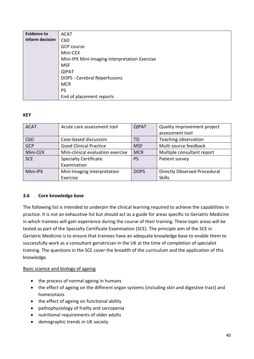| <b>Evidence to</b> | <b>ACAT</b>                                   |
|--------------------|-----------------------------------------------|
| inform decision    | CbD                                           |
|                    | <b>GCP course</b>                             |
|                    | Mini-CEX                                      |
|                    | Mini-IPX Mini-Imaging Interpretation Exercise |
|                    | <b>MSF</b>                                    |
|                    | <b>QIPAT</b>                                  |
|                    | DOPS - Cerebral Reperfusions                  |
|                    | <b>MCR</b>                                    |
|                    | PS                                            |
|                    | End of placement reports                      |

### **KEY**

| <b>ACAT</b> | Acute care assessment tool        | <b>QIPAT</b> | Quality improvement project  |
|-------------|-----------------------------------|--------------|------------------------------|
|             |                                   |              | assessment tool              |
| CbD         | Case-based discussion             | TO           | Teaching observation         |
| <b>GCP</b>  | <b>Good Clinical Practice</b>     | <b>MSF</b>   | Multi source feedback        |
| Mini-CEX    | Mini-clinical evaluation exercise | <b>MCR</b>   | Multiple consultant report   |
| <b>SCE</b>  | <b>Specialty Certificate</b>      | <b>PS</b>    | Patient survey               |
|             | Examination                       |              |                              |
| Mini-IPX    | Mini-Imaging Interpretation       | <b>DOPS</b>  | Directly Observed Procedural |
|             | Exercise                          |              | <b>Skills</b>                |

### **3.6 Core knowledge base**

The following list is intended to underpin the clinical learning required to achieve the capabilities in practice. It is not an exhaustive list but should act as a guide for areas specific to Geriatric Medicine in which trainees will gain experience during the course of their training. These topic areas will be tested as part of the Specialty Certificate Examination (SCE). The principle aim of the SCE in Geriatric Medicine is to ensure that trainees have an adequate knowledge base to enable them to successfully work as a consultant geriatrician in the UK at the time of completion of specialist training. The questions in the SCE cover the breadth of the curriculum and the application of this knowledge.

### Basic science and biology of ageing

- the process of normal ageing in humans
- the effect of ageing on the different organ systems (including skin and digestive tract) and homeostasis
- the effect of ageing on functional ability
- pathophysiology of frailty and sarcopenia
- nutritional requirements of older adults
- demographic trends in UK society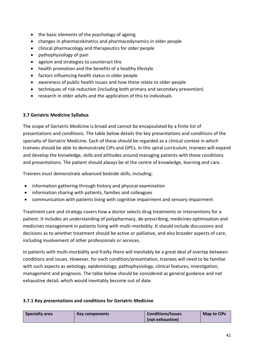- the basic elements of the psychology of ageing
- changes in pharmacokinetics and pharmacodynamics in older people
- clinical pharmacology and therapeutics for older people
- pathophysiology of pain
- ageism and strategies to counteract this
- health promotion and the benefits of a healthy lifestyle
- factors influencing health status in older people
- awareness of public health issues and how these relate to older people
- techniques of risk reduction (including both primary and secondary prevention)
- research in older adults and the application of this to individuals

#### **3.7 Geriatric Medicine Syllabus**

The scope of Geriatric Medicine is broad and cannot be encapsulated by a finite list of presentations and conditions. The table below details the key presentations and conditions of the specialty of Geriatric Medicine. Each of these should be regarded as a clinical context in which trainees should be able to demonstrate CiPs and GPCs. In this spiral curriculum, trainees will expand and develop the knowledge, skills and attitudes around managing patients with these conditions and presentations. The patient should always be at the centre of knowledge, learning and care.

Trainees must demonstrate advanced bedside skills, including:

- information gathering through history and physical examination
- information sharing with patients, families and colleagues
- communication with patients living with cognitive impairment and sensory impairment

Treatment care and strategy covers how a doctor selects drug treatments or interventions for a patient. It includes an understanding of polypharmacy, de-prescribing, medicines optimisation and medicines management in patients living with multi-morbidity. It should include discussions and decisions as to whether treatment should be active or palliative, and also broader aspects of care, including involvement of other professionals or services.

In patients with multi-morbidity and frailty there will inevitably be a great deal of overlap between conditions and issues. However, for each condition/presentation, trainees will need to be familiar with such aspects as aetiology, epidemiology, pathophysiology, clinical features, investigation, management and prognosis. The table below should be considered as general guidance and not exhaustive detail, which would inevitably become out of date.

### **3.7.1 Key presentations and conditions for Geriatric Medicine**

| Specialty area | Key components | <b>Conditions/Issues</b> | Map to CiPs |
|----------------|----------------|--------------------------|-------------|
|                |                | (not exhaustive)         |             |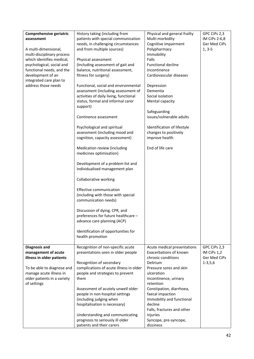| Comprehensive geriatric<br>assessment<br>A multi-dimensional,<br>multi-disciplinary process<br>which identifies medical,<br>psychological, social and   | History taking (including from<br>patients with special communication<br>needs, in challenging circumstances<br>and from multiple sources)<br>Physical assessment<br>(Including assessment of gait and                                                                                                                                                                                                                                                                                                                                                                                                                                                                                                                                                            | Physical and general frailty<br>Multi-morbidity<br>Cognitive impairment<br>Polypharmacy<br>Immobility<br>Falls<br><b>Functional decline</b>                                                                                                        | GPC CiPs 2,3<br>IM CiPs 2-6,8<br>Ger Med CiPs<br>$1, 3-5$ |
|---------------------------------------------------------------------------------------------------------------------------------------------------------|-------------------------------------------------------------------------------------------------------------------------------------------------------------------------------------------------------------------------------------------------------------------------------------------------------------------------------------------------------------------------------------------------------------------------------------------------------------------------------------------------------------------------------------------------------------------------------------------------------------------------------------------------------------------------------------------------------------------------------------------------------------------|----------------------------------------------------------------------------------------------------------------------------------------------------------------------------------------------------------------------------------------------------|-----------------------------------------------------------|
| functional needs, and the<br>development of an<br>integrated care plan to<br>address those needs                                                        | balance, nutritional assessment,<br>fitness for surgery)<br>Functional, social and environmental<br>assessment (including assessment of<br>activities of daily living, functional<br>status, formal and informal carer<br>support)<br>Continence assessment<br>Psychological and spiritual<br>assessment (including mood and<br>cognition, capacity assessment)<br>Medication review (including<br>medicines optimisation)<br>Development of a problem list and<br>individualised management plan<br>Collaborative working<br>Effective communication<br>(including with those with special<br>communication needs)<br>Discussion of dying, CPR, and<br>preferences for future healthcare -<br>advance care planning (ACP)<br>Identification of opportunities for | Incontinence<br>Cardiovascular diseases<br>Depression<br>Dementia<br>Social isolation<br>Mental capacity<br>Safeguarding<br>issues/vulnerable adults<br>Identification of lifestyle<br>changes to positively<br>improve health<br>End of life care |                                                           |
| <b>Diagnosis and</b>                                                                                                                                    | health promotion<br>Recognition of non-specific acute                                                                                                                                                                                                                                                                                                                                                                                                                                                                                                                                                                                                                                                                                                             | Acute medical presentations                                                                                                                                                                                                                        | GPC CiPs 2,3                                              |
| management of acute<br>illness in older patients<br>To be able to diagnose and<br>manage acute illness in<br>older patients in a variety<br>of settings | presentations seen in older people<br>Recognition of secondary<br>complications of acute illness in older<br>people and strategies to prevent<br>them<br>Assessment of acutely unwell older                                                                                                                                                                                                                                                                                                                                                                                                                                                                                                                                                                       | Exacerbations of known<br>chronic conditions<br>Delirium<br>Pressure sores and skin<br>ulceration<br>Incontinence, urinary<br>retention<br>Constipation, diarrhoea,                                                                                | IM CiPs 1,2<br>Ger Med CiPs<br>$1 - 3, 5, 6$              |
|                                                                                                                                                         | people in non-hospital settings<br>(including judging when<br>hospitalisation is necessary)<br>Understanding and communicating<br>prognosis to seriously ill older<br>patients and their carers                                                                                                                                                                                                                                                                                                                                                                                                                                                                                                                                                                   | faecal impaction<br>Immobility and functional<br>decline<br>Falls, fractures and other<br>injuries<br>Syncope, pre-syncope,<br>dizziness                                                                                                           |                                                           |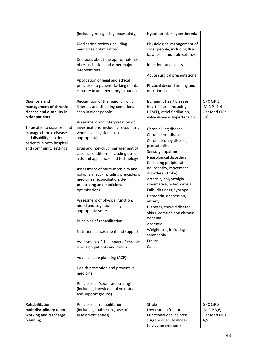|                                                                                                                                                                                                                                        | (including recognising uncertainty)                                                                                                                                                                                                                                                                                                                                                                                                                                                                                                                                                                                                                                                                                                                                        | Hypothermia / hyperthermia                                                                                                                                                                                                                                                                                                                                                                                                                                                                                                                                                                                      |                                                   |
|----------------------------------------------------------------------------------------------------------------------------------------------------------------------------------------------------------------------------------------|----------------------------------------------------------------------------------------------------------------------------------------------------------------------------------------------------------------------------------------------------------------------------------------------------------------------------------------------------------------------------------------------------------------------------------------------------------------------------------------------------------------------------------------------------------------------------------------------------------------------------------------------------------------------------------------------------------------------------------------------------------------------------|-----------------------------------------------------------------------------------------------------------------------------------------------------------------------------------------------------------------------------------------------------------------------------------------------------------------------------------------------------------------------------------------------------------------------------------------------------------------------------------------------------------------------------------------------------------------------------------------------------------------|---------------------------------------------------|
|                                                                                                                                                                                                                                        | Medication review (including<br>medicines optimisation)<br>Decisions about the appropriateness<br>of resuscitation and other major                                                                                                                                                                                                                                                                                                                                                                                                                                                                                                                                                                                                                                         | Physiological management of<br>older people, including fluid<br>balance, in multiple settings<br>Infections and sepsis                                                                                                                                                                                                                                                                                                                                                                                                                                                                                          |                                                   |
|                                                                                                                                                                                                                                        | interventions                                                                                                                                                                                                                                                                                                                                                                                                                                                                                                                                                                                                                                                                                                                                                              |                                                                                                                                                                                                                                                                                                                                                                                                                                                                                                                                                                                                                 |                                                   |
|                                                                                                                                                                                                                                        | Application of legal and ethical                                                                                                                                                                                                                                                                                                                                                                                                                                                                                                                                                                                                                                                                                                                                           | Acute surgical presentations                                                                                                                                                                                                                                                                                                                                                                                                                                                                                                                                                                                    |                                                   |
|                                                                                                                                                                                                                                        | principles to patients lacking mental<br>capacity in an emergency situation                                                                                                                                                                                                                                                                                                                                                                                                                                                                                                                                                                                                                                                                                                | Physical deconditioning and<br>nutritional decline                                                                                                                                                                                                                                                                                                                                                                                                                                                                                                                                                              |                                                   |
| <b>Diagnosis and</b><br>management of chronic<br>disease and disability in<br>older patients<br>To be able to diagnose and<br>manage chronic disease<br>and disability in older<br>patients in both hospital<br>and community settings | Recognition of the major chronic<br>illnesses and disabling conditions<br>seen in older people<br>Assessment and interpretation of<br>investigations (including recognising<br>when investigation is not<br>appropriate)<br>Drug and non-drug management of<br>chronic conditions, including use of<br>aids and appliances and technology<br>Assessment of multi-morbidity and<br>polypharmacy (including principles of<br>medicines reconciliation, de-<br>prescribing and medicines<br>optimisation)<br>Assessment of physical function,<br>mood and cognition using<br>appropriate scales<br>Principles of rehabilitation<br>Nutritional assessment and support<br>Assessment of the impact of chronic<br>illness on patients and carers<br>Advance care planning (ACP) | Ischaemic heart disease,<br>heart failure (including<br>HFpEF), atrial fibrillation,<br>valve disease, hypertension<br>Chronic lung disease<br>Chronic liver disease<br>Chronic kidney disease,<br>prostate disease<br>Sensory impairment<br>Neurological disorders<br>(including peripheral<br>neuropathy, movement<br>disorders, stroke)<br>Arthritis, polymyalgia<br>rheumatica, osteoporosis<br>Falls, dizziness, syncope<br>Dementia, depression,<br>anxiety<br>Diabetes, thyroid disease<br>Skin ulceration and chronic<br>oedema<br>Anaemia<br>Weight loss, including<br>sarcopenia<br>Frailty<br>Cancer | GPC CiP 3<br>IM CiPs 1-4<br>Ger Med CiPs<br>$1-6$ |
|                                                                                                                                                                                                                                        | Health promotion and preventive<br>medicine<br>Principles of 'social prescribing'                                                                                                                                                                                                                                                                                                                                                                                                                                                                                                                                                                                                                                                                                          |                                                                                                                                                                                                                                                                                                                                                                                                                                                                                                                                                                                                                 |                                                   |
|                                                                                                                                                                                                                                        | (including knowledge of volunteer<br>and support groups)                                                                                                                                                                                                                                                                                                                                                                                                                                                                                                                                                                                                                                                                                                                   |                                                                                                                                                                                                                                                                                                                                                                                                                                                                                                                                                                                                                 |                                                   |
| Rehabilitation,<br>multidisciplinary team<br>working and discharge<br>planning                                                                                                                                                         | Principles of rehabilitation<br>(including goal setting, use of<br>assessment scales)                                                                                                                                                                                                                                                                                                                                                                                                                                                                                                                                                                                                                                                                                      | Stroke<br>Low trauma fractures<br>Functional decline post<br>surgery or acute illness<br>(including delirium)                                                                                                                                                                                                                                                                                                                                                                                                                                                                                                   | GPC CiP 3<br>IM CiP 3,6;<br>Ger Med CiPs<br>4,5   |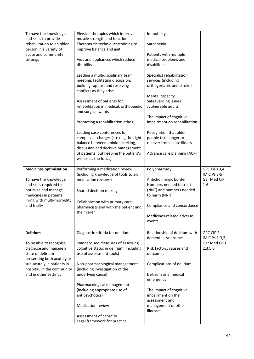| To have the knowledge<br>and skills to provide<br>rehabilitation to an older<br>person in a variety of<br>acute and community<br>settings                                                                    | Physical therapies which improve<br>muscle strength and function.<br>Therapeutic techniques/training to<br>improve balance and gait<br>Aids and appliances which reduce<br>disability<br>Leading a multidisciplinary team<br>meeting, facilitating discussion,<br>building rapport and resolving<br>conflicts as they arise<br>Assessment of patients for<br>rehabilitation in medical, orthopaedic<br>and surgical wards<br>Promoting a rehabilitation ethos<br>Leading case conferences for<br>complex discharges (striking the right<br>balance between opinion-seeking, | Immobility<br>Sarcopenia<br>Patients with multiple<br>medical problems and<br>disabilities<br>Specialist rehabilitation<br>services (including<br>orthogeriatric and stroke)<br>Mental capacity<br>Safeguarding issues<br>/vulnerable adults<br>The impact of cognitive<br>impairment on rehabilitation<br>Recognition that older<br>people take longer to<br>recover from acute illness |                                                        |
|--------------------------------------------------------------------------------------------------------------------------------------------------------------------------------------------------------------|-----------------------------------------------------------------------------------------------------------------------------------------------------------------------------------------------------------------------------------------------------------------------------------------------------------------------------------------------------------------------------------------------------------------------------------------------------------------------------------------------------------------------------------------------------------------------------|------------------------------------------------------------------------------------------------------------------------------------------------------------------------------------------------------------------------------------------------------------------------------------------------------------------------------------------------------------------------------------------|--------------------------------------------------------|
|                                                                                                                                                                                                              | discussion and decisive management<br>of patients, but keeping the patient's<br>wishes as the focus)                                                                                                                                                                                                                                                                                                                                                                                                                                                                        | Advance care planning (ACP)                                                                                                                                                                                                                                                                                                                                                              |                                                        |
| <b>Medicines optimisation</b><br>To have the knowledge<br>and skills required to<br>optimise and manage<br>medicines in patients<br>living with multi-morbidity<br>and frailty                               | Performing a medication review<br>(including knowledge of tools to aid<br>medication reviews)<br>Shared decision making<br>Collaboration with primary care,<br>pharmacists and with the patient and<br>their carer                                                                                                                                                                                                                                                                                                                                                          | Polypharmacy<br>Anticholinergic burden<br>Numbers needed to treat<br>(NNT) and numbers needed<br>to harm (NNH)<br>Compliance and concordance<br>Medicines-related adverse<br>events                                                                                                                                                                                                      | GPC CiPs 3,4<br>IM CiPs 3-5<br>Ger Med CiP<br>$1 - 6$  |
| <b>Delirium</b><br>To be able to recognise,<br>diagnose and manage a<br>state of delirium<br>presenting both acutely or<br>sub-acutely in patients in<br>hospital, in the community<br>and in other settings | Diagnostic criteria for delirium<br>Standardised measures of assessing<br>cognitive status in delirium (including<br>use of assessment tools)<br>Non-pharmacological management<br>(including investigation of the<br>underlying cause)<br>Pharmacological management<br>(including appropriate use of<br>antipsychotics)<br>Medication review<br>Assessment of capacity<br>Legal framework for practice                                                                                                                                                                    | Relationship of delirium with<br>dementia syndromes<br>Risk factors, causes and<br>outcomes<br>Complications of delirium<br>Delirium as a medical<br>emergency<br>The impact of cognitive<br>impairment on the<br>assessment and<br>management of other<br>illnesses                                                                                                                     | GPC CiP 2<br>IM CiPs 1-3,5;<br>Ger Med CiPs<br>2,3,5,6 |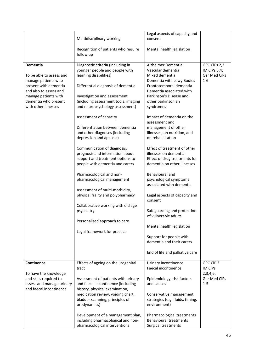|                                                 | Multidisciplinary working                        | Legal aspects of capacity and<br>consent            |              |
|-------------------------------------------------|--------------------------------------------------|-----------------------------------------------------|--------------|
|                                                 | Recognition of patients who require<br>follow up | Mental health legislation                           |              |
| Dementia                                        | Diagnostic criteria (including in                | Alzheimer Dementia                                  | GPC CiPs 2,3 |
|                                                 | younger people and people with                   | Vascular dementia                                   | IM CiPs 3,4; |
| To be able to assess and                        | learning disabilities)                           | Mixed dementia                                      | Ger Med CiPs |
| manage patients who                             |                                                  | Dementia with Lewy Bodies                           | $1-6$        |
| present with dementia<br>and also to assess and | Differential diagnosis of dementia               | Frontotemporal dementia<br>Dementia associated with |              |
| manage patients with                            | Investigation and assessment                     | Parkinson's Disease and                             |              |
| dementia who present                            | (including assessment tools, imaging             | other parkinsonian                                  |              |
| with other illnesses                            | and neuropsychology assessment)                  | syndromes                                           |              |
|                                                 | Assessment of capacity                           | Impact of dementia on the<br>assessment and         |              |
|                                                 | Differentiation between dementia                 | management of other                                 |              |
|                                                 | and other diagnoses (including                   | illnesses, on nutrition, and                        |              |
|                                                 | depression and aphasia)                          | on rehabilitation                                   |              |
|                                                 | Communication of diagnosis,                      | Effect of treatment of other                        |              |
|                                                 | prognosis and information about                  | illnesses on dementia                               |              |
|                                                 | support and treatment options to                 | Effect of drug treatments for                       |              |
|                                                 | people with dementia and carers                  | dementia on other illnesses                         |              |
|                                                 | Pharmacological and non-                         | Behavioural and                                     |              |
|                                                 | pharmacological management                       | psychological symptoms                              |              |
|                                                 |                                                  | associated with dementia                            |              |
|                                                 | Assessment of multi-morbidity,                   |                                                     |              |
|                                                 | physical frailty and polypharmacy                | Legal aspects of capacity and<br>consent            |              |
|                                                 | Collaborative working with old age               |                                                     |              |
|                                                 | psychiatry                                       | Safeguarding and protection                         |              |
|                                                 |                                                  | of vulnerable adults                                |              |
|                                                 | Personalised approach to care                    |                                                     |              |
|                                                 | Legal framework for practice                     | Mental health legislation                           |              |
|                                                 |                                                  | Support for people with                             |              |
|                                                 |                                                  | dementia and their carers                           |              |
|                                                 |                                                  | End of life and palliative care                     |              |
| Continence                                      | Effects of ageing on the urogenital              | Urinary incontinence                                | GPC CiP 3    |
|                                                 | tract                                            | Faecal incontinence                                 | IM CiPs      |
| To have the knowledge                           |                                                  |                                                     | 2,3,4,6;     |
| and skills required to                          | Assessment of patients with urinary              | Epidemiology, risk factors                          | Ger Med CiPs |
| assess and manage urinary                       | and faecal incontinence (including               | and causes                                          | $1 - 5$      |
| and faecal incontinence                         | history, physical examination,                   |                                                     |              |
|                                                 | medication review, voiding chart,                | Conservative management                             |              |
|                                                 | bladder scanning, principles of                  | strategies (e.g. fluids, timing,                    |              |
|                                                 | urodynamics)                                     | environment)                                        |              |
|                                                 | Development of a management plan,                | Pharmacological treatments                          |              |
|                                                 | including pharmacological and non-               | <b>Behavioural treatments</b>                       |              |
|                                                 | pharmacological interventions                    | Surgical treatments                                 |              |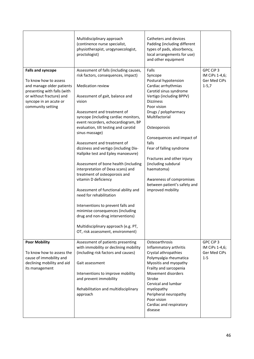|                                                                                                                                                                                          | Multidisciplinary approach<br>(continence nurse specialist,<br>physiotherapist, urogynaecologist,<br>proctologist)                                                                                                                                                                                                                                                                                                                                                                                                                                                                                                                                                                                                                                                                                                                               | Catheters and devices<br>Padding (including different<br>types of pads, absorbency,<br>local arrangements for use)<br>and other equipment                                                                                                                                                                                                                                                                                                 |                                                          |
|------------------------------------------------------------------------------------------------------------------------------------------------------------------------------------------|--------------------------------------------------------------------------------------------------------------------------------------------------------------------------------------------------------------------------------------------------------------------------------------------------------------------------------------------------------------------------------------------------------------------------------------------------------------------------------------------------------------------------------------------------------------------------------------------------------------------------------------------------------------------------------------------------------------------------------------------------------------------------------------------------------------------------------------------------|-------------------------------------------------------------------------------------------------------------------------------------------------------------------------------------------------------------------------------------------------------------------------------------------------------------------------------------------------------------------------------------------------------------------------------------------|----------------------------------------------------------|
| <b>Falls and syncope</b><br>To know how to assess<br>and manage older patients<br>presenting with falls (with<br>or without fracture) and<br>syncope in an acute or<br>community setting | Assessment of falls (including causes,<br>risk factors, consequences, impact)<br><b>Medication review</b><br>Assessment of gait, balance and<br>vision<br>Assessment and treatment of<br>syncope (including cardiac monitors,<br>event recorders, echocardiogram, BP<br>evaluation, tilt testing and carotid<br>sinus massage)<br>Assessment and treatment of<br>dizziness and vertigo (including Dix-<br>Hallpike test and Epley manoeuvre)<br>Assessment of bone health (including<br>interpretation of Dexa scans) and<br>treatment of osteoporosis and<br>vitamin D deficiency<br>Assessment of functional ability and<br>need for rehabilitation<br>Interventions to prevent falls and<br>minimise consequences (including<br>drug and non-drug interventions)<br>Multidisciplinary approach (e.g. PT,<br>OT, risk assessment, environment) | Falls<br>Syncope<br>Postural hypotension<br>Cardiac arrhythmias<br>Carotid sinus syndrome<br>Vertigo (including BPPV)<br><b>Dizziness</b><br>Poor vision<br>Drugs / polypharmacy<br>Multifactorial<br>Osteoporosis<br>Consequences and impact of<br>falls<br>Fear of falling syndrome<br>Fractures and other injury<br>(including subdural<br>haematoma)<br>Awareness of compromises<br>between patient's safety and<br>improved mobility | GPC CiP 3<br>IM CiPs 1-4,6;<br>Ger Med CiPs<br>$1 - 5,7$ |
| <b>Poor Mobility</b><br>To know how to assess the<br>cause of immobility and<br>declining mobility and aid<br>its management                                                             | Assessment of patients presenting<br>with immobility or declining mobility<br>(including risk factors and causes)<br>Gait assessment<br>Interventions to improve mobility<br>and prevent immobility<br>Rehabilitation and multidisciplinary<br>approach                                                                                                                                                                                                                                                                                                                                                                                                                                                                                                                                                                                          | Osteoarthrosis<br>Inflammatory arthritis<br>Crystal athropathies<br>Polymyalgia rheumatica<br>Myositis and myopathy<br>Frailty and sarcopenia<br>Movement disorders<br>Stroke<br>Cervical and lumbar<br>myelopathy<br>Peripheral neuropathy<br>Poor vision<br>Cardiac and respiratory<br>disease                                                                                                                                          | GPC CiP 3<br>IM CiPs 1-4,6;<br>Ger Med CiPs<br>$1 - 5$   |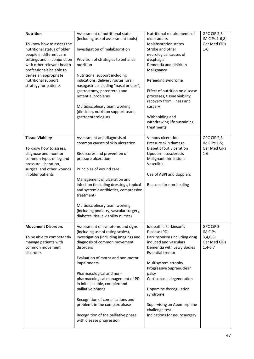| <b>Nutrition</b><br>To know how to assess the<br>nutritional status of older<br>people in different care                                                                       | Assessment of nutritional state<br>(including use of assessment tools)<br>Investigation of malabsorption                                                                                                                                                                                                                                                                                                | Nutritional requirements of<br>older adults<br>Malabsorption states<br>Stroke and other<br>neurological causes of                                                                                           | GPC CiP 2,3<br>IM CiPs 1-6,8;<br>Ger Med CiPs<br>$1-6$        |
|--------------------------------------------------------------------------------------------------------------------------------------------------------------------------------|---------------------------------------------------------------------------------------------------------------------------------------------------------------------------------------------------------------------------------------------------------------------------------------------------------------------------------------------------------------------------------------------------------|-------------------------------------------------------------------------------------------------------------------------------------------------------------------------------------------------------------|---------------------------------------------------------------|
| settings and in conjunction<br>with other relevant health<br>professionals be able to<br>devise an appropriate                                                                 | Provision of strategies to enhance<br>nutrition<br>Nutritional support including                                                                                                                                                                                                                                                                                                                        | dysphagia<br>Dementia and delirium<br>Malignancy                                                                                                                                                            |                                                               |
| nutritional support<br>strategy for patients                                                                                                                                   | indications, delivery routes (oral,<br>nasogastric including "nasal bridles",<br>gastrostomy, parenteral) and<br>potential problems                                                                                                                                                                                                                                                                     | Refeeding syndrome<br>Effect of nutrition on disease<br>processes, tissue viability,<br>recovery from illness and                                                                                           |                                                               |
|                                                                                                                                                                                | Multidisciplinary team working<br>(dietician, nutrition support team,<br>gastroenterologist)                                                                                                                                                                                                                                                                                                            | surgery<br>Withholding and<br>withdrawing life sustaining<br>treatments                                                                                                                                     |                                                               |
| <b>Tissue Viability</b><br>To know how to assess,<br>diagnose and monitor<br>common types of leg and<br>pressure ulceration,<br>surgical and other wounds<br>in older patients | Assessment and diagnosis of<br>common causes of skin ulceration<br>Risk scores and prevention of<br>pressure ulceration<br>Principles of wound care<br>Management of ulceration and<br>infection (including dressings, topical<br>and systemic antibiotics, compression<br>treatment)<br>Multidisciplinary team working<br>(including podiatry, vascular surgery,<br>diabetes, tissue viability nurses) | Venous ulceration<br>Pressure skin damage<br>Diabetic foot ulceration<br>Lipodermatosclerosis<br>Malignant skin lesions<br>Vasculitis<br>Use of ABPI and dopplers<br>Reasons for non-healing                | GPC CiP 2,3<br>IM CiPs 1-5;<br>Ger Med CiPs<br>$1 - 6$        |
| <b>Movement Disorders</b><br>To be able to competently<br>manage patients with<br>common movement<br>disorders                                                                 | Assessment of symptoms and signs<br>(including use of rating scales),<br>investigation (including imaging) and<br>diagnosis of common movement<br>disorders                                                                                                                                                                                                                                             | Idiopathic Parkinson's<br>Disease (PD)<br>Parkinsonism (including drug<br>induced and vascular)<br>Dementia with Lewy Bodies<br><b>Essential tremor</b>                                                     | GPC CiP 3<br>IM CiPs<br>3,4,6,8;<br>Ger Med CiPs<br>$1,4-6,7$ |
|                                                                                                                                                                                | Evaluation of motor and non-motor<br>impairments<br>Pharmacological and non-<br>pharmacological management of PD<br>in initial, stable, complex and<br>palliative phases<br>Recognition of complications and<br>problems in the complex phase<br>Recognition of the palliative phase<br>with disease progression                                                                                        | Multisystem atrophy<br>Progressive Supranuclear<br>palsy<br>Corticobasal degeneration<br>Dopamine dysregulation<br>syndrome<br>Supervising an Apomorphine<br>challenge test<br>Indications for neurosurgery |                                                               |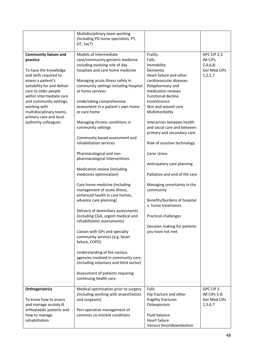|                                                                                                                                                                                                                                                                                                                               | Multidisciplinary team working<br>(including PD nurse specialists, PT,<br>OT, SaLT)                                                                                                                                                                                                                                                                                                                                                                                                                                                                                                                                                                                                                                                                                                                                                                                                                                                                                                                                                                                               |                                                                                                                                                                                                                                                                                                                                                                                                                                                                                                                                                                                                                                   |                                                                  |
|-------------------------------------------------------------------------------------------------------------------------------------------------------------------------------------------------------------------------------------------------------------------------------------------------------------------------------|-----------------------------------------------------------------------------------------------------------------------------------------------------------------------------------------------------------------------------------------------------------------------------------------------------------------------------------------------------------------------------------------------------------------------------------------------------------------------------------------------------------------------------------------------------------------------------------------------------------------------------------------------------------------------------------------------------------------------------------------------------------------------------------------------------------------------------------------------------------------------------------------------------------------------------------------------------------------------------------------------------------------------------------------------------------------------------------|-----------------------------------------------------------------------------------------------------------------------------------------------------------------------------------------------------------------------------------------------------------------------------------------------------------------------------------------------------------------------------------------------------------------------------------------------------------------------------------------------------------------------------------------------------------------------------------------------------------------------------------|------------------------------------------------------------------|
| <b>Community liaison and</b><br>practice<br>To have the knowledge<br>and skills required to<br>assess a patient's<br>suitability for and deliver<br>care to older people<br>within intermediate care<br>and community settings,<br>working with<br>multidisciplinary teams,<br>primary care and local<br>authority colleagues | Models of intermediate<br>care/community geriatric medicine<br>including evolving role of day<br>hospitals and care home medicine<br>Managing acute illness safely in<br>community settings including hospital<br>at home services<br>Undertaking comprehensive<br>assessment in a patient's own home<br>or care home<br>Managing chronic conditions in<br>community settings<br>Community based assessment and<br>rehabilitation services<br>Pharmacological and non-<br>pharmacological interventions<br>Medication review (including<br>medicines optimisation)<br>Care home medicine (including<br>management of acute illness,<br>enhanced health in care homes,<br>advance care planning)<br>Delivery of domiciliary assessments<br>(including CGA, urgent medical and<br>rehabilitation assessments)<br>Liaison with GPs and specialty<br>community services (e.g. heart<br>failure, COPD)<br>Understanding of the various<br>agencies involved in community care,<br>(including voluntary and third sector)<br>Assessment of patients requiring<br>continuing health care | Frailty<br>Falls<br>Immobility<br>Dementia<br>Heart failure and other<br>cardiovascular diseases<br>Polypharmacy and<br>medication reviews<br><b>Functional decline</b><br>Incontinence<br>Skin and wound care<br>Multimorbidity<br>Interaction between health<br>and social care and between<br>primary and secondary care<br>Role of assistive technology<br>Carer stress<br>Anticipatory care planning<br>Palliative and end of life care<br>Managing uncertainty in the<br>community<br>Benefits/burdens of hospital<br>v. home treatments<br><b>Practical challenges</b><br>Decision making for patients<br>you have not met | GPC CiP 2,3<br>IM CiPs<br>2,4,6,8;<br>Ger Med CiPs<br>1, 2, 5, 7 |
| Orthogeriatrics<br>To know how to assess<br>and manage acutely ill<br>orthopaedic patients and<br>how to manage<br>rehabilitation                                                                                                                                                                                             | Medical optimisation prior to surgery<br>(including working with anaesthetists<br>and surgeons)<br>Peri-operative management of<br>common co-morbid conditions                                                                                                                                                                                                                                                                                                                                                                                                                                                                                                                                                                                                                                                                                                                                                                                                                                                                                                                    | Falls<br>Hip fracture and other<br>fragility fractures<br>Osteoporosis<br>Fluid balance<br>Heart failure<br>Venous thromboembolism                                                                                                                                                                                                                                                                                                                                                                                                                                                                                                | GPC CiP 3<br>IM CiPs 5-8;<br>Ger Med CiPs<br>1,3,6,7             |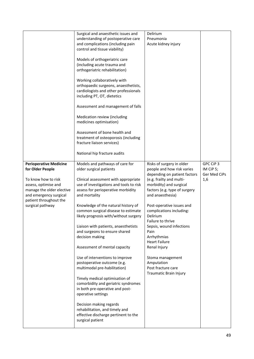|                                                                                                                                                                                                       | Surgical and anaesthetic issues and<br>understanding of postoperative care<br>and complications (including pain<br>control and tissue viability)<br>Models of orthogeriatric care<br>(including acute trauma and<br>orthogeriatric rehabilitation)<br>Working collaboratively with<br>orthopaedic surgeons, anaesthetists,<br>cardiologists and other professionals<br>including PT, OT, dietetics<br>Assessment and management of falls<br>Medication review (including<br>medicines optimisation)<br>Assessment of bone health and<br>treatment of osteoporosis (including<br>fracture liaison services)<br>National hip fracture audits                                                                                                                                                                            | Delirium<br>Pneumonia<br>Acute kidney injury                                                                                                                                                                                                                                                                                                                                                                                                                               |                                               |
|-------------------------------------------------------------------------------------------------------------------------------------------------------------------------------------------------------|-----------------------------------------------------------------------------------------------------------------------------------------------------------------------------------------------------------------------------------------------------------------------------------------------------------------------------------------------------------------------------------------------------------------------------------------------------------------------------------------------------------------------------------------------------------------------------------------------------------------------------------------------------------------------------------------------------------------------------------------------------------------------------------------------------------------------|----------------------------------------------------------------------------------------------------------------------------------------------------------------------------------------------------------------------------------------------------------------------------------------------------------------------------------------------------------------------------------------------------------------------------------------------------------------------------|-----------------------------------------------|
|                                                                                                                                                                                                       |                                                                                                                                                                                                                                                                                                                                                                                                                                                                                                                                                                                                                                                                                                                                                                                                                       |                                                                                                                                                                                                                                                                                                                                                                                                                                                                            |                                               |
| <b>Perioperative Medicine</b><br>for Older People<br>To know how to risk<br>assess, optimise and<br>manage the older elective<br>and emergency surgical<br>patient throughout the<br>surgical pathway | Models and pathways of care for<br>older surgical patients<br>Clinical assessment with appropriate<br>use of investigations and tools to risk<br>assess for perioperative morbidity<br>and mortality<br>Knowledge of the natural history of<br>common surgical disease to estimate<br>likely prognosis with/without surgery<br>Liaison with patients, anaesthetists<br>and surgeons to ensure shared<br>decision making<br>Assessment of mental capacity<br>Use of interventions to improve<br>postoperative outcome (e.g.<br>multimodal pre-habilitation)<br>Timely medical optimisation of<br>comorbidity and geriatric syndromes<br>in both pre-operative and post-<br>operative settings<br>Decision making regards<br>rehabilitation, and timely and<br>effective discharge pertinent to the<br>surgical patient | Risks of surgery in older<br>people and how risk varies<br>depending on patient factors<br>(e.g. frailty and multi-<br>morbidity) and surgical<br>factors (e.g. type of surgery<br>and anaesthesia)<br>Post-operative issues and<br>complications including:<br>Delirium<br>Failure to thrive<br>Sepsis, wound infections<br>Pain<br>Arrhythmias<br><b>Heart Failure</b><br>Renal Injury<br>Stoma management<br>Amputation<br>Post fracture care<br>Traumatic Brain Injury | GPC CiP 3<br>IM CiP 5;<br>Ger Med CiPs<br>1,6 |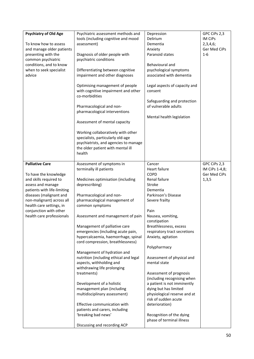| <b>Psychiatry of Old Age</b><br>To know how to assess<br>and manage older patients<br>presenting with the<br>common psychiatric<br>conditions, and to know<br>when to seek specialist<br>advice | Psychiatric assessment methods and<br>tools (including cognitive and mood<br>assessment)<br>Diagnosis of older people with<br>psychiatric conditions<br>Differentiating between cognitive<br>impairment and other diagnoses<br>Optimising management of people<br>with cognitive impairment and other<br>co-morbidities<br>Pharmacological and non-<br>pharmacological interventions<br>Assessment of mental capacity<br>Working collaboratively with other<br>specialists, particularly old-age<br>psychiatrists, and agencies to manage<br>the older patient with mental ill<br>health | Depression<br>Delirium<br>Dementia<br>Anxiety<br>Paranoid states<br>Behavioural and<br>psychological symptoms<br>associated with dementia<br>Legal aspects of capacity and<br>consent<br>Safeguarding and protection<br>of vulnerable adults<br>Mental health legislation | GPC CiPs 2,3<br><b>IM CiPs</b><br>2,3,4,6;<br>Ger Med CiPs<br>$1-6$ |
|-------------------------------------------------------------------------------------------------------------------------------------------------------------------------------------------------|------------------------------------------------------------------------------------------------------------------------------------------------------------------------------------------------------------------------------------------------------------------------------------------------------------------------------------------------------------------------------------------------------------------------------------------------------------------------------------------------------------------------------------------------------------------------------------------|---------------------------------------------------------------------------------------------------------------------------------------------------------------------------------------------------------------------------------------------------------------------------|---------------------------------------------------------------------|
| <b>Palliative Care</b><br>To have the knowledge<br>and skills required to<br>assess and manage                                                                                                  | Assessment of symptoms in<br>terminally ill patients<br>Medicines optimisation (including<br>deprescribing)                                                                                                                                                                                                                                                                                                                                                                                                                                                                              | Cancer<br>Heart failure<br><b>COPD</b><br>Renal failure<br>Stroke                                                                                                                                                                                                         | GPC CiPs 2,3<br>IM CiPs 1-4,8;<br>Ger Med CiPs<br>1, 3, 5           |
| patients with life-limiting<br>diseases (malignant and<br>non-malignant) across all<br>health care settings, in                                                                                 | Pharmacological and non-<br>pharmacological management of<br>common symptoms                                                                                                                                                                                                                                                                                                                                                                                                                                                                                                             | Dementia<br>Parkinson's Disease<br>Severe frailty                                                                                                                                                                                                                         |                                                                     |
| conjunction with other<br>health care professionals                                                                                                                                             | Assessment and management of pain                                                                                                                                                                                                                                                                                                                                                                                                                                                                                                                                                        | Pain<br>Nausea, vomiting,<br>constipation                                                                                                                                                                                                                                 |                                                                     |
|                                                                                                                                                                                                 | Management of palliative care<br>emergencies (including acute pain,<br>hypercalcaemia, haemorrhage, spinal<br>cord compression, breathlessness)                                                                                                                                                                                                                                                                                                                                                                                                                                          | Breathlessness, excess<br>respiratory tract secretions<br>Anxiety, agitation                                                                                                                                                                                              |                                                                     |
|                                                                                                                                                                                                 | Management of hydration and<br>nutrition (including ethical and legal<br>aspects, withholding and<br>withdrawing life prolonging<br>treatments)                                                                                                                                                                                                                                                                                                                                                                                                                                          | Polypharmacy<br>Assessment of physical and<br>mental state<br>Assessment of prognosis<br>(including recognising when                                                                                                                                                      |                                                                     |
|                                                                                                                                                                                                 | Development of a holistic<br>management plan (including<br>multidisciplinary assessment)                                                                                                                                                                                                                                                                                                                                                                                                                                                                                                 | a patient is not imminently<br>dying but has limited<br>physiological reserve and at<br>risk of sudden acute                                                                                                                                                              |                                                                     |
|                                                                                                                                                                                                 | Effective communication with<br>patients and carers, including<br>'breaking bad news'                                                                                                                                                                                                                                                                                                                                                                                                                                                                                                    | deterioration)<br>Recognition of the dying                                                                                                                                                                                                                                |                                                                     |
|                                                                                                                                                                                                 | Discussing and recording ACP                                                                                                                                                                                                                                                                                                                                                                                                                                                                                                                                                             | phase of terminal illness                                                                                                                                                                                                                                                 |                                                                     |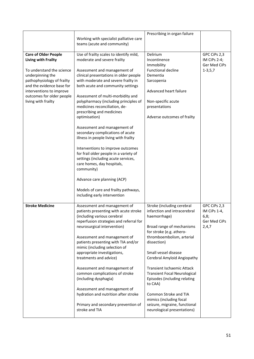|                                                                                                                                                                                                                                                       | Working with specialist palliative care<br>teams (acute and community)                                                                                                                                                                                                                                                                                                                                                                                                                                                                                                                                                                                                                                                                                                          | Prescribing in organ failure                                                                                                                                                                                                                                                                                                                                                                                                                                                      |                                                               |
|-------------------------------------------------------------------------------------------------------------------------------------------------------------------------------------------------------------------------------------------------------|---------------------------------------------------------------------------------------------------------------------------------------------------------------------------------------------------------------------------------------------------------------------------------------------------------------------------------------------------------------------------------------------------------------------------------------------------------------------------------------------------------------------------------------------------------------------------------------------------------------------------------------------------------------------------------------------------------------------------------------------------------------------------------|-----------------------------------------------------------------------------------------------------------------------------------------------------------------------------------------------------------------------------------------------------------------------------------------------------------------------------------------------------------------------------------------------------------------------------------------------------------------------------------|---------------------------------------------------------------|
| <b>Care of Older People</b><br><b>Living with Frailty</b><br>To understand the science<br>underpinning the<br>pathophysiology of frailty<br>and the evidence base for<br>interventions to improve<br>outcomes for older people<br>living with frailty | Use of frailty scales to identify mild,<br>moderate and severe frailty<br>Assessment and management of<br>clinical presentations in older people<br>with moderate and severe frailty in<br>both acute and community settings<br>Assessment of multi-morbidity and<br>polypharmacy (including principles of<br>medicines reconciliation, de-<br>prescribing and medicines<br>optimisation)<br>Assessment and management of<br>secondary complications of acute<br>illness in people living with frailty<br>Interventions to improve outcomes<br>for frail older people in a variety of<br>settings (including acute services,<br>care homes, day hospitals,<br>community)<br>Advance care planning (ACP)<br>Models of care and frailty pathways,<br>including early intervention | Delirium<br>Incontinence<br>Immobility<br><b>Functional decline</b><br>Dementia<br>Sarcopenia<br>Advanced heart failure<br>Non-specific acute<br>presentations<br>Adverse outcomes of frailty                                                                                                                                                                                                                                                                                     | GPC CiPs 2,3<br>IM CiPs 2-4;<br>Ger Med CiPs<br>$1 - 3, 5, 7$ |
| <b>Stroke Medicine</b>                                                                                                                                                                                                                                | Assessment and management of<br>patients presenting with acute stroke<br>(including various cerebral<br>reperfusion strategies and referral for<br>neurosurgical intervention)<br>Assessment and management of<br>patients presenting with TIA and/or<br>mimic (including selection of<br>appropriate investigations,<br>treatments and advice)<br>Assessment and management of<br>common complications of stroke<br>(including dysphagia)<br>Assessment and management of<br>hydration and nutrition after stroke<br>Primary and secondary prevention of<br>stroke and TIA                                                                                                                                                                                                     | Stroke (including cerebral<br>infarction and intracerebral<br>haemorrhage)<br>Broad range of mechanisms<br>for stroke (e.g. athero-<br>thromboembolism, arterial<br>dissection)<br>Small vessel disease<br>Cerebral Amyloid Angiopathy<br><b>Transient Ischaemic Attack</b><br><b>Transient Focal Neurological</b><br>Episodes (including relating<br>to CAA)<br>Common Stroke and TIA<br>mimics (including focal<br>seizure, migraine, functional<br>neurological presentations) | GPC CiPs 2,3<br>IM CiPs 1-4,<br>6,8;<br>Ger Med CiPs<br>2,4,7 |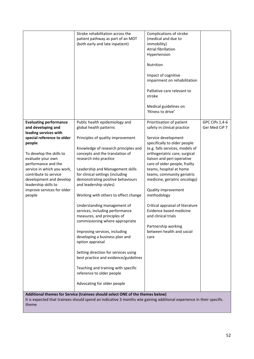|                                                    | Stroke rehabilitation across the<br>patient pathway as part of an MDT<br>(both early and late inpatient)             | Complications of stroke<br>(medical and due to<br>immobility)<br>Atrial fibrillation<br>Hypertension<br>Nutrition<br>Impact of cognitive<br>impairment on rehabilitation<br>Palliative care relevant to<br>stroke<br>Medical guidelines on<br>'fitness to drive' |                |
|----------------------------------------------------|----------------------------------------------------------------------------------------------------------------------|------------------------------------------------------------------------------------------------------------------------------------------------------------------------------------------------------------------------------------------------------------------|----------------|
| <b>Evaluating performance</b>                      | Public health epidemiology and                                                                                       | Prioritisation of patient                                                                                                                                                                                                                                        | GPC CiPs 1,4-6 |
| and developing and                                 | global health patterns                                                                                               | safety in clinical practice                                                                                                                                                                                                                                      | Ger Med CiP 7  |
| leading services with                              |                                                                                                                      |                                                                                                                                                                                                                                                                  |                |
| special reference to older                         | Principles of quality improvement                                                                                    | Service development                                                                                                                                                                                                                                              |                |
| people                                             | Knowledge of research principles and                                                                                 | specifically to older people<br>(e.g. falls services, models of                                                                                                                                                                                                  |                |
| To develop the skills to                           | concepts and the translation of                                                                                      | orthogeriatric care, surgical                                                                                                                                                                                                                                    |                |
| evaluate your own                                  | research into practice                                                                                               | liaison and peri-operative                                                                                                                                                                                                                                       |                |
| performance and the                                |                                                                                                                      | care of older people, frailty                                                                                                                                                                                                                                    |                |
| service in which you work,                         | Leadership and Management skills                                                                                     | teams, hospital at home                                                                                                                                                                                                                                          |                |
| contribute to service<br>development and develop   | for clinical settings (including<br>demonstrating positive behaviours                                                | teams, community geriatric<br>medicine, geriatric oncology)                                                                                                                                                                                                      |                |
| leadership skills to<br>improve services for older | and leadership styles)                                                                                               | Quality improvement                                                                                                                                                                                                                                              |                |
| people                                             | Working with others to effect change                                                                                 | methodology                                                                                                                                                                                                                                                      |                |
|                                                    |                                                                                                                      |                                                                                                                                                                                                                                                                  |                |
|                                                    | Understanding management of                                                                                          | Critical appraisal of literature                                                                                                                                                                                                                                 |                |
|                                                    | services, including performance<br>measures, and principles of                                                       | Evidence based medicine<br>and clinical trials                                                                                                                                                                                                                   |                |
|                                                    | commissioning where appropriate                                                                                      |                                                                                                                                                                                                                                                                  |                |
|                                                    |                                                                                                                      | Partnership working                                                                                                                                                                                                                                              |                |
|                                                    | Improving services, including                                                                                        | between health and social                                                                                                                                                                                                                                        |                |
|                                                    | developing a business plan and<br>option appraisal                                                                   | care                                                                                                                                                                                                                                                             |                |
|                                                    |                                                                                                                      |                                                                                                                                                                                                                                                                  |                |
|                                                    | Setting direction for services using<br>best practice and evidence/guidelines                                        |                                                                                                                                                                                                                                                                  |                |
|                                                    | Teaching and training with specific                                                                                  |                                                                                                                                                                                                                                                                  |                |
|                                                    | reference to older people                                                                                            |                                                                                                                                                                                                                                                                  |                |
|                                                    | Advocating for older people                                                                                          |                                                                                                                                                                                                                                                                  |                |
|                                                    | Additional themes for Service (trainees should select ONE of the themes below)                                       |                                                                                                                                                                                                                                                                  |                |
| theme                                              | It is expected that trainees should spend an indicative 3 months wte gaining additional experience in their specific |                                                                                                                                                                                                                                                                  |                |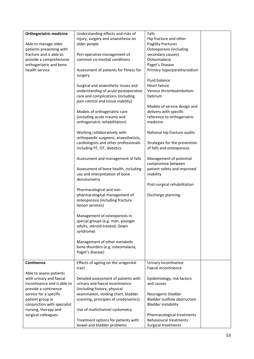| <b>Orthogeriatric medicine</b> | Understanding effects and risks of                                      | Falls                                         |
|--------------------------------|-------------------------------------------------------------------------|-----------------------------------------------|
|                                | injury, surgery and anaesthesia on                                      | Hip fracture and other                        |
| Able to manage older           | older people                                                            | fragility fractures                           |
| patients presenting with       |                                                                         | Osteoporosis (including                       |
| fracture and is able to        | Peri-operative management of                                            | secondary causes)                             |
| provide a comprehensive        | common co-morbid conditions                                             | Osteomalacia                                  |
| orthogeriatric and bone        |                                                                         | Paget's Disease                               |
| health service                 | Assessment of patients for fitness for<br>surgery                       | Primary hyperparathyroidism                   |
|                                |                                                                         | Fluid balance                                 |
|                                | Surgical and anaesthetic issues and                                     | Heart failure                                 |
|                                | understanding of acute postoperative                                    | Venous thromboembolism                        |
|                                | care and complications (including<br>pain control and tissue viability) | Delirium                                      |
|                                |                                                                         | Models of service design and                  |
|                                | Models of orthogeriatric care                                           | delivery with specific                        |
|                                | (including acute trauma and                                             | reference to orthogeriatric                   |
|                                | orthogeriatric rehabilitation)                                          | medicine                                      |
|                                | Working collaboratively with<br>orthopaedic surgeons, anaesthetists,    | National hip fracture audits                  |
|                                | cardiologists and other professionals                                   | Strategies for the prevention                 |
|                                | including PT, OT, dietetics                                             | of falls and osteoporosis                     |
|                                | Assessment and management of falls                                      | Management of potential<br>compromise between |
|                                | Assessment of bone health, including                                    | patient safety and improved                   |
|                                | use and interpretation of bone                                          | mobility                                      |
|                                | densitometry                                                            |                                               |
|                                |                                                                         | Post-surgical rehabilitation                  |
|                                | Pharmacological and non-                                                |                                               |
|                                | pharmacological management of                                           | Discharge planning                            |
|                                | osteoporosis (including fracture                                        |                                               |
|                                | liaison services)                                                       |                                               |
|                                | Management of osteoporosis in                                           |                                               |
|                                | special groups (e.g. men, younger                                       |                                               |
|                                | adults, steroid-treated, Down                                           |                                               |
|                                | syndrome)                                                               |                                               |
|                                | Management of other metabolic                                           |                                               |
|                                | bone disorders (e.g. osteomalacia,                                      |                                               |
|                                | Paget's disease)                                                        |                                               |
|                                |                                                                         |                                               |
| Continence                     | Effects of ageing on the urogenital                                     | Urinary incontinence                          |
|                                | tract                                                                   | Faecal incontinence                           |
| Able to assess patients        |                                                                         |                                               |
| with urinary and faecal        | Detailed assessment of patients with                                    | Epidemiology, risk factors                    |
| incontinence and is able to    | urinary and faecal incontinence                                         | and causes                                    |
| provide a continence           | (including history, physical                                            |                                               |
| service for a specific         | examination, voiding chart, bladder                                     | Neurogenic bladder                            |
| patient group in               | scanning, principles of urodynamics)                                    | <b>Bladder outflow obstruction</b>            |
| conjunction with specialist    |                                                                         | <b>Bladder instability</b>                    |
| nursing, therapy and           | Use of multichannel cystometry                                          |                                               |
| surgical colleagues            |                                                                         | Pharmacological treatments                    |
|                                | Treatment options for patients with                                     | <b>Behavioural treatments</b>                 |
|                                | bowel and bladder problems                                              | Surgical treatments                           |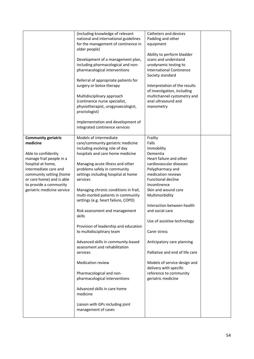|                                                                                                                                                                                                                                                         | (including knowledge of relevant<br>national and international guidelines<br>for the management of continence in<br>older people)<br>Development of a management plan,<br>including pharmacological and non-<br>pharmacological interventions<br>Referral of appropriate patients for<br>surgery or botox therapy<br>Multidisciplinary approach<br>(continence nurse specialist,<br>physiotherapist, urogynaecologist,<br>proctologist)<br>Implementation and development of<br>integrated continence services                                                                                                                                                                                                                                                                      | Catheters and devices<br>Padding and other<br>equipment<br>Ability to perform bladder<br>scans and understand<br>urodynamic testing to<br><b>International Continence</b><br>Society standard<br>Interpretation of the results<br>of investigation, including<br>multichannel cystometry and<br>anal ultrasound and<br>manometry                                                                                                                                                                            |
|---------------------------------------------------------------------------------------------------------------------------------------------------------------------------------------------------------------------------------------------------------|-------------------------------------------------------------------------------------------------------------------------------------------------------------------------------------------------------------------------------------------------------------------------------------------------------------------------------------------------------------------------------------------------------------------------------------------------------------------------------------------------------------------------------------------------------------------------------------------------------------------------------------------------------------------------------------------------------------------------------------------------------------------------------------|-------------------------------------------------------------------------------------------------------------------------------------------------------------------------------------------------------------------------------------------------------------------------------------------------------------------------------------------------------------------------------------------------------------------------------------------------------------------------------------------------------------|
| <b>Community geriatric</b><br>medicine<br>Able to confidently<br>manage frail people in a<br>hospital at home,<br>intermediate care and<br>community setting (home<br>or care home) and is able<br>to provide a community<br>geriatric medicine service | Models of intermediate<br>care/community geriatric medicine<br>including evolving role of day<br>hospitals and care home medicine<br>Managing acute illness and other<br>problems safely in community<br>settings including hospital at home<br>services<br>Managing chronic conditions in frail,<br>multi-morbid patients in community<br>settings (e.g. heart failure, COPD)<br>Risk assessment and management<br>skills<br>Provision of leadership and education<br>to multidisciplinary team<br>Advanced skills in community-based<br>assessment and rehabilitation<br>services<br><b>Medication review</b><br>Pharmacological and non-<br>pharmacological interventions<br>Advanced skills in care home<br>medicine<br>Liaison with GPs including joint<br>management of cases | Frailty<br>Falls<br>Immobility<br>Dementia<br>Heart failure and other<br>cardiovascular diseases<br>Polypharmacy and<br>medication reviews<br><b>Functional decline</b><br>Incontinence<br>Skin and wound care<br>Multimorbidity<br>Interaction between health<br>and social care<br>Use of assistive technology<br>Carer stress<br>Anticipatory care planning<br>Palliative and end of life care<br>Models of service design and<br>delivery with specific<br>reference to community<br>geriatric medicine |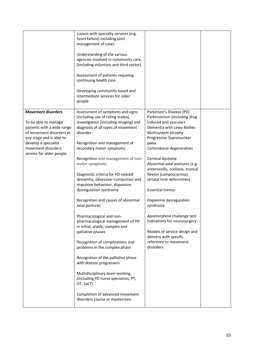|                                                        | Liaison with specialty services (e.g.<br>heart failure) including joint<br>management of cases<br>Understanding of the various<br>agencies involved in community care,<br>(including voluntary and third sector)<br>Assessment of patients requiring<br>continuing health care<br>Developing community based and<br>intermediate services for older<br>people |                                                                                   |  |
|--------------------------------------------------------|---------------------------------------------------------------------------------------------------------------------------------------------------------------------------------------------------------------------------------------------------------------------------------------------------------------------------------------------------------------|-----------------------------------------------------------------------------------|--|
| <b>Movement disorders</b><br>To be able to manage      | Assessment of symptoms and signs<br>(including use of rating scales),<br>investigation (including imaging) and                                                                                                                                                                                                                                                | Parkinson's Disease (PD)<br>Parkinsonism (including drug<br>induced and vascular) |  |
| patients with a wide range<br>of movement disorders at | diagnosis of all types of movement<br>disorder                                                                                                                                                                                                                                                                                                                | Dementia with Lewy Bodies<br>Multisystem atrophy                                  |  |
| any stage and is able to                               |                                                                                                                                                                                                                                                                                                                                                               | Progressive Supranuclear                                                          |  |
| develop a specialist<br>movement disorders             | Recognition and management of<br>secondary motor symptoms                                                                                                                                                                                                                                                                                                     | palsy<br>Corticobasal degeneration                                                |  |
| service for older people                               |                                                                                                                                                                                                                                                                                                                                                               |                                                                                   |  |
|                                                        | Recognition and management of non-                                                                                                                                                                                                                                                                                                                            | Cervical dystonia                                                                 |  |
|                                                        | motor symptoms                                                                                                                                                                                                                                                                                                                                                | Abnormal axial postures (e.g.                                                     |  |
|                                                        |                                                                                                                                                                                                                                                                                                                                                               | anterocollis, scoliosis, truncal                                                  |  |
|                                                        | Diagnostic criteria for PD related<br>dementia, obsessive-compulsive and                                                                                                                                                                                                                                                                                      | flexion (camptocormia),<br>striatal limb deformities)                             |  |
|                                                        | impulsive behaviour, dopamine                                                                                                                                                                                                                                                                                                                                 |                                                                                   |  |
|                                                        | dysregulation syndrome                                                                                                                                                                                                                                                                                                                                        | <b>Essential tremor</b>                                                           |  |
|                                                        | Recognition and causes of abnormal                                                                                                                                                                                                                                                                                                                            | Dopamine dysregulation                                                            |  |
|                                                        | axial postures                                                                                                                                                                                                                                                                                                                                                | syndrome                                                                          |  |
|                                                        |                                                                                                                                                                                                                                                                                                                                                               |                                                                                   |  |
|                                                        | Pharmacological and non-<br>pharmacological management of PD                                                                                                                                                                                                                                                                                                  | Apomorphine challenge test<br>Indications for neurosurgery                        |  |
|                                                        | in initial, stable, complex and                                                                                                                                                                                                                                                                                                                               |                                                                                   |  |
|                                                        | palliative phases                                                                                                                                                                                                                                                                                                                                             | Models of service design and                                                      |  |
|                                                        |                                                                                                                                                                                                                                                                                                                                                               | delivery with specific                                                            |  |
|                                                        | Recognition of complications and<br>problems in the complex phase                                                                                                                                                                                                                                                                                             | reference to movement<br>disorders                                                |  |
|                                                        | Recognition of the palliative phase<br>with disease progression                                                                                                                                                                                                                                                                                               |                                                                                   |  |
|                                                        | Multidisciplinary team working<br>(including PD nurse specialists, PT,<br>OT, SaLT)                                                                                                                                                                                                                                                                           |                                                                                   |  |
|                                                        | Completion of advanced movement<br>disorders course or masterclass                                                                                                                                                                                                                                                                                            |                                                                                   |  |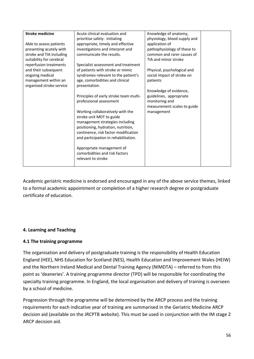| <b>Stroke medicine</b>   | Acute clinical evaluation and                        | Knowledge of anatomy,        |  |
|--------------------------|------------------------------------------------------|------------------------------|--|
|                          | prioritise safely: initiating                        | physiology, blood supply and |  |
| Able to assess patients  | appropriate, timely and effective                    | application of               |  |
| presenting acutely with  | investigations and interpret and                     | pathophysiology of these to  |  |
| stroke and TIA including | communicate the results.                             | common and rarer causes of   |  |
| suitability for cerebral |                                                      | TIA and minor stroke         |  |
| reperfusion treatments   | Specialist assessment and treatment                  |                              |  |
| and their subsequent     | of patients with stroke or mimic                     | Physical, psychological and  |  |
| ongoing medical          | syndromes relevant to the patient's                  | social impact of stroke on   |  |
| management within an     | age, comorbidities and clinical                      | patients                     |  |
| organised stroke service | presentation.                                        |                              |  |
|                          |                                                      | Knowledge of evidence,       |  |
|                          | Principles of early stroke team multi-               | guidelines, appropriate      |  |
|                          | professional assessment                              | monitoring and               |  |
|                          |                                                      | measurement scales to guide  |  |
|                          | Working collaboratively with the                     | management                   |  |
|                          | stroke unit MDT to guide                             |                              |  |
|                          | management strategies including                      |                              |  |
|                          | positioning, hydration, nutrition,                   |                              |  |
|                          | continence, risk factor modification                 |                              |  |
|                          | and participation in rehabilitation.                 |                              |  |
|                          |                                                      |                              |  |
|                          | Appropriate management of                            |                              |  |
|                          | comorbidities and risk factors<br>relevant to stroke |                              |  |
|                          |                                                      |                              |  |
|                          |                                                      |                              |  |

Academic geriatric medicine is endorsed and encouraged in any of the above service themes, linked to a formal academic appointment or completion of a higher research degree or postgraduate certificate of education.

## **4. Learning and Teaching**

## **4.1 The training programme**

The organisation and delivery of postgraduate training is the responsibility of Health Education England (HEE), NHS Education for Scotland (NES), Health Education and Improvement Wales (HEIW) and the Northern Ireland Medical and Dental Training Agency (NIMDTA) – referred to from this point as 'deaneries'. A training programme director (TPD) will be responsible for coordinating the specialty training programme. In England, the local organisation and delivery of training is overseen by a school of medicine.

Progression through the programme will be determined by the ARCP process and the training requirements for each indicative year of training are summarised in the Geriatric Medicine ARCP decision aid (available on the JRCPTB website). This must be used in conjunction with the IM stage 2 ARCP decision aid.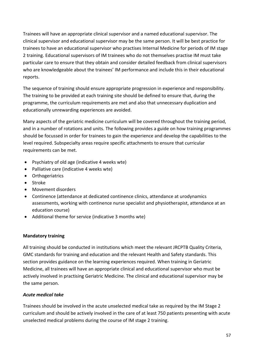Trainees will have an appropriate clinical supervisor and a named educational supervisor. The clinical supervisor and educational supervisor may be the same person. It will be best practice for trainees to have an educational supervisor who practises Internal Medicine for periods of IM stage 2 training. Educational supervisors of IM trainees who do not themselves practise IM must take particular care to ensure that they obtain and consider detailed feedback from clinical supervisors who are knowledgeable about the trainees' IM performance and include this in their educational reports.

The sequence of training should ensure appropriate progression in experience and responsibility. The training to be provided at each training site should be defined to ensure that, during the programme, the curriculum requirements are met and also that unnecessary duplication and educationally unrewarding experiences are avoided.

Many aspects of the geriatric medicine curriculum will be covered throughout the training period, and in a number of rotations and units. The following provides a guide on how training programmes should be focussed in order for trainees to gain the experience and develop the capabilities to the level required. Subspecialty areas require specific attachments to ensure that curricular requirements can be met.

- Psychiatry of old age (indicative 4 weeks wte)
- Palliative care (indicative 4 weeks wte)
- Orthogeriatrics
- Stroke
- Movement disorders
- Continence (attendance at dedicated continence clinics, attendance at urodynamics assessments, working with continence nurse specialist and physiotherapist, attendance at an education course)
- Additional theme for service (indicative 3 months wte)

### **Mandatory training**

All training should be conducted in institutions which meet the relevant JRCPTB Quality Criteria, GMC standards for training and education and the relevant Health and Safety standards. This section provides guidance on the learning experiences required. When training in Geriatric Medicine, all trainees will have an appropriate clinical and educational supervisor who must be actively involved in practising Geriatric Medicine. The clinical and educational supervisor may be the same person.

### *Acute medical take*

Trainees should be involved in the acute unselected medical take as required by the IM Stage 2 curriculum and should be actively involved in the care of at least 750 patients presenting with acute unselected medical problems during the course of IM stage 2 training.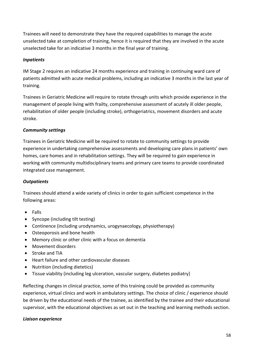Trainees will need to demonstrate they have the required capabilities to manage the acute unselected take at completion of training, hence it is required that they are involved in the acute unselected take for an indicative 3 months in the final year of training.

### *Inpatients*

IM Stage 2 requires an indicative 24 months experience and training in continuing ward care of patients admitted with acute medical problems, including an indicative 3 months in the last year of training.

Trainees in Geriatric Medicine will require to rotate through units which provide experience in the management of people living with frailty, comprehensive assessment of acutely ill older people, rehabilitation of older people (including stroke), orthogeriatrics, movement disorders and acute stroke.

## *Community settings*

Trainees in Geriatric Medicine will be required to rotate to community settings to provide experience in undertaking comprehensive assessments and developing care plans in patients' own homes, care homes and in rehabilitation settings. They will be required to gain experience in working with community multidisciplinary teams and primary care teams to provide coordinated integrated case management.

## *Outpatients*

Trainees should attend a wide variety of clinics in order to gain sufficient competence in the following areas:

- Falls
- Syncope (including tilt testing)
- Continence (including urodynamics, urogynaecology, physiotherapy)
- Osteoporosis and bone health
- Memory clinic or other clinic with a focus on dementia
- Movement disorders
- Stroke and TIA
- Heart failure and other cardiovascular diseases
- Nutrition (including dietetics)
- Tissue viability (including leg ulceration, vascular surgery, diabetes podiatry}

Reflecting changes in clinical practice, some of this training could be provided as community experience, virtual clinics and work in ambulatory settings. The choice of clinic / experience should be driven by the educational needs of the trainee, as identified by the trainee and their educational supervisor, with the educational objectives as set out in the teaching and learning methods section.

### *Liaison experience*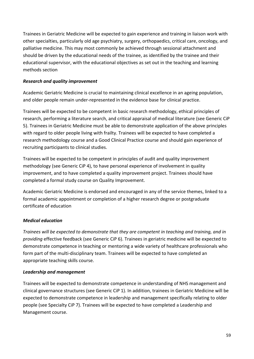Trainees in Geriatric Medicine will be expected to gain experience and training in liaison work with other specialties, particularly old age psychiatry, surgery, orthopaedics, critical care, oncology, and palliative medicine. This may most commonly be achieved through sessional attachment and should be driven by the educational needs of the trainee, as identified by the trainee and their educational supervisor, with the educational objectives as set out in the teaching and learning methods section

### *Research and quality improvement*

Academic Geriatric Medicine is crucial to maintaining clinical excellence in an ageing population, and older people remain under-represented in the evidence base for clinical practice.

Trainees will be expected to be competent in basic research methodology, ethical principles of research, performing a literature search, and critical appraisal of medical literature (see Generic CiP 5). Trainees in Geriatric Medicine must be able to demonstrate application of the above principles with regard to older people living with frailty. Trainees will be expected to have completed a research methodology course and a Good Clinical Practice course and should gain experience of recruiting participants to clinical studies.

Trainees will be expected to be competent in principles of audit and quality improvement methodology (see Generic CiP 4), to have personal experience of involvement in quality improvement, and to have completed a quality improvement project. Trainees should have completed a formal study course on Quality Improvement.

Academic Geriatric Medicine is endorsed and encouraged in any of the service themes, linked to a formal academic appointment or completion of a higher research degree or postgraduate certificate of education

## *Medical education*

*Trainees will be expected to demonstrate that they are competent in teaching and training, and in providing* effective feedback (see Generic CiP 6). Trainees in geriatric medicine will be expected to demonstrate competence in teaching or mentoring a wide variety of healthcare professionals who form part of the multi-disciplinary team. Trainees will be expected to have completed an appropriate teaching skills course.

## *Leadership and management*

Trainees will be expected to demonstrate competence in understanding of NHS management and clinical governance structures (see Generic CiP 1). In addition, trainees in Geriatric Medicine will be expected to demonstrate competence in leadership and management specifically relating to older people (see Specialty CiP 7). Trainees will be expected to have completed a Leadership and Management course.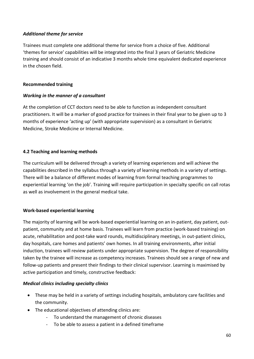## *Additional theme for service*

Trainees must complete one additional theme for service from a choice of five. Additional 'themes for service' capabilities will be integrated into the final 3 years of Geriatric Medicine training and should consist of an indicative 3 months whole time equivalent dedicated experience in the chosen field.

### **Recommended training**

### *Working in the manner of a consultant*

At the completion of CCT doctors need to be able to function as independent consultant practitioners. It will be a marker of good practice for trainees in their final year to be given up to 3 months of experience 'acting up' (with appropriate supervision) as a consultant in Geriatric Medicine, Stroke Medicine or Internal Medicine.

## **4.2 Teaching and learning methods**

The curriculum will be delivered through a variety of learning experiences and will achieve the capabilities described in the syllabus through a variety of learning methods in a variety of settings. There will be a balance of different modes of learning from formal teaching programmes to experiential learning 'on the job'. Training will require participation in specialty specific on call rotas as well as involvement in the general medical take.

## **Work-based experiential learning**

The majority of learning will be work-based experiential learning on an in-patient, day patient, outpatient, community and at home basis. Trainees will learn from practice (work-based training) on acute, rehabilitation and post-take ward rounds, multidisciplinary meetings, in out-patient clinics, day hospitals, care homes and patients' own homes. In all training environments, after initial induction, trainees will review patients under appropriate supervision. The degree of responsibility taken by the trainee will increase as competency increases. Trainees should see a range of new and follow-up patients and present their findings to their clinical supervisor. Learning is maximised by active participation and timely, constructive feedback:

### *Medical clinics including specialty clinics*

- These may be held in a variety of settings including hospitals, ambulatory care facilities and the community.
- The educational objectives of attending clinics are:
	- To understand the management of chronic diseases
	- To be able to assess a patient in a defined timeframe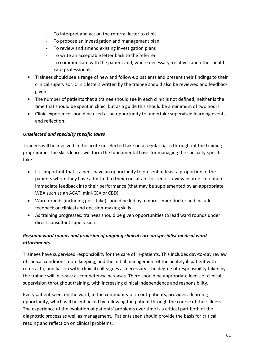- To interpret and act on the referral letter to clinic
- To propose an investigation and management plan
- To review and amend existing investigation plans
- To write an acceptable letter back to the referrer
- To communicate with the patient and, where necessary, relatives and other health care professionals.
- Trainees should see a range of new and follow-up patients and present their findings to their clinical supervisor. Clinic letters written by the trainee should also be reviewed and feedback given.
- The number of patients that a trainee should see in each clinic is not defined, neither is the time that should be spent in clinic, but as a guide this should be a minimum of two hours.
- Clinic experience should be used as an opportunity to undertake supervised learning events and reflection.

## *Unselected and specialty specific takes*

Trainees will be involved in the acute unselected take on a regular basis throughout the training programme. The skills learnt will form the fundamental basis for managing the specialty-specific take.

- It is important that trainees have an opportunity to present at least a proportion of the patients whom they have admitted to their consultant for senior review in order to obtain immediate feedback into their performance (that may be supplemented by an appropriate WBA such as an ACAT, mini-CEX or CBD).
- Ward rounds (including post-take) should be led by a more senior doctor and include feedback on clinical and decision-making skills.
- As training progresses, trainees should be given opportunities to lead ward rounds under direct consultant supervision.

# *Personal ward rounds and provision of ongoing clinical care on specialist medical ward attachments*

Trainees have supervised responsibility for the care of in-patients. This includes day-to-day review of clinical conditions, note keeping, and the initial management of the acutely ill patient with referral to, and liaison with, clinical colleagues as necessary. The degree of responsibility taken by the trainee will increase as competency increases. There should be appropriate levels of clinical supervision throughout training, with increasing clinical independence and responsibility.

Every patient seen, on the ward, in the community or in out-patients, provides a learning opportunity, which will be enhanced by following the patient through the course of their illness. The experience of the evolution of patients' problems over time is a critical part both of the diagnostic process as well as management. Patients seen should provide the basis for critical reading and reflection on clinical problems.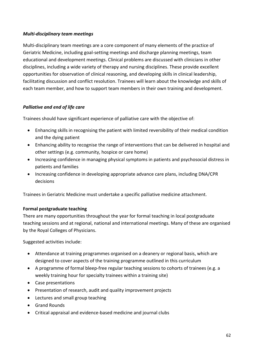### *Multi-disciplinary team meetings*

Multi-disciplinary team meetings are a core component of many elements of the practice of Geriatric Medicine, including goal-setting meetings and discharge planning meetings, team educational and development meetings. Clinical problems are discussed with clinicians in other disciplines, including a wide variety of therapy and nursing disciplines. These provide excellent opportunities for observation of clinical reasoning, and developing skills in clinical leadership, facilitating discussion and conflict resolution. Trainees will learn about the knowledge and skills of each team member, and how to support team members in their own training and development.

## *Palliative and end of life care*

Trainees should have significant experience of palliative care with the objective of:

- Enhancing skills in recognising the patient with limited reversibility of their medical condition and the dying patient
- Enhancing ability to recognise the range of interventions that can be delivered in hospital and other settings (e.g. community, hospice or care home)
- Increasing confidence in managing physical symptoms in patients and psychosocial distress in patients and families
- Increasing confidence in developing appropriate advance care plans, including DNA/CPR decisions

Trainees in Geriatric Medicine must undertake a specific palliative medicine attachment.

## **Formal postgraduate teaching**

There are many opportunities throughout the year for formal teaching in local postgraduate teaching sessions and at regional, national and international meetings. Many of these are organised by the Royal Colleges of Physicians.

Suggested activities include:

- Attendance at training programmes organised on a deanery or regional basis, which are designed to cover aspects of the training programme outlined in this curriculum
- A programme of formal bleep-free regular teaching sessions to cohorts of trainees (e.g. a weekly training hour for specialty trainees within a training site)
- Case presentations
- Presentation of research, audit and quality improvement projects
- Lectures and small group teaching
- Grand Rounds
- Critical appraisal and evidence-based medicine and journal clubs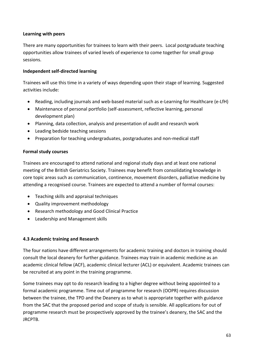### **Learning with peers**

There are many opportunities for trainees to learn with their peers. Local postgraduate teaching opportunities allow trainees of varied levels of experience to come together for small group sessions.

### **Independent self-directed learning**

Trainees will use this time in a variety of ways depending upon their stage of learning. Suggested activities include:

- Reading, including journals and web-based material such as e-Learning for Healthcare (e-LfH)
- Maintenance of personal portfolio (self-assessment, reflective learning, personal development plan)
- Planning, data collection, analysis and presentation of audit and research work
- Leading bedside teaching sessions
- Preparation for teaching undergraduates, postgraduates and non-medical staff

### **Formal study courses**

Trainees are encouraged to attend national and regional study days and at least one national meeting of the British Geriatrics Society. Trainees may benefit from consolidating knowledge in core topic areas such as communication, continence, movement disorders, palliative medicine by attending a recognised course. Trainees are expected to attend a number of formal courses:

- Teaching skills and appraisal techniques
- Quality improvement methodology
- Research methodology and Good Clinical Practice
- Leadership and Management skills

## **4.3 Academic training and Research**

The four nations have different arrangements for academic training and doctors in training should consult the local deanery for further guidance. Trainees may train in academic medicine as an academic clinical fellow (ACF), academic clinical lecturer (ACL) or equivalent. Academic trainees can be recruited at any point in the training programme.

Some trainees may opt to do research leading to a higher degree without being appointed to a formal academic programme. Time out of programme for research (OOPR) requires discussion between the trainee, the TPD and the Deanery as to what is appropriate together with guidance from the SAC that the proposed period and scope of study is sensible. All applications for out of programme research must be prospectively approved by the trainee's deanery, the SAC and the JRCPTB.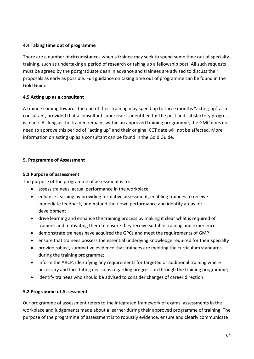### **4.4 Taking time out of programme**

There are a number of circumstances when a trainee may seek to spend some time out of specialty training, such as undertaking a period of research or taking up a fellowship post. All such requests must be agreed by the postgraduate dean in advance and trainees are advised to discuss their proposals as early as possible. Full guidance on taking time out of programme can be found in the Gold Guide.

### **4.5 Acting up as a consultant**

A trainee coming towards the end of their training may spend up to three months "acting-up" as a consultant, provided that a consultant supervisor is identified for the post and satisfactory progress is made. As long as the trainee remains within an approved training programme, the GMC does not need to approve this period of "acting up" and their original CCT date will not be affected. More information on acting up as a consultant can be found in the Gold Guide.

### **5. Programme of Assessment**

### **5.1 Purpose of assessment**

The purpose of the programme of assessment is to:

- assess trainees' actual performance in the workplace
- enhance learning by providing formative assessment, enabling trainees to receive immediate feedback, understand their own performance and identify areas for development
- drive learning and enhance the training process by making it clear what is required of trainees and motivating them to ensure they receive suitable training and experience
- demonstrate trainees have acquired the GPCs and meet the requirements of GMP
- ensure that trainees possess the essential underlying knowledge required for their specialty
- provide robust, summative evidence that trainees are meeting the curriculum standards during the training programme;
- inform the ARCP, identifying any requirements for targeted or additional training where necessary and facilitating decisions regarding progression through the training programme;
- identify trainees who should be advised to consider changes of career direction.

## **5.2 Programme of Assessment**

Our programme of assessment refers to the integrated framework of exams, assessments in the workplace and judgements made about a learner during their approved programme of training. The purpose of the programme of assessment is to robustly evidence, ensure and clearly communicate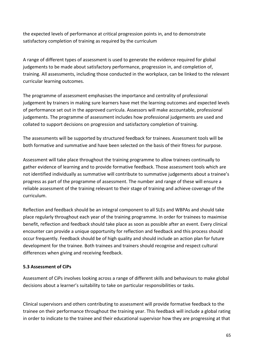the expected levels of performance at critical progression points in, and to demonstrate satisfactory completion of training as required by the curriculum

A range of different types of assessment is used to generate the evidence required for global judgements to be made about satisfactory performance, progression in, and completion of, training. All assessments, including those conducted in the workplace, can be linked to the relevant curricular learning outcomes.

The programme of assessment emphasises the importance and centrality of professional judgement by trainers in making sure learners have met the learning outcomes and expected levels of performance set out in the approved curricula. Assessors will make accountable, professional judgements. The programme of assessment includes how professional judgements are used and collated to support decisions on progression and satisfactory completion of training.

The assessments will be supported by structured feedback for trainees. Assessment tools will be both formative and summative and have been selected on the basis of their fitness for purpose.

Assessment will take place throughout the training programme to allow trainees continually to gather evidence of learning and to provide formative feedback. Those assessment tools which are not identified individually as summative will contribute to summative judgements about a trainee's progress as part of the programme of assessment. The number and range of these will ensure a reliable assessment of the training relevant to their stage of training and achieve coverage of the curriculum.

Reflection and feedback should be an integral component to all SLEs and WBPAs and should take place regularly throughout each year of the training programme. In order for trainees to maximise benefit, reflection and feedback should take place as soon as possible after an event. Every clinical encounter can provide a unique opportunity for reflection and feedback and this process should occur frequently. Feedback should be of high quality and should include an action plan for future development for the trainee. Both trainees and trainers should recognise and respect cultural differences when giving and receiving feedback.

### **5.3 Assessment of CiPs**

Assessment of CiPs involves looking across a range of different skills and behaviours to make global decisions about a learner's suitability to take on particular responsibilities or tasks.

Clinical supervisors and others contributing to assessment will provide formative feedback to the trainee on their performance throughout the training year. This feedback will include a global rating in order to indicate to the trainee and their educational supervisor how they are progressing at that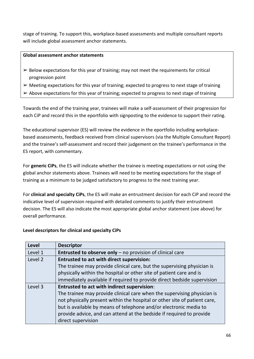stage of training. To support this, workplace-based assessments and multiple consultant reports will include global assessment anchor statements.

### **Global assessment anchor statements**

- $\triangleright$  Below expectations for this year of training; may not meet the requirements for critical progression point
- $\triangleright$  Meeting expectations for this year of training; expected to progress to next stage of training
- $\triangleright$  Above expectations for this year of training; expected to progress to next stage of training

Towards the end of the training year, trainees will make a self-assessment of their progression for each CiP and record this in the eportfolio with signposting to the evidence to support their rating.

The educational supervisor (ES) will review the evidence in the eportfolio including workplacebased assessments, feedback received from clinical supervisors (via the Multiple Consultant Report) and the trainee's self-assessment and record their judgement on the trainee's performance in the ES report, with commentary.

For **generic CiPs**, the ES will indicate whether the trainee is meeting expectations or not using the global anchor statements above. Trainees will need to be meeting expectations for the stage of training as a minimum to be judged satisfactory to progress to the next training year.

For **clinical and specialty CiPs**, the ES will make an entrustment decision for each CiP and record the indicative level of supervision required with detailed comments to justify their entrustment decision. The ES will also indicate the most appropriate global anchor statement (see above) for overall performance.

### **Level descriptors for clinical and specialty CiPs**

| <b>Level</b>       | <b>Descriptor</b>                                                         |
|--------------------|---------------------------------------------------------------------------|
| Level 1            | Entrusted to observe only - no provision of clinical care                 |
| Level <sub>2</sub> | <b>Entrusted to act with direct supervision:</b>                          |
|                    | The trainee may provide clinical care, but the supervising physician is   |
|                    | physically within the hospital or other site of patient care and is       |
|                    | immediately available if required to provide direct bedside supervision   |
| Level 3            | <b>Entrusted to act with indirect supervision:</b>                        |
|                    | The trainee may provide clinical care when the supervising physician is   |
|                    | not physically present within the hospital or other site of patient care, |
|                    | but is available by means of telephone and/or electronic media to         |
|                    | provide advice, and can attend at the bedside if required to provide      |
|                    | direct supervision                                                        |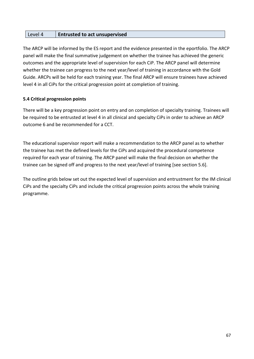| Level 4 | <b>Entrusted to act unsupervised</b> |
|---------|--------------------------------------|
|---------|--------------------------------------|

The ARCP will be informed by the ES report and the evidence presented in the eportfolio. The ARCP panel will make the final summative judgement on whether the trainee has achieved the generic outcomes and the appropriate level of supervision for each CiP. The ARCP panel will determine whether the trainee can progress to the next year/level of training in accordance with the Gold Guide. ARCPs will be held for each training year. The final ARCP will ensure trainees have achieved level 4 in all CiPs for the critical progression point at completion of training.

### **5.4 Critical progression points**

There will be a key progression point on entry and on completion of specialty training. Trainees will be required to be entrusted at level 4 in all clinical and specialty CiPs in order to achieve an ARCP outcome 6 and be recommended for a CCT.

The educational supervisor report will make a recommendation to the ARCP panel as to whether the trainee has met the defined levels for the CiPs and acquired the procedural competence required for each year of training. The ARCP panel will make the final decision on whether the trainee can be signed off and progress to the next year/level of training [see section 5.6].

The outline grids below set out the expected level of supervision and entrustment for the IM clinical CiPs and the specialty CiPs and include the critical progression points across the whole training programme.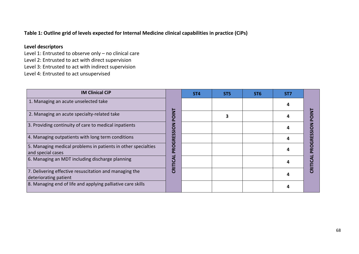## **Table 1: Outline grid of levels expected for Internal Medicine clinical capabilities in practice (CiPs)**

## **Level descriptors**

Level 1: Entrusted to observe only – no clinical care

Level 2: Entrusted to act with direct supervision

Level 3: Entrusted to act with indirect supervision

Level 4: Entrusted to act unsupervised

| <b>IM Clinical CiP</b>                                                             |                | ST <sub>4</sub> | ST <sub>5</sub> | ST <sub>6</sub> | ST <sub>7</sub> |                         |
|------------------------------------------------------------------------------------|----------------|-----------------|-----------------|-----------------|-----------------|-------------------------|
| 1. Managing an acute unselected take                                               |                |                 |                 |                 |                 |                         |
| 2. Managing an acute specialty-related take                                        | <b>TNIO</b>    |                 |                 |                 |                 |                         |
| 3. Providing continuity of care to medical inpatients                              | <b>NON</b>     |                 |                 |                 |                 |                         |
| 4. Managing outpatients with long term conditions                                  | n<br>ننا<br>24 |                 |                 |                 | 4               | <b>RESSIO</b>           |
| 5. Managing medical problems in patients in other specialties<br>and special cases | PROGI          |                 |                 |                 |                 | <b>ROG</b>              |
| 6. Managing an MDT including discharge planning                                    | CRITI          |                 |                 |                 |                 |                         |
| 7. Delivering effective resuscitation and managing the<br>deteriorating patient    |                |                 |                 |                 | 4               | $\overline{\mathbf{g}}$ |
| 8. Managing end of life and applying palliative care skills                        |                |                 |                 |                 |                 |                         |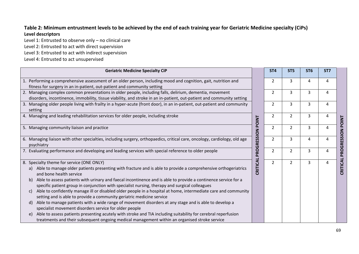## **Table 2: Minimum entrustment levels to be achieved by the end of each training year for Geriatric Medicine specialty (CiPs) Level descriptors**

Level 1: Entrusted to observe only – no clinical care

Level 2: Entrusted to act with direct supervision

Level 3: Entrusted to act with indirect supervision

Level 4: Entrusted to act unsupervised

|                                      | <b>Geriatric Medicine Specialty CiP</b>                                                                                                                                                                                                                                                                                                                                                                                                                                                                                                                                                                                                                                                                                                                                                                                                                                                                                                                                                   |              | ST <sub>4</sub> | ST <sub>5</sub> | ST <sub>6</sub> | ST <sub>7</sub> |              |
|--------------------------------------|-------------------------------------------------------------------------------------------------------------------------------------------------------------------------------------------------------------------------------------------------------------------------------------------------------------------------------------------------------------------------------------------------------------------------------------------------------------------------------------------------------------------------------------------------------------------------------------------------------------------------------------------------------------------------------------------------------------------------------------------------------------------------------------------------------------------------------------------------------------------------------------------------------------------------------------------------------------------------------------------|--------------|-----------------|-----------------|-----------------|-----------------|--------------|
|                                      | 1. Performing a comprehensive assessment of an older person, including mood and cognition, gait, nutrition and<br>fitness for surgery in an in-patient, out-patient and community setting                                                                                                                                                                                                                                                                                                                                                                                                                                                                                                                                                                                                                                                                                                                                                                                                 |              | 2               | 3               | 4               | 4               |              |
|                                      | 2. Managing complex common presentations in older people, including falls, delirium, dementia, movement<br>disorders, incontinence, immobility, tissue viability, and stroke in an in-patient, out-patient and community setting                                                                                                                                                                                                                                                                                                                                                                                                                                                                                                                                                                                                                                                                                                                                                          |              | $\overline{2}$  | 3               | 3               | 4               |              |
|                                      | 3. Managing older people living with frailty in a hyper-acute (front door), in an in-patient, out-patient and community<br>setting                                                                                                                                                                                                                                                                                                                                                                                                                                                                                                                                                                                                                                                                                                                                                                                                                                                        |              | $\overline{2}$  | 3               | 3               | 4               |              |
|                                      | 4. Managing and leading rehabilitation services for older people, including stroke                                                                                                                                                                                                                                                                                                                                                                                                                                                                                                                                                                                                                                                                                                                                                                                                                                                                                                        | <b>POINT</b> | $\overline{2}$  | $\overline{2}$  | 3               | 4               | <b>POINT</b> |
|                                      | 5. Managing community liaison and practice                                                                                                                                                                                                                                                                                                                                                                                                                                                                                                                                                                                                                                                                                                                                                                                                                                                                                                                                                |              | $\overline{2}$  | $\overline{2}$  | $\overline{3}$  | $\overline{4}$  |              |
|                                      | 6. Managing liaison with other specialties, including surgery, orthopaedics, critical care, oncology, cardiology, old age<br>psychiatry                                                                                                                                                                                                                                                                                                                                                                                                                                                                                                                                                                                                                                                                                                                                                                                                                                                   | PROGRESSION  | $\overline{2}$  | 3               | 4               | 4               | PROGRESSION  |
|                                      | 7. Evaluating performance and developing and leading services with special reference to older people                                                                                                                                                                                                                                                                                                                                                                                                                                                                                                                                                                                                                                                                                                                                                                                                                                                                                      |              | $\mathcal{P}$   | $\overline{2}$  | 3               | 4               |              |
| a)<br>b)<br>$\mathsf{C}$<br>d)<br>e) | 8. Specialty theme for service (ONE ONLY)<br>Able to manage older patients presenting with fracture and is able to provide a comprehensive orthogeriatrics<br>and bone health service<br>Able to assess patients with urinary and faecal incontinence and is able to provide a continence service for a<br>specific patient group in conjunction with specialist nursing, therapy and surgical colleagues<br>Able to confidently manage ill or disabled older people in a hospital at home, intermediate care and community<br>setting and is able to provide a community geriatric medicine service<br>Able to manage patients with a wide range of movement disorders at any stage and is able to develop a<br>specialist movement disorders service for older people<br>Able to assess patients presenting acutely with stroke and TIA including suitability for cerebral reperfusion<br>treatments and their subsequent ongoing medical management within an organised stroke service | CRITICAL     | $\overline{2}$  | $\overline{2}$  | $\overline{3}$  | 4               | CRITICAL     |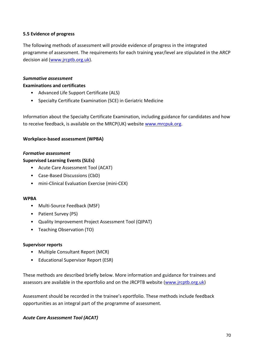### **5.5 Evidence of progress**

The following methods of assessment will provide evidence of progress in the integrated programme of assessment. The requirements for each training year/level are stipulated in the ARCP decision aid [\(www.jrcptb.org.uk\)](http://www.jrcptb.org.uk/).

#### *Summative assessment*

#### **Examinations and certificates**

- Advanced Life Support Certificate (ALS)
- Specialty Certificate Examination (SCE) in Geriatric Medicine

Information about the Specialty Certificate Examination, including guidance for candidates and how to receive feedback, is available on the MRCP(UK) website [www.mrcpuk.org.](http://www.mrcpuk.org/)

### **Workplace-based assessment (WPBA)**

#### *Formative assessment*

#### **Supervised Learning Events (SLEs)**

- Acute Care Assessment Tool (ACAT)
- Case-Based Discussions (CbD)
- mini-Clinical Evaluation Exercise (mini-CEX)

#### **WPBA**

- Multi-Source Feedback (MSF)
- Patient Survey (PS)
- Quality Improvement Project Assessment Tool (QIPAT)
- Teaching Observation (TO)

#### **Supervisor reports**

- Multiple Consultant Report (MCR)
- Educational Supervisor Report (ESR)

These methods are described briefly below. More information and guidance for trainees and assessors are available in the eportfolio and on the JRCPTB website [\(www.jrcptb.org.uk\)](http://www.jrcptb.org.uk/)

Assessment should be recorded in the trainee's eportfolio. These methods include feedback opportunities as an integral part of the programme of assessment.

### *Acute Care Assessment Tool (ACAT)*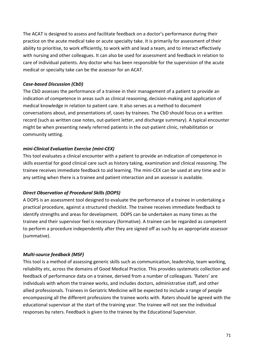The ACAT is designed to assess and facilitate feedback on a doctor's performance during their practice on the acute medical take or acute specialty take. It is primarily for assessment of their ability to prioritise, to work efficiently, to work with and lead a team, and to interact effectively with nursing and other colleagues. It can also be used for assessment and feedback in relation to care of individual patients. Any doctor who has been responsible for the supervision of the acute medical or specialty take can be the assessor for an ACAT.

## *Case-based Discussion (CbD)*

The CbD assesses the performance of a trainee in their management of a patient to provide an indication of competence in areas such as clinical reasoning, decision-making and application of medical knowledge in relation to patient care. It also serves as a method to document conversations about, and presentations of, cases by trainees. The CbD should focus on a written record (such as written case notes, out-patient letter, and discharge summary). A typical encounter might be when presenting newly referred patients in the out-patient clinic, rehabilitation or community setting.

## *mini-Clinical Evaluation Exercise (mini-CEX)*

This tool evaluates a clinical encounter with a patient to provide an indication of competence in skills essential for good clinical care such as history taking, examination and clinical reasoning. The trainee receives immediate feedback to aid learning. The mini-CEX can be used at any time and in any setting when there is a trainee and patient interaction and an assessor is available.

## *Direct Observation of Procedural Skills (DOPS)*

A DOPS is an assessment tool designed to evaluate the performance of a trainee in undertaking a practical procedure, against a structured checklist. The trainee receives immediate feedback to identify strengths and areas for development. DOPS can be undertaken as many times as the trainee and their supervisor feel is necessary (formative). A trainee can be regarded as competent to perform a procedure independently after they are signed off as such by an appropriate assessor (summative).

## *Multi-source feedback (MSF)*

This tool is a method of assessing generic skills such as communication, leadership, team working, reliability etc, across the domains of Good Medical Practice. This provides systematic collection and feedback of performance data on a trainee, derived from a number of colleagues. 'Raters' are individuals with whom the trainee works, and includes doctors, administrative staff, and other allied professionals. Trainees in Geriatric Medicine will be expected to include a range of people encompassing all the different professions the trainee works with. Raters should be agreed with the educational supervisor at the start of the training year. The trainee will not see the individual responses by raters. Feedback is given to the trainee by the Educational Supervisor.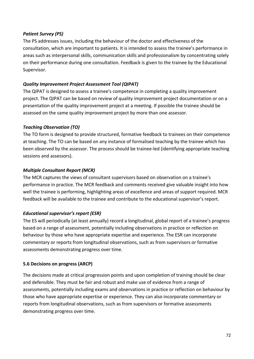### *Patient Survey (PS)*

The PS addresses issues, including the behaviour of the doctor and effectiveness of the consultation, which are important to patients. It is intended to assess the trainee's performance in areas such as interpersonal skills, communication skills and professionalism by concentrating solely on their performance during one consultation. Feedback is given to the trainee by the Educational Supervisor.

## *Quality Improvement Project Assessment Tool (QIPAT)*

The QIPAT is designed to assess a trainee's competence in completing a quality improvement project. The QIPAT can be based on review of quality improvement project documentation or on a presentation of the quality improvement project at a meeting. If possible the trainee should be assessed on the same quality improvement project by more than one assessor.

### *Teaching Observation (TO)*

The TO form is designed to provide structured, formative feedback to trainees on their competence at teaching. The TO can be based on any instance of formalised teaching by the trainee which has been observed by the assessor. The process should be trainee-led (identifying appropriate teaching sessions and assessors).

### *Multiple Consultant Report (MCR)*

The MCR captures the views of consultant supervisors based on observation on a trainee's performance in practice. The MCR feedback and comments received give valuable insight into how well the trainee is performing, highlighting areas of excellence and areas of support required. MCR feedback will be available to the trainee and contribute to the educational supervisor's report.

## *Educational supervisor's report (ESR)*

The ES will periodically (at least annually) record a longitudinal, global report of a trainee's progress based on a range of assessment, potentially including observations in practice or reflection on behaviour by those who have appropriate expertise and experience. The ESR can incorporate commentary or reports from longitudinal observations, such as from supervisors or formative assessments demonstrating progress over time.

### **5.6 Decisions on progress (ARCP)**

The decisions made at critical progression points and upon completion of training should be clear and defensible. They must be fair and robust and make use of evidence from a range of assessments, potentially including exams and observations in practice or reflection on behaviour by those who have appropriate expertise or experience. They can also incorporate commentary or reports from longitudinal observations, such as from supervisors or formative assessments demonstrating progress over time.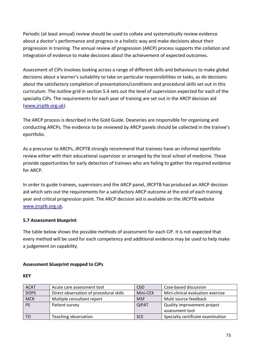Periodic (at least annual) review should be used to collate and systematically review evidence about a doctor's performance and progress in a holistic way and make decisions about their progression in training. The annual review of progression (ARCP) process supports the collation and integration of evidence to make decisions about the achievement of expected outcomes.

Assessment of CiPs involves looking across a range of different skills and behaviours to make global decisions about a learner's suitability to take on particular responsibilities or tasks, as do decisions about the satisfactory completion of presentations/conditions and procedural skills set out in this curriculum. The outline grid in section 5.4 sets out the level of supervision expected for each of the specialty CiPs. The requirements for each year of training are set out in the ARCP decision aid [\(www.jrcptb.org.uk\)](http://www.jrcptb.org.uk/).

The ARCP process is described in the Gold Guide. Deaneries are responsible for organising and conducting ARCPs. The evidence to be reviewed by ARCP panels should be collected in the trainee's eportfolio.

As a precursor to ARCPs, JRCPTB strongly recommend that trainees have an informal eportfolio review either with their educational supervisor or arranged by the local school of medicine. These provide opportunities for early detection of trainees who are failing to gather the required evidence for ARCP.

In order to guide trainees, supervisors and the ARCP panel, JRCPTB has produced an ARCP decision aid which sets out the requirements for a satisfactory ARCP outcome at the end of each training year and critical progression point. The ARCP decision aid is available on the JRCPTB website [www.jrcptb.org.uk.](http://www.jrcptb.org.uk/)

# **5.7 Assessment blueprint**

The table below shows the possible methods of assessment for each CiP. It is not expected that every method will be used for each competency and additional evidence may be used to help make a judgement on capability.

## **Assessment blueprint mapped to CiPs**

## **KEY**

| <b>ACAT</b> | Acute care assessment tool              | CbD          | Case-based discussion             |
|-------------|-----------------------------------------|--------------|-----------------------------------|
| <b>DOPS</b> | Direct observation of procedural skills | Mini-CEX     | Mini-clinical evaluation exercise |
| <b>MCR</b>  | Multiple consultant report              | <b>MSF</b>   | Multi source feedback             |
| <b>PS</b>   | Patient survey                          | <b>QIPAT</b> | Quality improvement project       |
|             |                                         |              | assessment tool                   |
| TO          | Teaching observation                    | <b>SCE</b>   | Specialty certificate examination |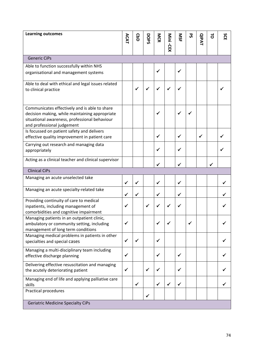| <b>Learning outcomes</b>                                                                                                                                                       | ACAT | <b>CbD</b>   | DOPS         | MCR          | Mini -CEX    | SPI          | ჯ | <b>QIPAT</b> | $\vec{0}$ | SCE |
|--------------------------------------------------------------------------------------------------------------------------------------------------------------------------------|------|--------------|--------------|--------------|--------------|--------------|---|--------------|-----------|-----|
| <b>Generic CiPs</b>                                                                                                                                                            |      |              |              |              |              |              |   |              |           |     |
| Able to function successfully within NHS<br>organisational and management systems                                                                                              |      |              |              | ✔            |              | ✔            |   |              |           |     |
| Able to deal with ethical and legal issues related<br>to clinical practice                                                                                                     |      | ✓            | $\checkmark$ | ✓            |              |              |   |              |           |     |
| Communicates effectively and is able to share<br>decision making, while maintaining appropriate<br>situational awareness, professional behaviour<br>and professional judgement |      |              |              | ✔            |              | ✓            | ✓ |              |           |     |
| Is focussed on patient safety and delivers<br>effective quality improvement in patient care                                                                                    |      |              |              | ✓            |              | $\checkmark$ |   | $\checkmark$ |           |     |
| Carrying out research and managing data<br>appropriately                                                                                                                       |      |              |              | ✔            |              | ✓            |   |              |           |     |
| Acting as a clinical teacher and clinical supervisor                                                                                                                           |      |              |              | ✔            |              | ✓            |   |              |           |     |
| <b>Clinical CiPs</b>                                                                                                                                                           |      |              |              |              |              |              |   |              |           |     |
| Managing an acute unselected take                                                                                                                                              | ✓    | $\checkmark$ |              | ✔            |              | $\checkmark$ |   |              |           |     |
| Managing an acute specialty-related take                                                                                                                                       | ✔    | $\checkmark$ |              | ✓            |              | ✓            |   |              |           |     |
| Providing continuity of care to medical<br>inpatients, including management of<br>comorbidities and cognitive impairment                                                       |      |              | ✓            | ✔            |              |              |   |              |           |     |
| Managing patients in an outpatient clinic,<br>ambulatory or community setting, including<br>management of long term conditions                                                 |      |              |              |              |              |              |   |              |           |     |
| Managing medical problems in patients in other<br>specialties and special cases                                                                                                | ✓    | ✓            |              | ✓            |              |              |   |              |           |     |
| Managing a multi-disciplinary team including<br>effective discharge planning                                                                                                   | ✓    |              |              | ✓            |              | $\checkmark$ |   |              |           |     |
| Delivering effective resuscitation and managing<br>the acutely deteriorating patient                                                                                           |      |              | $\checkmark$ | ✔            |              | $\checkmark$ |   |              |           |     |
| Managing end of life and applying palliative care<br>skills                                                                                                                    |      | ✓            |              | $\checkmark$ | $\checkmark$ | $\checkmark$ |   |              |           |     |
| <b>Practical procedures</b>                                                                                                                                                    |      |              | $\checkmark$ |              |              |              |   |              |           |     |
| <b>Geriatric Medicine Specialty CiPs</b>                                                                                                                                       |      |              |              |              |              |              |   |              |           |     |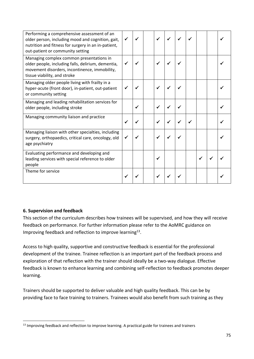| Performing a comprehensive assessment of an<br>older person, including mood and cognition, gait,<br>nutrition and fitness for surgery in an in-patient,<br>out-patient or community setting | ✓ |  | $\checkmark$ |  |   |  |
|---------------------------------------------------------------------------------------------------------------------------------------------------------------------------------------------|---|--|--------------|--|---|--|
| Managing complex common presentations in<br>older people, including falls, delirium, dementia,<br>movement disorders, incontinence, immobility,<br>tissue viability, and stroke             |   |  |              |  |   |  |
| Managing older people living with frailty in a<br>hyper-acute (front door), in-patient, out-patient<br>or community setting                                                                 |   |  |              |  |   |  |
| Managing and leading rehabilitation services for<br>older people, including stroke                                                                                                          |   |  | ✓            |  |   |  |
| Managing community liaison and practice                                                                                                                                                     |   |  |              |  |   |  |
| Managing liaison with other specialties, including<br>surgery, orthopaedics, critical care, oncology, old<br>age psychiatry                                                                 |   |  | ✔            |  |   |  |
| Evaluating performance and developing and<br>leading services with special reference to older<br>people                                                                                     |   |  | ✔            |  | ✔ |  |
| Theme for service                                                                                                                                                                           |   |  |              |  |   |  |

# **6. Supervision and feedback**

This section of the curriculum describes how trainees will be supervised, and how they will receive feedback on performance. For further information please refer to the AoMRC guidance on Improving feedback and reflection to improve learning<sup>13</sup>.

Access to high quality, supportive and constructive feedback is essential for the professional development of the trainee. Trainee reflection is an important part of the feedback process and exploration of that reflection with the trainer should ideally be a two-way dialogue. Effective feedback is known to enhance learning and combining self-reflection to feedback promotes deeper learning.

Trainers should be supported to deliver valuable and high quality feedback. This can be by providing face to face training to trainers. Trainees would also benefit from such training as they

<sup>&</sup>lt;sup>13</sup> Improving feedback and reflection to improve learning. A practical guide for trainees and trainers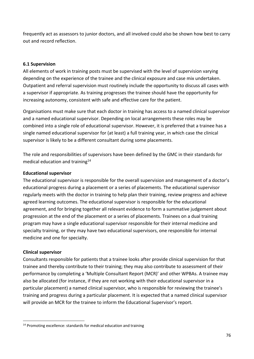frequently act as assessors to junior doctors, and all involved could also be shown how best to carry out and record reflection.

#### **6.1 Supervision**

All elements of work in training posts must be supervised with the level of supervision varying depending on the experience of the trainee and the clinical exposure and case mix undertaken. Outpatient and referral supervision must routinely include the opportunity to discuss all cases with a supervisor if appropriate. As training progresses the trainee should have the opportunity for increasing autonomy, consistent with safe and effective care for the patient.

Organisations must make sure that each doctor in training has access to a named clinical supervisor and a named educational supervisor. Depending on local arrangements these roles may be combined into a single role of educational supervisor. However, it is preferred that a trainee has a single named educational supervisor for (at least) a full training year, in which case the clinical supervisor is likely to be a different consultant during some placements.

The role and responsibilities of supervisors have been defined by the GMC in their standards for medical education and training<sup>14</sup>

#### **Educational supervisor**

The educational supervisor is responsible for the overall supervision and management of a doctor's educational progress during a placement or a series of placements. The educational supervisor regularly meets with the doctor in training to help plan their training, review progress and achieve agreed learning outcomes. The educational supervisor is responsible for the educational agreement, and for bringing together all relevant evidence to form a summative judgement about progression at the end of the placement or a series of placements. Trainees on a dual training program may have a single educational supervisor responsible for their internal medicine and specialty training, or they may have two educational supervisors, one responsible for internal medicine and one for specialty.

#### **Clinical supervisor**

Consultants responsible for patients that a trainee looks after provide clinical supervision for that trainee and thereby contribute to their training; they may also contribute to assessment of their performance by completing a 'Multiple Consultant Report (MCR)' and other WPBAs. A trainee may also be allocated (for instance, if they are not working with their educational supervisor in a particular placement) a named clinical supervisor, who is responsible for reviewing the trainee's training and progress during a particular placement. It is expected that a named clinical supervisor will provide an MCR for the trainee to inform the Educational Supervisor's report.

 $14$  Promoting excellence: standards for medical education and training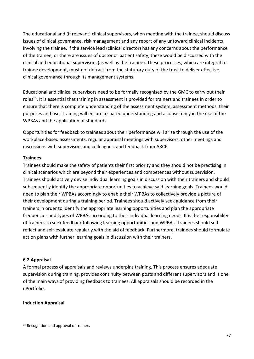The educational and (if relevant) clinical supervisors, when meeting with the trainee, should discuss issues of clinical governance, risk management and any report of any untoward clinical incidents involving the trainee. If the service lead (clinical director) has any concerns about the performance of the trainee, or there are issues of doctor or patient safety, these would be discussed with the clinical and educational supervisors (as well as the trainee). These processes, which are integral to trainee development, must not detract from the statutory duty of the trust to deliver effective clinical governance through its management systems.

Educational and clinical supervisors need to be formally recognised by the GMC to carry out their roles<sup>15</sup>. It is essential that training in assessment is provided for trainers and trainees in order to ensure that there is complete understanding of the assessment system, assessment methods, their purposes and use. Training will ensure a shared understanding and a consistency in the use of the WPBAs and the application of standards.

Opportunities for feedback to trainees about their performance will arise through the use of the workplace-based assessments, regular appraisal meetings with supervisors, other meetings and discussions with supervisors and colleagues, and feedback from ARCP.

#### **Trainees**

Trainees should make the safety of patients their first priority and they should not be practising in clinical scenarios which are beyond their experiences and competences without supervision. Trainees should actively devise individual learning goals in discussion with their trainers and should subsequently identify the appropriate opportunities to achieve said learning goals. Trainees would need to plan their WPBAs accordingly to enable their WPBAs to collectively provide a picture of their development during a training period. Trainees should actively seek guidance from their trainers in order to identify the appropriate learning opportunities and plan the appropriate frequencies and types of WPBAs according to their individual learning needs. It is the responsibility of trainees to seek feedback following learning opportunities and WPBAs. Trainees should selfreflect and self-evaluate regularly with the aid of feedback. Furthermore, trainees should formulate action plans with further learning goals in discussion with their trainers.

## **6.2 Appraisal**

A formal process of appraisals and reviews underpins training. This process ensures adequate supervision during training, provides continuity between posts and different supervisors and is one of the main ways of providing feedback to trainees. All appraisals should be recorded in the ePortfolio.

## **Induction Appraisal**

<sup>&</sup>lt;sup>15</sup> Recognition and approval of trainers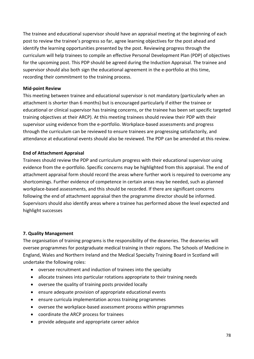The trainee and educational supervisor should have an appraisal meeting at the beginning of each post to review the trainee's progress so far, agree learning objectives for the post ahead and identify the learning opportunities presented by the post. Reviewing progress through the curriculum will help trainees to compile an effective Personal Development Plan (PDP) of objectives for the upcoming post. This PDP should be agreed during the Induction Appraisal. The trainee and supervisor should also both sign the educational agreement in the e-portfolio at this time, recording their commitment to the training process.

#### **Mid-point Review**

This meeting between trainee and educational supervisor is not mandatory (particularly when an attachment is shorter than 6 months) but is encouraged particularly if either the trainee or educational or clinical supervisor has training concerns, or the trainee has been set specific targeted training objectives at their ARCP). At this meeting trainees should review their PDP with their supervisor using evidence from the e-portfolio. Workplace-based assessments and progress through the curriculum can be reviewed to ensure trainees are progressing satisfactorily, and attendance at educational events should also be reviewed. The PDP can be amended at this review.

## **End of Attachment Appraisal**

Trainees should review the PDP and curriculum progress with their educational supervisor using evidence from the e-portfolio. Specific concerns may be highlighted from this appraisal. The end of attachment appraisal form should record the areas where further work is required to overcome any shortcomings. Further evidence of competence in certain areas may be needed, such as planned workplace-based assessments, and this should be recorded. If there are significant concerns following the end of attachment appraisal then the programme director should be informed. Supervisors should also identify areas where a trainee has performed above the level expected and highlight successes

## **7. Quality Management**

The organisation of training programs is the responsibility of the deaneries. The deaneries will oversee programmes for postgraduate medical training in their regions. The Schools of Medicine in England, Wales and Northern Ireland and the Medical Specialty Training Board in Scotland will undertake the following roles:

- oversee recruitment and induction of trainees into the specialty
- allocate trainees into particular rotations appropriate to their training needs
- oversee the quality of training posts provided locally
- ensure adequate provision of appropriate educational events
- ensure curricula implementation across training programmes
- oversee the workplace-based assessment process within programmes
- coordinate the ARCP process for trainees
- provide adequate and appropriate career advice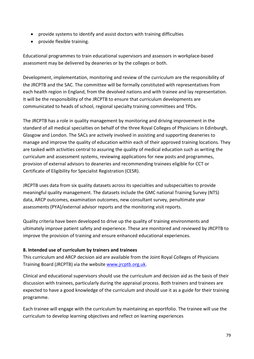- provide systems to identify and assist doctors with training difficulties
- provide flexible training.

Educational programmes to train educational supervisors and assessors in workplace-based assessment may be delivered by deaneries or by the colleges or both.

Development, implementation, monitoring and review of the curriculum are the responsibility of the JRCPTB and the SAC. The committee will be formally constituted with representatives from each health region in England, from the devolved nations and with trainee and lay representation. It will be the responsibility of the JRCPTB to ensure that curriculum developments are communicated to heads of school, regional specialty training committees and TPDs.

The JRCPTB has a role in quality management by monitoring and driving improvement in the standard of all medical specialties on behalf of the three Royal Colleges of Physicians in Edinburgh, Glasgow and London. The SACs are actively involved in assisting and supporting deaneries to manage and improve the quality of education within each of their approved training locations. They are tasked with activities central to assuring the quality of medical education such as writing the curriculum and assessment systems, reviewing applications for new posts and programmes, provision of external advisors to deaneries and recommending trainees eligible for CCT or Certificate of Eligibility for Specialist Registration (CESR).

JRCPTB uses data from six quality datasets across its specialties and subspecialties to provide meaningful quality management. The datasets include the GMC national Training Survey (NTS) data, ARCP outcomes, examination outcomes, new consultant survey, penultimate year assessments (PYA)/external advisor reports and the monitoring visit reports.

Quality criteria have been developed to drive up the quality of training environments and ultimately improve patient safety and experience. These are monitored and reviewed by JRCPTB to improve the provision of training and ensure enhanced educational experiences.

## **8. Intended use of curriculum by trainers and trainees**

This curriculum and ARCP decision aid are available from the Joint Royal Colleges of Physicians Training Board (JRCPTB) via the website [www.jrcptb.org.uk.](http://www.jrcptb.org.uk/)

Clinical and educational supervisors should use the curriculum and decision aid as the basis of their discussion with trainees, particularly during the appraisal process. Both trainers and trainees are expected to have a good knowledge of the curriculum and should use it as a guide for their training programme.

Each trainee will engage with the curriculum by maintaining an eportfolio. The trainee will use the curriculum to develop learning objectives and reflect on learning experiences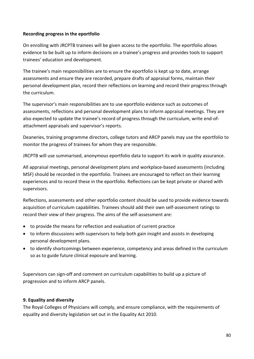## **Recording progress in the eportfolio**

On enrolling with JRCPTB trainees will be given access to the eportfolio. The eportfolio allows evidence to be built up to inform decisions on a trainee's progress and provides tools to support trainees' education and development.

The trainee's main responsibilities are to ensure the eportfolio is kept up to date, arrange assessments and ensure they are recorded, prepare drafts of appraisal forms, maintain their personal development plan, record their reflections on learning and record their progress through the curriculum.

The supervisor's main responsibilities are to use eportfolio evidence such as outcomes of assessments, reflections and personal development plans to inform appraisal meetings. They are also expected to update the trainee's record of progress through the curriculum, write end-ofattachment appraisals and supervisor's reports.

Deaneries, training programme directors, college tutors and ARCP panels may use the eportfolio to monitor the progress of trainees for whom they are responsible.

JRCPTB will use summarised, anonymous eportfolio data to support its work in quality assurance.

All appraisal meetings, personal development plans and workplace-based assessments (including MSF) should be recorded in the eportfolio. Trainees are encouraged to reflect on their learning experiences and to record these in the eportfolio. Reflections can be kept private or shared with supervisors.

Reflections, assessments and other eportfolio content should be used to provide evidence towards acquisition of curriculum capabilities. Trainees should add their own self-assessment ratings to record their view of their progress. The aims of the self-assessment are:

- to provide the means for reflection and evaluation of current practice
- to inform discussions with supervisors to help both gain insight and assists in developing personal development plans.
- to identify shortcomings between experience, competency and areas defined in the curriculum so as to guide future clinical exposure and learning.

Supervisors can sign-off and comment on curriculum capabilities to build up a picture of progression and to inform ARCP panels.

# **9. Equality and diversity**

The Royal Colleges of Physicians will comply, and ensure compliance, with the requirements of equality and diversity legislation set out in the Equality Act 2010.